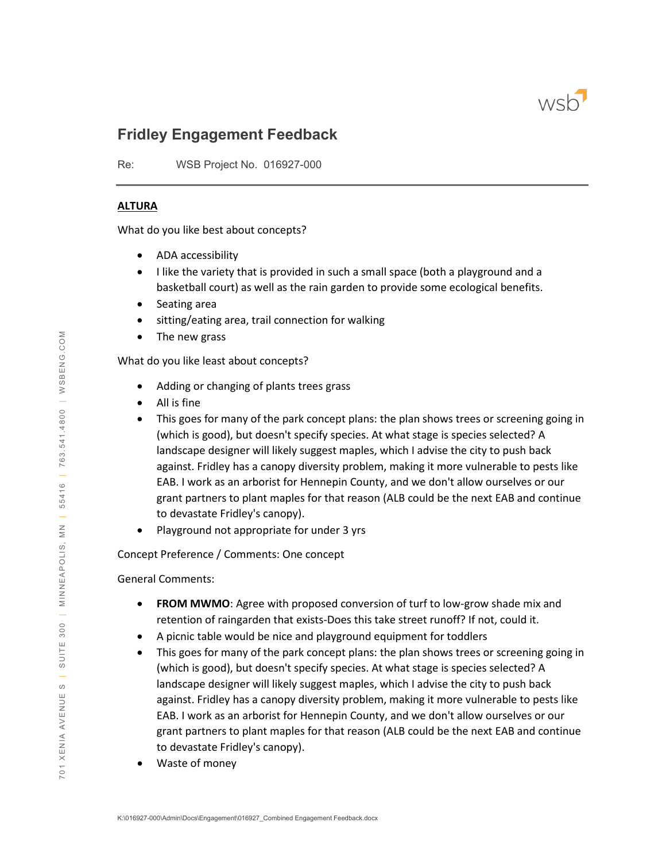

# **Fridley Engagement Feedback**

Re: WSB Project No. 016927-000

#### **ALTURA**

What do you like best about concepts?

- ADA accessibility
- I like the variety that is provided in such a small space (both a playground and a basketball court) as well as the rain garden to provide some ecological benefits.
- Seating area
- sitting/eating area, trail connection for walking
- The new grass

What do you like least about concepts?

- Adding or changing of plants trees grass
- All is fine
- This goes for many of the park concept plans: the plan shows trees or screening going in (which is good), but doesn't specify species. At what stage is species selected? A landscape designer will likely suggest maples, which I advise the city to push back against. Fridley has a canopy diversity problem, making it more vulnerable to pests like EAB. I work as an arborist for Hennepin County, and we don't allow ourselves or our grant partners to plant maples for that reason (ALB could be the next EAB and continue to devastate Fridley's canopy).
- Playground not appropriate for under 3 yrs

Concept Preference / Comments: One concept

- **FROM MWMO**: Agree with proposed conversion of turf to low-grow shade mix and retention of raingarden that exists-Does this take street runoff? If not, could it.
- A picnic table would be nice and playground equipment for toddlers
- This goes for many of the park concept plans: the plan shows trees or screening going in (which is good), but doesn't specify species. At what stage is species selected? A landscape designer will likely suggest maples, which I advise the city to push back against. Fridley has a canopy diversity problem, making it more vulnerable to pests like EAB. I work as an arborist for Hennepin County, and we don't allow ourselves or our grant partners to plant maples for that reason (ALB could be the next EAB and continue to devastate Fridley's canopy).
- Waste of money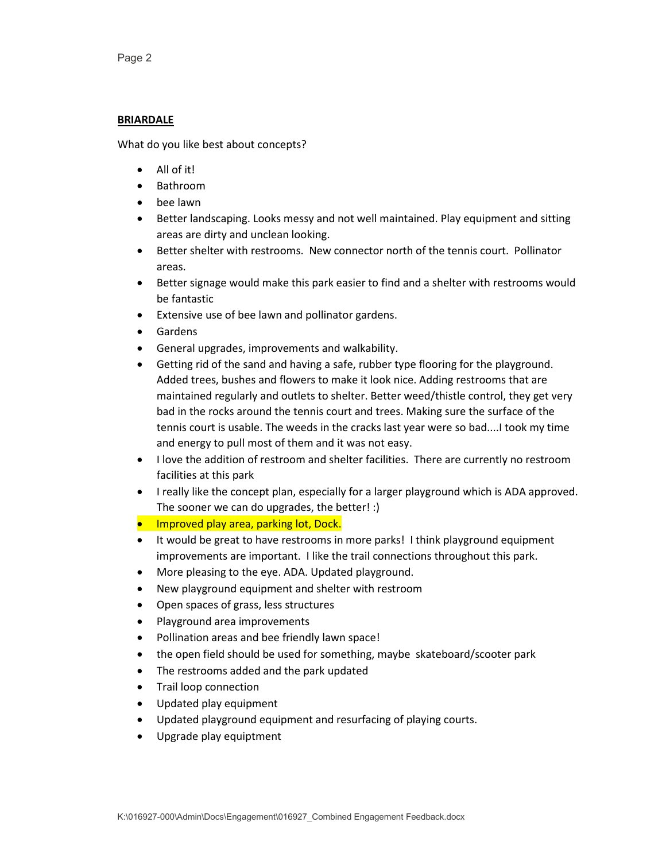#### **BRIARDALE**

- All of it!
- Bathroom
- bee lawn
- Better landscaping. Looks messy and not well maintained. Play equipment and sitting areas are dirty and unclean looking.
- Better shelter with restrooms. New connector north of the tennis court. Pollinator areas.
- Better signage would make this park easier to find and a shelter with restrooms would be fantastic
- Extensive use of bee lawn and pollinator gardens.
- Gardens
- General upgrades, improvements and walkability.
- Getting rid of the sand and having a safe, rubber type flooring for the playground. Added trees, bushes and flowers to make it look nice. Adding restrooms that are maintained regularly and outlets to shelter. Better weed/thistle control, they get very bad in the rocks around the tennis court and trees. Making sure the surface of the tennis court is usable. The weeds in the cracks last year were so bad....I took my time and energy to pull most of them and it was not easy.
- I love the addition of restroom and shelter facilities. There are currently no restroom facilities at this park
- I really like the concept plan, especially for a larger playground which is ADA approved. The sooner we can do upgrades, the better! :)
- **•** Improved play area, parking lot, Dock.
- It would be great to have restrooms in more parks! I think playground equipment improvements are important. I like the trail connections throughout this park.
- More pleasing to the eye. ADA. Updated playground.
- New playground equipment and shelter with restroom
- Open spaces of grass, less structures
- Playground area improvements
- Pollination areas and bee friendly lawn space!
- the open field should be used for something, maybe skateboard/scooter park
- The restrooms added and the park updated
- Trail loop connection
- Updated play equipment
- Updated playground equipment and resurfacing of playing courts.
- Upgrade play equiptment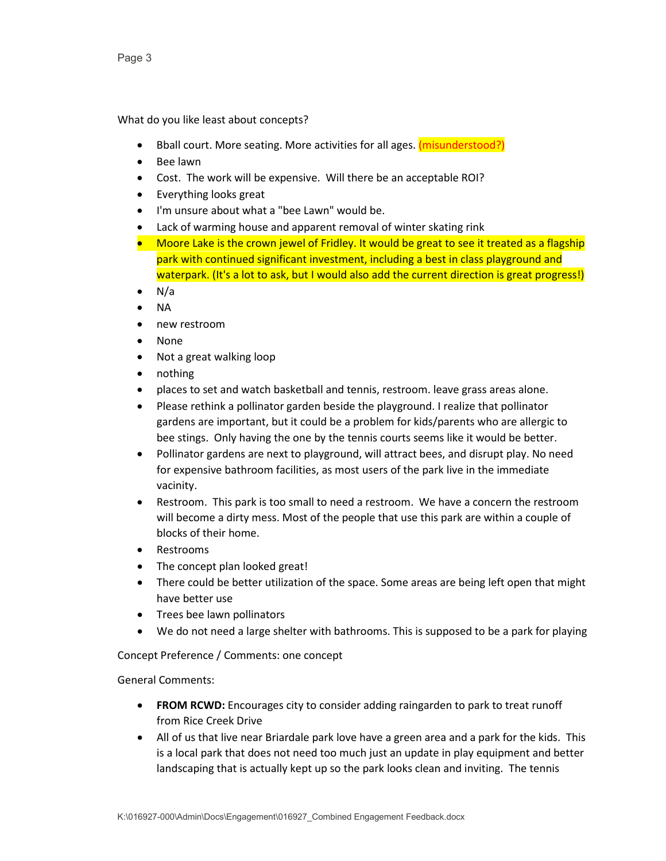What do you like least about concepts?

- Bball court. More seating. More activities for all ages. (misunderstood?)
- Bee lawn
- Cost. The work will be expensive. Will there be an acceptable ROI?
- Everything looks great
- I'm unsure about what a "bee Lawn" would be.
- Lack of warming house and apparent removal of winter skating rink
- Moore Lake is the crown jewel of Fridley. It would be great to see it treated as a flagship park with continued significant investment, including a best in class playground and waterpark. (It's a lot to ask, but I would also add the current direction is great progress!)
- N/a
- NA
- new restroom
- None
- Not a great walking loop
- nothing
- places to set and watch basketball and tennis, restroom. leave grass areas alone.
- Please rethink a pollinator garden beside the playground. I realize that pollinator gardens are important, but it could be a problem for kids/parents who are allergic to bee stings. Only having the one by the tennis courts seems like it would be better.
- Pollinator gardens are next to playground, will attract bees, and disrupt play. No need for expensive bathroom facilities, as most users of the park live in the immediate vacinity.
- Restroom. This park is too small to need a restroom. We have a concern the restroom will become a dirty mess. Most of the people that use this park are within a couple of blocks of their home.
- Restrooms
- The concept plan looked great!
- There could be better utilization of the space. Some areas are being left open that might have better use
- Trees bee lawn pollinators
- We do not need a large shelter with bathrooms. This is supposed to be a park for playing

Concept Preference / Comments: one concept

- **FROM RCWD:** Encourages city to consider adding raingarden to park to treat runoff from Rice Creek Drive
- All of us that live near Briardale park love have a green area and a park for the kids. This is a local park that does not need too much just an update in play equipment and better landscaping that is actually kept up so the park looks clean and inviting. The tennis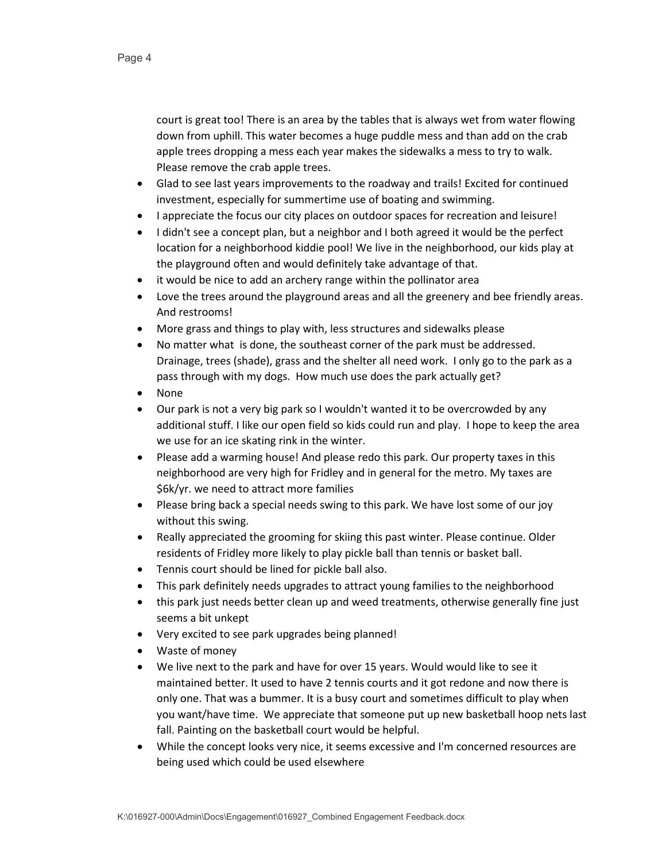court is great too! There is an area by the tables that is always wet from water flowing down from uphill. This water becomes a huge puddle mess and than add on the crab apple trees dropping a mess each year makes the sidewalks a mess to try to walk. Please remove the crab apple trees.

- Glad to see last years improvements to the roadway and trails! Excited for continued investment, especially for summertime use of boating and swimming.
- I appreciate the focus our city places on outdoor spaces for recreation and leisure!
- I didn't see a concept plan, but a neighbor and I both agreed it would be the perfect location for a neighborhood kiddie pool! We live in the neighborhood, our kids play at the playground often and would definitely take advantage of that.
- it would be nice to add an archery range within the pollinator area
- Love the trees around the playground areas and all the greenery and bee friendly areas. And restrooms!
- More grass and things to play with, less structures and sidewalks please
- No matter what is done, the southeast corner of the park must be addressed. Drainage, trees (shade), grass and the shelter all need work. I only go to the park as a pass through with my dogs. How much use does the park actually get?
- None
- Our park is not a very big park so I wouldn't wanted it to be overcrowded by any additional stuff. I like our open field so kids could run and play. I hope to keep the area we use for an ice skating rink in the winter.
- Please add a warming house! And please redo this park. Our property taxes in this neighborhood are very high for Fridley and in general for the metro. My taxes are \$6k/yr. we need to attract more families
- Please bring back a special needs swing to this park. We have lost some of our joy without this swing.
- Really appreciated the grooming for skiing this past winter. Please continue. Older residents of Fridley more likely to play pickle ball than tennis or basket ball.
- Tennis court should be lined for pickle ball also.
- This park definitely needs upgrades to attract young families to the neighborhood
- this park just needs better clean up and weed treatments, otherwise generally fine just seems a bit unkept
- Very excited to see park upgrades being planned!
- Waste of money
- We live next to the park and have for over 15 years. Would would like to see it maintained better. It used to have 2 tennis courts and it got redone and now there is only one. That was a bummer. It is a busy court and sometimes difficult to play when you want/have time. We appreciate that someone put up new basketball hoop nets last fall. Painting on the basketball court would be helpful.
- While the concept looks very nice, it seems excessive and I'm concerned resources are being used which could be used elsewhere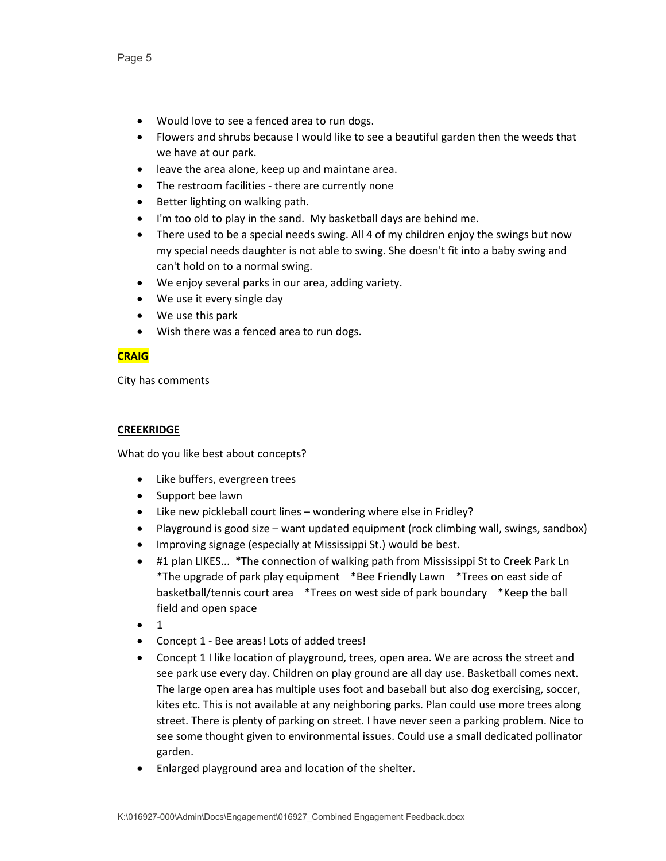- Would love to see a fenced area to run dogs.
- Flowers and shrubs because I would like to see a beautiful garden then the weeds that we have at our park.
- leave the area alone, keep up and maintane area.
- The restroom facilities there are currently none
- Better lighting on walking path.
- I'm too old to play in the sand. My basketball days are behind me.
- There used to be a special needs swing. All 4 of my children enjoy the swings but now my special needs daughter is not able to swing. She doesn't fit into a baby swing and can't hold on to a normal swing.
- We enjoy several parks in our area, adding variety.
- We use it every single day
- We use this park
- Wish there was a fenced area to run dogs.

# **CRAIG**

City has comments

## **CREEKRIDGE**

- Like buffers, evergreen trees
- Support bee lawn
- Like new pickleball court lines wondering where else in Fridley?
- Playground is good size want updated equipment (rock climbing wall, swings, sandbox)
- Improving signage (especially at Mississippi St.) would be best.
- #1 plan LIKES... \*The connection of walking path from Mississippi St to Creek Park Ln \*The upgrade of park play equipment \*Bee Friendly Lawn \*Trees on east side of basketball/tennis court area \*Trees on west side of park boundary \*Keep the ball field and open space
- 1
- Concept 1 Bee areas! Lots of added trees!
- Concept 1 I like location of playground, trees, open area. We are across the street and see park use every day. Children on play ground are all day use. Basketball comes next. The large open area has multiple uses foot and baseball but also dog exercising, soccer, kites etc. This is not available at any neighboring parks. Plan could use more trees along street. There is plenty of parking on street. I have never seen a parking problem. Nice to see some thought given to environmental issues. Could use a small dedicated pollinator garden.
- Enlarged playground area and location of the shelter.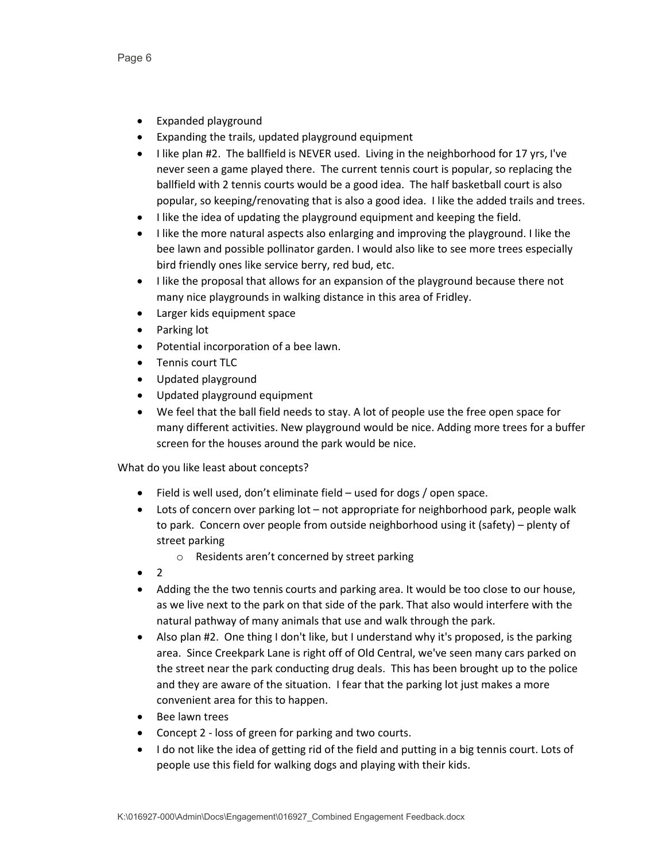Page 6

- Expanded playground
- Expanding the trails, updated playground equipment
- I like plan #2. The ballfield is NEVER used. Living in the neighborhood for 17 yrs, I've never seen a game played there. The current tennis court is popular, so replacing the ballfield with 2 tennis courts would be a good idea. The half basketball court is also popular, so keeping/renovating that is also a good idea. I like the added trails and trees.
- I like the idea of updating the playground equipment and keeping the field.
- I like the more natural aspects also enlarging and improving the playground. I like the bee lawn and possible pollinator garden. I would also like to see more trees especially bird friendly ones like service berry, red bud, etc.
- I like the proposal that allows for an expansion of the playground because there not many nice playgrounds in walking distance in this area of Fridley.
- Larger kids equipment space
- Parking lot
- Potential incorporation of a bee lawn.
- Tennis court TLC
- Updated playground
- Updated playground equipment
- We feel that the ball field needs to stay. A lot of people use the free open space for many different activities. New playground would be nice. Adding more trees for a buffer screen for the houses around the park would be nice.

- Field is well used, don't eliminate field used for dogs / open space.
- Lots of concern over parking lot not appropriate for neighborhood park, people walk to park. Concern over people from outside neighborhood using it (safety) – plenty of street parking
	- o Residents aren't concerned by street parking
- $\mathcal{P}$
- Adding the the two tennis courts and parking area. It would be too close to our house, as we live next to the park on that side of the park. That also would interfere with the natural pathway of many animals that use and walk through the park.
- Also plan #2. One thing I don't like, but I understand why it's proposed, is the parking area. Since Creekpark Lane is right off of Old Central, we've seen many cars parked on the street near the park conducting drug deals. This has been brought up to the police and they are aware of the situation. I fear that the parking lot just makes a more convenient area for this to happen.
- Bee lawn trees
- Concept 2 loss of green for parking and two courts.
- I do not like the idea of getting rid of the field and putting in a big tennis court. Lots of people use this field for walking dogs and playing with their kids.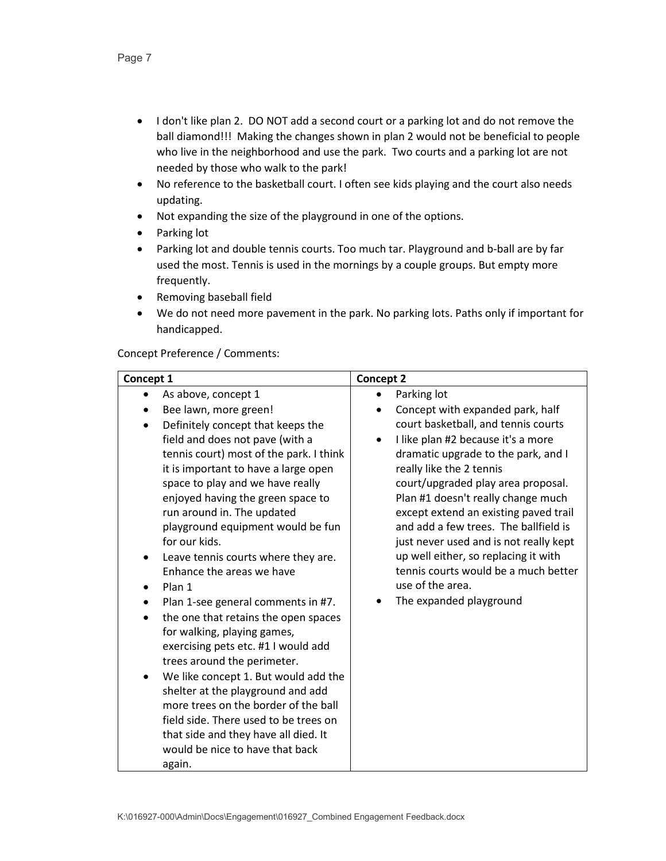- I don't like plan 2. DO NOT add a second court or a parking lot and do not remove the ball diamond!!! Making the changes shown in plan 2 would not be beneficial to people who live in the neighborhood and use the park. Two courts and a parking lot are not needed by those who walk to the park!
- No reference to the basketball court. I often see kids playing and the court also needs updating.
- Not expanding the size of the playground in one of the options.
- Parking lot
- Parking lot and double tennis courts. Too much tar. Playground and b-ball are by far used the most. Tennis is used in the mornings by a couple groups. But empty more frequently.
- Removing baseball field
- We do not need more pavement in the park. No parking lots. Paths only if important for handicapped.

# Concept Preference / Comments:

| Concept 1                                                                                                                                                                                                                                                                                                                                                                                                                                                                                                                                                                                                                                                                                                                                                                                                        | <b>Concept 2</b>                                                                                                                                                                                                                                                                                                                                                                                                                             |
|------------------------------------------------------------------------------------------------------------------------------------------------------------------------------------------------------------------------------------------------------------------------------------------------------------------------------------------------------------------------------------------------------------------------------------------------------------------------------------------------------------------------------------------------------------------------------------------------------------------------------------------------------------------------------------------------------------------------------------------------------------------------------------------------------------------|----------------------------------------------------------------------------------------------------------------------------------------------------------------------------------------------------------------------------------------------------------------------------------------------------------------------------------------------------------------------------------------------------------------------------------------------|
| As above, concept 1<br>Bee lawn, more green!<br>Definitely concept that keeps the                                                                                                                                                                                                                                                                                                                                                                                                                                                                                                                                                                                                                                                                                                                                | Parking lot<br>Concept with expanded park, half<br>court basketball, and tennis courts                                                                                                                                                                                                                                                                                                                                                       |
| field and does not pave (with a<br>tennis court) most of the park. I think<br>it is important to have a large open<br>space to play and we have really<br>enjoyed having the green space to<br>run around in. The updated<br>playground equipment would be fun<br>for our kids.<br>Leave tennis courts where they are.<br>$\bullet$<br>Enhance the areas we have<br>Plan 1<br>Plan 1-see general comments in #7.<br>the one that retains the open spaces<br>for walking, playing games,<br>exercising pets etc. #1 I would add<br>trees around the perimeter.<br>We like concept 1. But would add the<br>shelter at the playground and add<br>more trees on the border of the ball<br>field side. There used to be trees on<br>that side and they have all died. It<br>would be nice to have that back<br>again. | I like plan #2 because it's a more<br>dramatic upgrade to the park, and I<br>really like the 2 tennis<br>court/upgraded play area proposal.<br>Plan #1 doesn't really change much<br>except extend an existing paved trail<br>and add a few trees. The ballfield is<br>just never used and is not really kept<br>up well either, so replacing it with<br>tennis courts would be a much better<br>use of the area.<br>The expanded playground |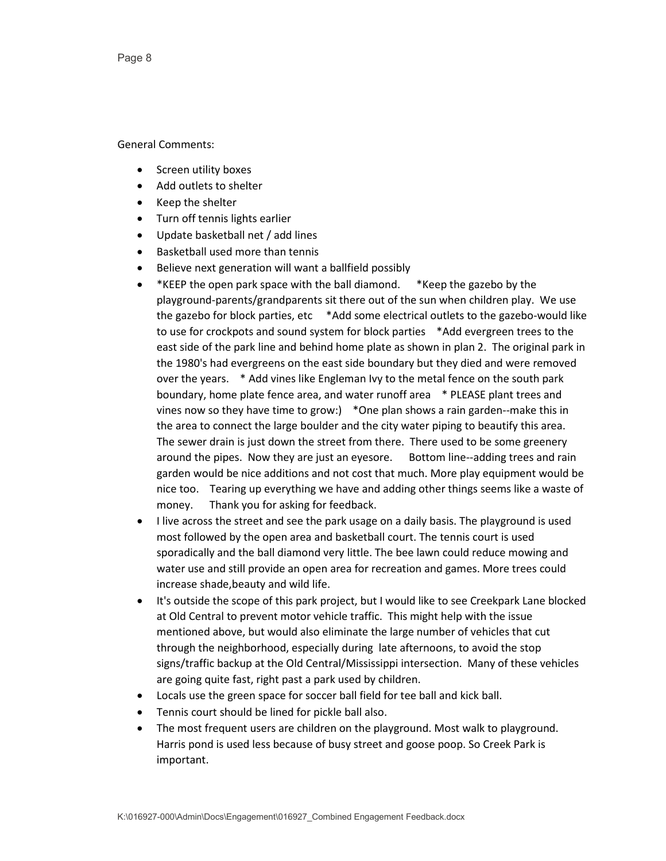- Screen utility boxes
- Add outlets to shelter
- Keep the shelter
- Turn off tennis lights earlier
- Update basketball net / add lines
- Basketball used more than tennis
- Believe next generation will want a ballfield possibly
- \*KEEP the open park space with the ball diamond. \*Keep the gazebo by the playground-parents/grandparents sit there out of the sun when children play. We use the gazebo for block parties, etc \*Add some electrical outlets to the gazebo-would like to use for crockpots and sound system for block parties \*Add evergreen trees to the east side of the park line and behind home plate as shown in plan 2. The original park in the 1980's had evergreens on the east side boundary but they died and were removed over the years. \* Add vines like Engleman Ivy to the metal fence on the south park boundary, home plate fence area, and water runoff area \* PLEASE plant trees and vines now so they have time to grow:) \*One plan shows a rain garden--make this in the area to connect the large boulder and the city water piping to beautify this area. The sewer drain is just down the street from there. There used to be some greenery around the pipes. Now they are just an eyesore. Bottom line--adding trees and rain garden would be nice additions and not cost that much. More play equipment would be nice too. Tearing up everything we have and adding other things seems like a waste of money. Thank you for asking for feedback.
- I live across the street and see the park usage on a daily basis. The playground is used most followed by the open area and basketball court. The tennis court is used sporadically and the ball diamond very little. The bee lawn could reduce mowing and water use and still provide an open area for recreation and games. More trees could increase shade,beauty and wild life.
- It's outside the scope of this park project, but I would like to see Creekpark Lane blocked at Old Central to prevent motor vehicle traffic. This might help with the issue mentioned above, but would also eliminate the large number of vehicles that cut through the neighborhood, especially during late afternoons, to avoid the stop signs/traffic backup at the Old Central/Mississippi intersection. Many of these vehicles are going quite fast, right past a park used by children.
- Locals use the green space for soccer ball field for tee ball and kick ball.
- Tennis court should be lined for pickle ball also.
- The most frequent users are children on the playground. Most walk to playground. Harris pond is used less because of busy street and goose poop. So Creek Park is important.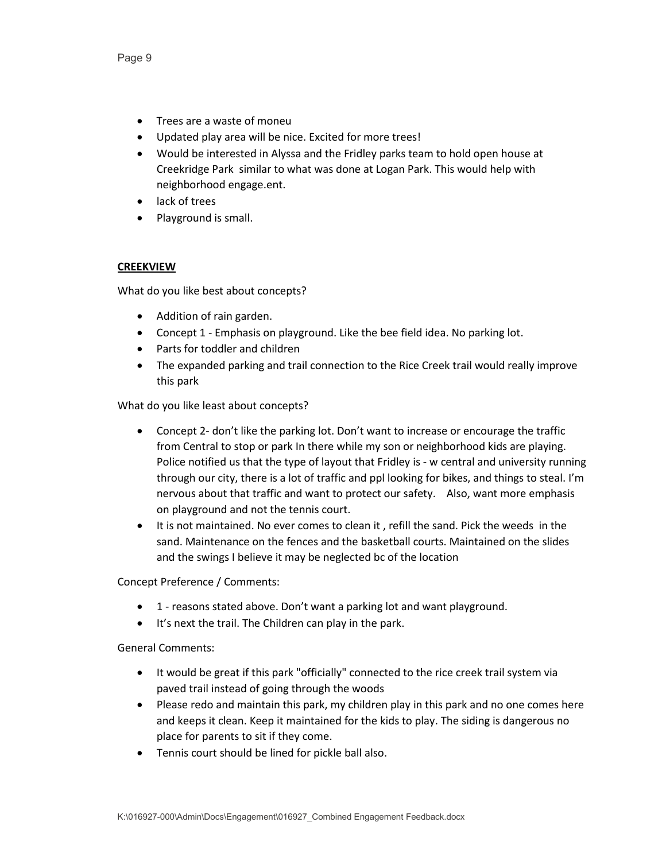- Trees are a waste of moneu
- Updated play area will be nice. Excited for more trees!
- Would be interested in Alyssa and the Fridley parks team to hold open house at Creekridge Park similar to what was done at Logan Park. This would help with neighborhood engage.ent.
- lack of trees
- Playground is small.

#### **CREEKVIEW**

What do you like best about concepts?

- Addition of rain garden.
- Concept 1 Emphasis on playground. Like the bee field idea. No parking lot.
- Parts for toddler and children
- The expanded parking and trail connection to the Rice Creek trail would really improve this park

What do you like least about concepts?

- Concept 2- don't like the parking lot. Don't want to increase or encourage the traffic from Central to stop or park In there while my son or neighborhood kids are playing. Police notified us that the type of layout that Fridley is - w central and university running through our city, there is a lot of traffic and ppl looking for bikes, and things to steal. I'm nervous about that traffic and want to protect our safety. Also, want more emphasis on playground and not the tennis court.
- It is not maintained. No ever comes to clean it , refill the sand. Pick the weeds in the sand. Maintenance on the fences and the basketball courts. Maintained on the slides and the swings I believe it may be neglected bc of the location

Concept Preference / Comments:

- 1 reasons stated above. Don't want a parking lot and want playground.
- It's next the trail. The Children can play in the park.

- It would be great if this park "officially" connected to the rice creek trail system via paved trail instead of going through the woods
- Please redo and maintain this park, my children play in this park and no one comes here and keeps it clean. Keep it maintained for the kids to play. The siding is dangerous no place for parents to sit if they come.
- Tennis court should be lined for pickle ball also.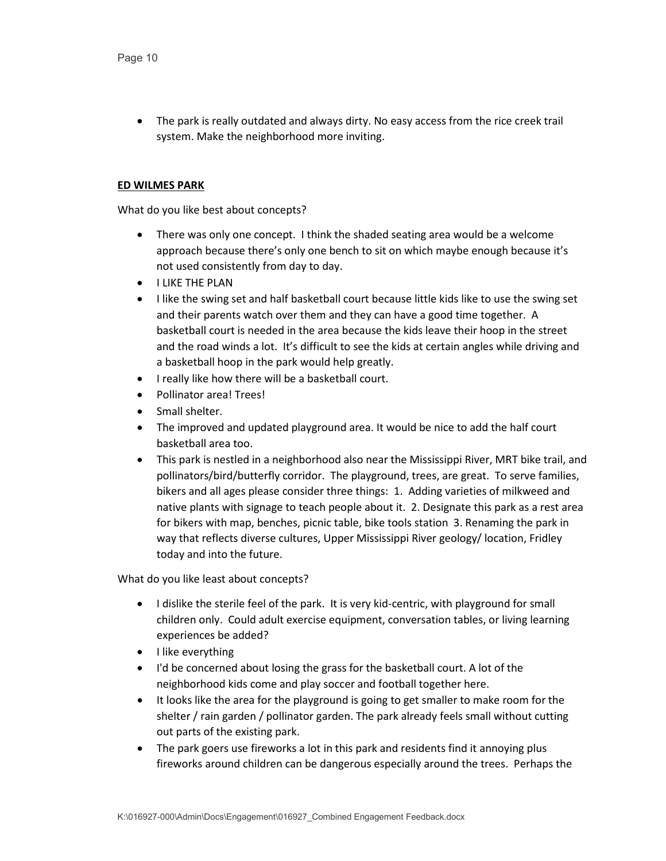• The park is really outdated and always dirty. No easy access from the rice creek trail system. Make the neighborhood more inviting.

## **ED WILMES PARK**

What do you like best about concepts?

- There was only one concept. I think the shaded seating area would be a welcome approach because there's only one bench to sit on which maybe enough because it's not used consistently from day to day.
- I LIKE THE PLAN
- I like the swing set and half basketball court because little kids like to use the swing set and their parents watch over them and they can have a good time together. A basketball court is needed in the area because the kids leave their hoop in the street and the road winds a lot. It's difficult to see the kids at certain angles while driving and a basketball hoop in the park would help greatly.
- I really like how there will be a basketball court.
- Pollinator area! Trees!
- Small shelter.
- The improved and updated playground area. It would be nice to add the half court basketball area too.
- This park is nestled in a neighborhood also near the Mississippi River, MRT bike trail, and pollinators/bird/butterfly corridor. The playground, trees, are great. To serve families, bikers and all ages please consider three things: 1. Adding varieties of milkweed and native plants with signage to teach people about it. 2. Designate this park as a rest area for bikers with map, benches, picnic table, bike tools station 3. Renaming the park in way that reflects diverse cultures, Upper Mississippi River geology/ location, Fridley today and into the future.

- I dislike the sterile feel of the park. It is very kid-centric, with playground for small children only. Could adult exercise equipment, conversation tables, or living learning experiences be added?
- I like everything
- I'd be concerned about losing the grass for the basketball court. A lot of the neighborhood kids come and play soccer and football together here.
- It looks like the area for the playground is going to get smaller to make room for the shelter / rain garden / pollinator garden. The park already feels small without cutting out parts of the existing park.
- The park goers use fireworks a lot in this park and residents find it annoying plus fireworks around children can be dangerous especially around the trees. Perhaps the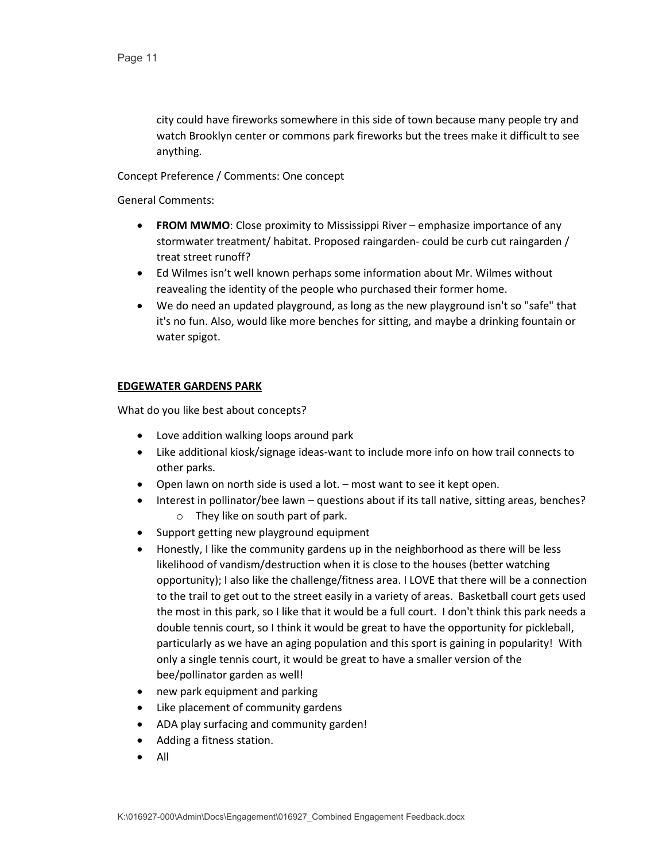city could have fireworks somewhere in this side of town because many people try and watch Brooklyn center or commons park fireworks but the trees make it difficult to see anything.

Concept Preference / Comments: One concept

General Comments:

- **FROM MWMO**: Close proximity to Mississippi River emphasize importance of any stormwater treatment/ habitat. Proposed raingarden- could be curb cut raingarden / treat street runoff?
- Ed Wilmes isn't well known perhaps some information about Mr. Wilmes without reavealing the identity of the people who purchased their former home.
- We do need an updated playground, as long as the new playground isn't so "safe" that it's no fun. Also, would like more benches for sitting, and maybe a drinking fountain or water spigot.

# **EDGEWATER GARDENS PARK**

- Love addition walking loops around park
- Like additional kiosk/signage ideas-want to include more info on how trail connects to other parks.
- Open lawn on north side is used a lot. most want to see it kept open.
- Interest in pollinator/bee lawn questions about if its tall native, sitting areas, benches? o They like on south part of park.
- Support getting new playground equipment
- Honestly, I like the community gardens up in the neighborhood as there will be less likelihood of vandism/destruction when it is close to the houses (better watching opportunity); I also like the challenge/fitness area. I LOVE that there will be a connection to the trail to get out to the street easily in a variety of areas. Basketball court gets used the most in this park, so I like that it would be a full court. I don't think this park needs a double tennis court, so I think it would be great to have the opportunity for pickleball, particularly as we have an aging population and this sport is gaining in popularity! With only a single tennis court, it would be great to have a smaller version of the bee/pollinator garden as well!
- new park equipment and parking
- Like placement of community gardens
- ADA play surfacing and community garden!
- Adding a fitness station.
- All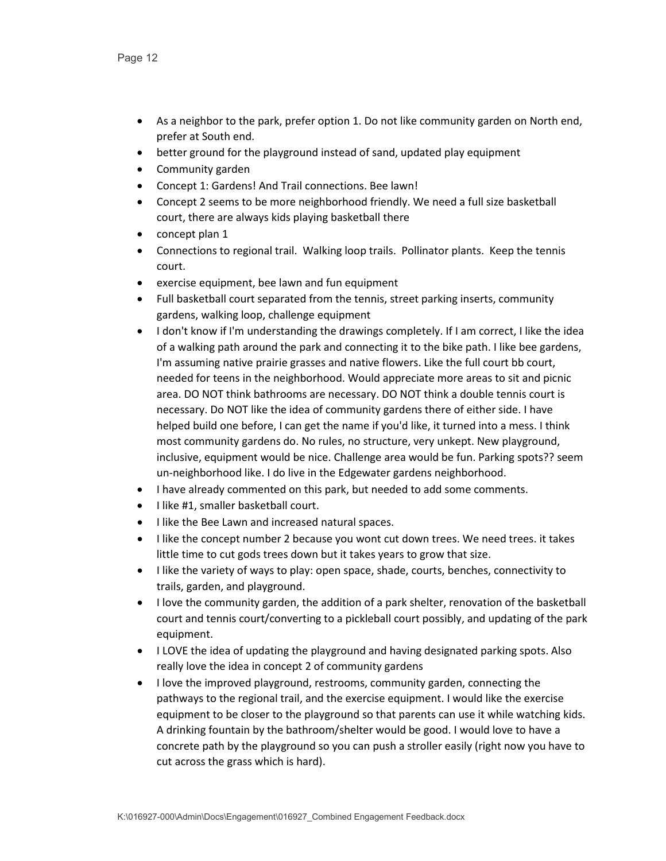- As a neighbor to the park, prefer option 1. Do not like community garden on North end, prefer at South end.
- better ground for the playground instead of sand, updated play equipment
- Community garden
- Concept 1: Gardens! And Trail connections. Bee lawn!
- Concept 2 seems to be more neighborhood friendly. We need a full size basketball court, there are always kids playing basketball there
- concept plan 1
- Connections to regional trail. Walking loop trails. Pollinator plants. Keep the tennis court.
- exercise equipment, bee lawn and fun equipment
- Full basketball court separated from the tennis, street parking inserts, community gardens, walking loop, challenge equipment
- I don't know if I'm understanding the drawings completely. If I am correct, I like the idea of a walking path around the park and connecting it to the bike path. I like bee gardens, I'm assuming native prairie grasses and native flowers. Like the full court bb court, needed for teens in the neighborhood. Would appreciate more areas to sit and picnic area. DO NOT think bathrooms are necessary. DO NOT think a double tennis court is necessary. Do NOT like the idea of community gardens there of either side. I have helped build one before, I can get the name if you'd like, it turned into a mess. I think most community gardens do. No rules, no structure, very unkept. New playground, inclusive, equipment would be nice. Challenge area would be fun. Parking spots?? seem un-neighborhood like. I do live in the Edgewater gardens neighborhood.
- I have already commented on this park, but needed to add some comments.
- I like #1, smaller basketball court.
- I like the Bee Lawn and increased natural spaces.
- I like the concept number 2 because you wont cut down trees. We need trees. it takes little time to cut gods trees down but it takes years to grow that size.
- I like the variety of ways to play: open space, shade, courts, benches, connectivity to trails, garden, and playground.
- I love the community garden, the addition of a park shelter, renovation of the basketball court and tennis court/converting to a pickleball court possibly, and updating of the park equipment.
- I LOVE the idea of updating the playground and having designated parking spots. Also really love the idea in concept 2 of community gardens
- I love the improved playground, restrooms, community garden, connecting the pathways to the regional trail, and the exercise equipment. I would like the exercise equipment to be closer to the playground so that parents can use it while watching kids. A drinking fountain by the bathroom/shelter would be good. I would love to have a concrete path by the playground so you can push a stroller easily (right now you have to cut across the grass which is hard).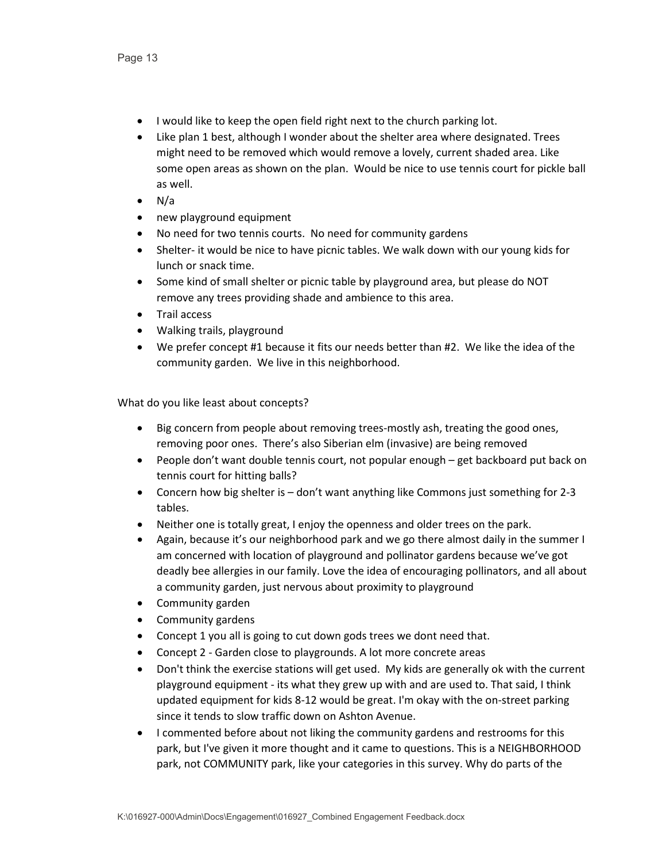- I would like to keep the open field right next to the church parking lot.
- Like plan 1 best, although I wonder about the shelter area where designated. Trees might need to be removed which would remove a lovely, current shaded area. Like some open areas as shown on the plan. Would be nice to use tennis court for pickle ball as well.
- $\bullet$  N/a
- new playground equipment
- No need for two tennis courts. No need for community gardens
- Shelter- it would be nice to have picnic tables. We walk down with our young kids for lunch or snack time.
- Some kind of small shelter or picnic table by playground area, but please do NOT remove any trees providing shade and ambience to this area.
- Trail access
- Walking trails, playground
- We prefer concept #1 because it fits our needs better than #2. We like the idea of the community garden. We live in this neighborhood.

- Big concern from people about removing trees-mostly ash, treating the good ones, removing poor ones. There's also Siberian elm (invasive) are being removed
- People don't want double tennis court, not popular enough get backboard put back on tennis court for hitting balls?
- Concern how big shelter is don't want anything like Commons just something for 2-3 tables.
- Neither one is totally great, I enjoy the openness and older trees on the park.
- Again, because it's our neighborhood park and we go there almost daily in the summer I am concerned with location of playground and pollinator gardens because we've got deadly bee allergies in our family. Love the idea of encouraging pollinators, and all about a community garden, just nervous about proximity to playground
- Community garden
- Community gardens
- Concept 1 you all is going to cut down gods trees we dont need that.
- Concept 2 Garden close to playgrounds. A lot more concrete areas
- Don't think the exercise stations will get used. My kids are generally ok with the current playground equipment - its what they grew up with and are used to. That said, I think updated equipment for kids 8-12 would be great. I'm okay with the on-street parking since it tends to slow traffic down on Ashton Avenue.
- I commented before about not liking the community gardens and restrooms for this park, but I've given it more thought and it came to questions. This is a NEIGHBORHOOD park, not COMMUNITY park, like your categories in this survey. Why do parts of the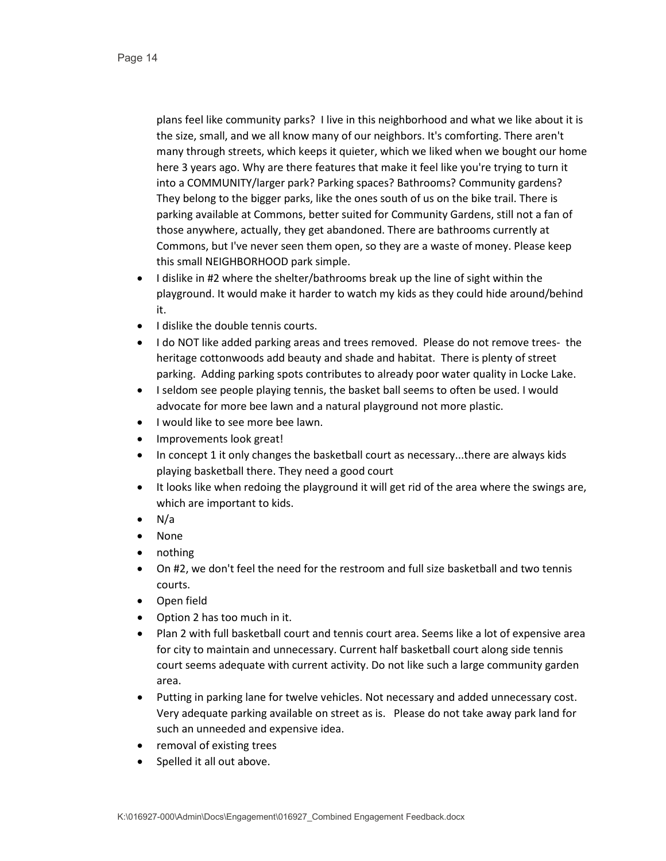plans feel like community parks? I live in this neighborhood and what we like about it is the size, small, and we all know many of our neighbors. It's comforting. There aren't many through streets, which keeps it quieter, which we liked when we bought our home here 3 years ago. Why are there features that make it feel like you're trying to turn it into a COMMUNITY/larger park? Parking spaces? Bathrooms? Community gardens? They belong to the bigger parks, like the ones south of us on the bike trail. There is parking available at Commons, better suited for Community Gardens, still not a fan of those anywhere, actually, they get abandoned. There are bathrooms currently at Commons, but I've never seen them open, so they are a waste of money. Please keep this small NEIGHBORHOOD park simple.

- I dislike in #2 where the shelter/bathrooms break up the line of sight within the playground. It would make it harder to watch my kids as they could hide around/behind it.
- I dislike the double tennis courts.
- I do NOT like added parking areas and trees removed. Please do not remove trees- the heritage cottonwoods add beauty and shade and habitat. There is plenty of street parking. Adding parking spots contributes to already poor water quality in Locke Lake.
- I seldom see people playing tennis, the basket ball seems to often be used. I would advocate for more bee lawn and a natural playground not more plastic.
- I would like to see more bee lawn.
- Improvements look great!
- In concept 1 it only changes the basketball court as necessary...there are always kids playing basketball there. They need a good court
- It looks like when redoing the playground it will get rid of the area where the swings are, which are important to kids.
- $\bullet$  N/a
- None
- nothing
- On #2, we don't feel the need for the restroom and full size basketball and two tennis courts.
- Open field
- Option 2 has too much in it.
- Plan 2 with full basketball court and tennis court area. Seems like a lot of expensive area for city to maintain and unnecessary. Current half basketball court along side tennis court seems adequate with current activity. Do not like such a large community garden area.
- Putting in parking lane for twelve vehicles. Not necessary and added unnecessary cost. Very adequate parking available on street as is. Please do not take away park land for such an unneeded and expensive idea.
- removal of existing trees
- Spelled it all out above.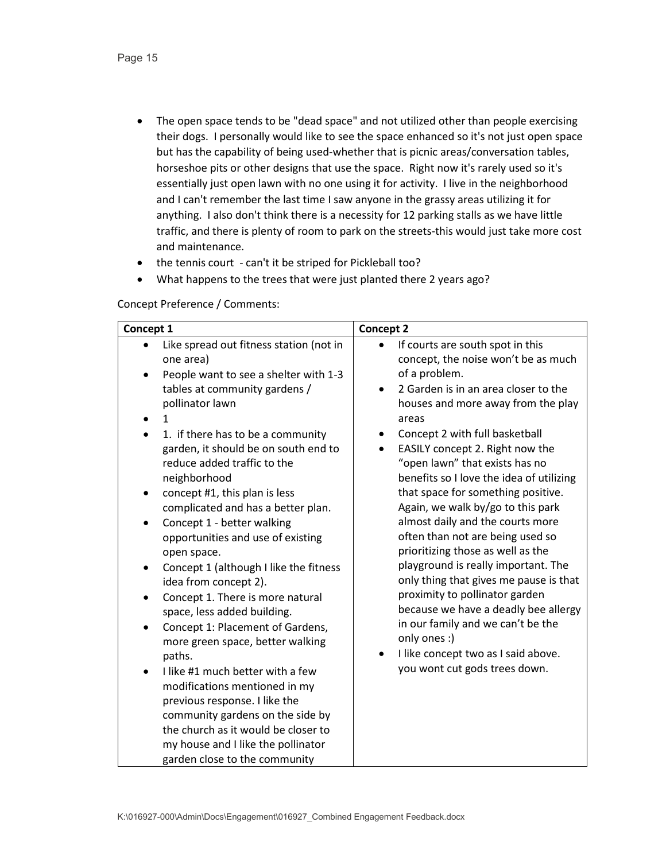- The open space tends to be "dead space" and not utilized other than people exercising their dogs. I personally would like to see the space enhanced so it's not just open space but has the capability of being used-whether that is picnic areas/conversation tables, horseshoe pits or other designs that use the space. Right now it's rarely used so it's essentially just open lawn with no one using it for activity. I live in the neighborhood and I can't remember the last time I saw anyone in the grassy areas utilizing it for anything. I also don't think there is a necessity for 12 parking stalls as we have little traffic, and there is plenty of room to park on the streets-this would just take more cost and maintenance.
- the tennis court can't it be striped for Pickleball too?
- What happens to the trees that were just planted there 2 years ago?

Concept Preference / Comments:

| Concept 1                                                                                                                                                                                                                                                                                                                                                                                                                                                                                                                                                                                                                                                                                                                                                                                                                                                                                                                                                                 | <b>Concept 2</b>                                                                                                                                                                                                                                                                                                                                                                                                                                                                                                                                                                                                                                                                                                                                                                                                                                  |
|---------------------------------------------------------------------------------------------------------------------------------------------------------------------------------------------------------------------------------------------------------------------------------------------------------------------------------------------------------------------------------------------------------------------------------------------------------------------------------------------------------------------------------------------------------------------------------------------------------------------------------------------------------------------------------------------------------------------------------------------------------------------------------------------------------------------------------------------------------------------------------------------------------------------------------------------------------------------------|---------------------------------------------------------------------------------------------------------------------------------------------------------------------------------------------------------------------------------------------------------------------------------------------------------------------------------------------------------------------------------------------------------------------------------------------------------------------------------------------------------------------------------------------------------------------------------------------------------------------------------------------------------------------------------------------------------------------------------------------------------------------------------------------------------------------------------------------------|
| Like spread out fitness station (not in<br>one area)<br>People want to see a shelter with 1-3<br>tables at community gardens /<br>pollinator lawn<br>1<br>٠<br>1. if there has to be a community<br>garden, it should be on south end to<br>reduce added traffic to the<br>neighborhood<br>concept #1, this plan is less<br>٠<br>complicated and has a better plan.<br>Concept 1 - better walking<br>$\bullet$<br>opportunities and use of existing<br>open space.<br>Concept 1 (although I like the fitness<br>٠<br>idea from concept 2).<br>Concept 1. There is more natural<br>space, less added building.<br>Concept 1: Placement of Gardens,<br>٠<br>more green space, better walking<br>paths.<br>I like #1 much better with a few<br>$\bullet$<br>modifications mentioned in my<br>previous response. I like the<br>community gardens on the side by<br>the church as it would be closer to<br>my house and I like the pollinator<br>garden close to the community | If courts are south spot in this<br>$\bullet$<br>concept, the noise won't be as much<br>of a problem.<br>2 Garden is in an area closer to the<br>$\bullet$<br>houses and more away from the play<br>areas<br>Concept 2 with full basketball<br>٠<br>EASILY concept 2. Right now the<br>"open lawn" that exists has no<br>benefits so I love the idea of utilizing<br>that space for something positive.<br>Again, we walk by/go to this park<br>almost daily and the courts more<br>often than not are being used so<br>prioritizing those as well as the<br>playground is really important. The<br>only thing that gives me pause is that<br>proximity to pollinator garden<br>because we have a deadly bee allergy<br>in our family and we can't be the<br>only ones :)<br>I like concept two as I said above.<br>you wont cut gods trees down. |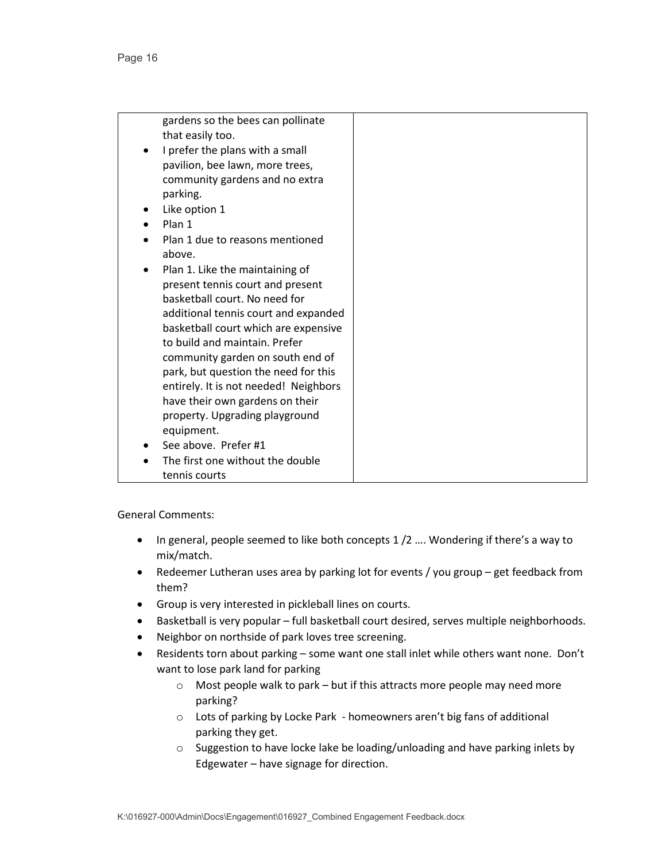|   | gardens so the bees can pollinate     |
|---|---------------------------------------|
|   | that easily too.                      |
| ٠ | I prefer the plans with a small       |
|   | pavilion, bee lawn, more trees,       |
|   | community gardens and no extra        |
|   | parking.                              |
|   | Like option 1                         |
|   | Plan 1                                |
|   | Plan 1 due to reasons mentioned       |
|   | above.                                |
|   | Plan 1. Like the maintaining of       |
|   | present tennis court and present      |
|   | basketball court. No need for         |
|   | additional tennis court and expanded  |
|   | basketball court which are expensive  |
|   | to build and maintain. Prefer         |
|   | community garden on south end of      |
|   | park, but question the need for this  |
|   | entirely. It is not needed! Neighbors |
|   | have their own gardens on their       |
|   | property. Upgrading playground        |
|   | equipment.                            |
|   | See above. Prefer #1                  |
|   | The first one without the double      |
|   | tennis courts                         |

- In general, people seemed to like both concepts 1/2 .... Wondering if there's a way to mix/match.
- Redeemer Lutheran uses area by parking lot for events / you group get feedback from them?
- Group is very interested in pickleball lines on courts.
- Basketball is very popular full basketball court desired, serves multiple neighborhoods.
- Neighbor on northside of park loves tree screening.
- Residents torn about parking some want one stall inlet while others want none. Don't want to lose park land for parking
	- o Most people walk to park but if this attracts more people may need more parking?
	- o Lots of parking by Locke Park homeowners aren't big fans of additional parking they get.
	- o Suggestion to have locke lake be loading/unloading and have parking inlets by Edgewater – have signage for direction.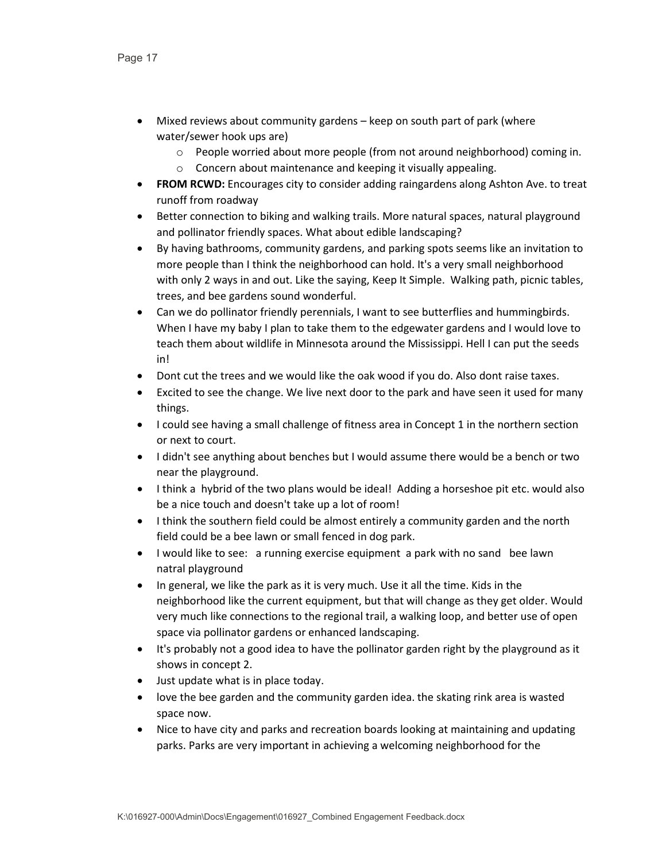- Mixed reviews about community gardens keep on south part of park (where water/sewer hook ups are)
	- $\circ$  People worried about more people (from not around neighborhood) coming in.
	- o Concern about maintenance and keeping it visually appealing.
- **FROM RCWD:** Encourages city to consider adding raingardens along Ashton Ave. to treat runoff from roadway
- Better connection to biking and walking trails. More natural spaces, natural playground and pollinator friendly spaces. What about edible landscaping?
- By having bathrooms, community gardens, and parking spots seems like an invitation to more people than I think the neighborhood can hold. It's a very small neighborhood with only 2 ways in and out. Like the saying, Keep It Simple. Walking path, picnic tables, trees, and bee gardens sound wonderful.
- Can we do pollinator friendly perennials, I want to see butterflies and hummingbirds. When I have my baby I plan to take them to the edgewater gardens and I would love to teach them about wildlife in Minnesota around the Mississippi. Hell I can put the seeds in!
- Dont cut the trees and we would like the oak wood if you do. Also dont raise taxes.
- Excited to see the change. We live next door to the park and have seen it used for many things.
- I could see having a small challenge of fitness area in Concept 1 in the northern section or next to court.
- I didn't see anything about benches but I would assume there would be a bench or two near the playground.
- I think a hybrid of the two plans would be ideal! Adding a horseshoe pit etc. would also be a nice touch and doesn't take up a lot of room!
- I think the southern field could be almost entirely a community garden and the north field could be a bee lawn or small fenced in dog park.
- I would like to see: a running exercise equipment a park with no sand bee lawn natral playground
- In general, we like the park as it is very much. Use it all the time. Kids in the neighborhood like the current equipment, but that will change as they get older. Would very much like connections to the regional trail, a walking loop, and better use of open space via pollinator gardens or enhanced landscaping.
- It's probably not a good idea to have the pollinator garden right by the playground as it shows in concept 2.
- Just update what is in place today.
- love the bee garden and the community garden idea. the skating rink area is wasted space now.
- Nice to have city and parks and recreation boards looking at maintaining and updating parks. Parks are very important in achieving a welcoming neighborhood for the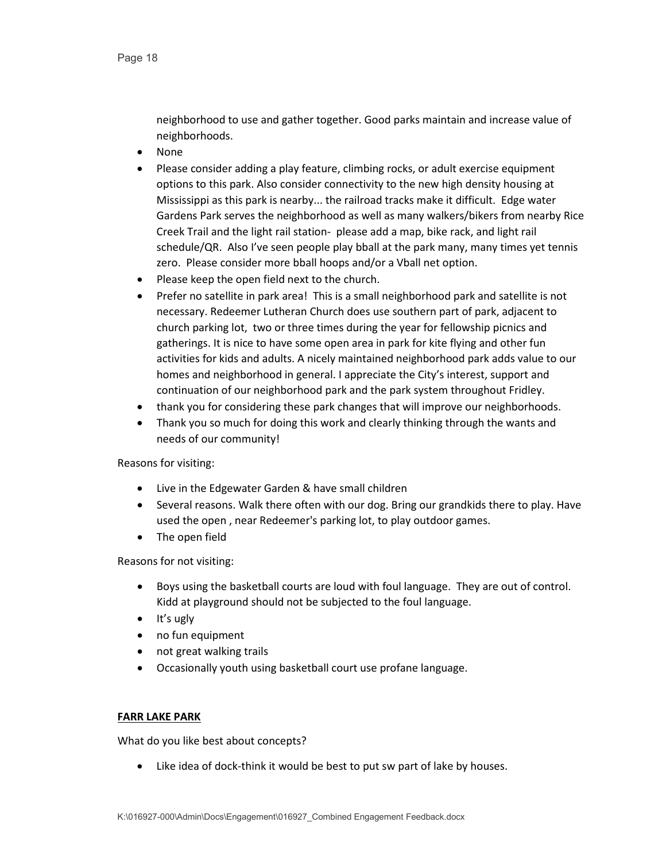neighborhood to use and gather together. Good parks maintain and increase value of neighborhoods.

- None
- Please consider adding a play feature, climbing rocks, or adult exercise equipment options to this park. Also consider connectivity to the new high density housing at Mississippi as this park is nearby... the railroad tracks make it difficult. Edge water Gardens Park serves the neighborhood as well as many walkers/bikers from nearby Rice Creek Trail and the light rail station- please add a map, bike rack, and light rail schedule/QR. Also I've seen people play bball at the park many, many times yet tennis zero. Please consider more bball hoops and/or a Vball net option.
- Please keep the open field next to the church.
- Prefer no satellite in park area! This is a small neighborhood park and satellite is not necessary. Redeemer Lutheran Church does use southern part of park, adjacent to church parking lot, two or three times during the year for fellowship picnics and gatherings. It is nice to have some open area in park for kite flying and other fun activities for kids and adults. A nicely maintained neighborhood park adds value to our homes and neighborhood in general. I appreciate the City's interest, support and continuation of our neighborhood park and the park system throughout Fridley.
- thank you for considering these park changes that will improve our neighborhoods.
- Thank you so much for doing this work and clearly thinking through the wants and needs of our community!

Reasons for visiting:

- Live in the Edgewater Garden & have small children
- Several reasons. Walk there often with our dog. Bring our grandkids there to play. Have used the open , near Redeemer's parking lot, to play outdoor games.
- The open field

Reasons for not visiting:

- Boys using the basketball courts are loud with foul language. They are out of control. Kidd at playground should not be subjected to the foul language.
- It's ugly
- no fun equipment
- not great walking trails
- Occasionally youth using basketball court use profane language.

#### **FARR LAKE PARK**

What do you like best about concepts?

• Like idea of dock-think it would be best to put sw part of lake by houses.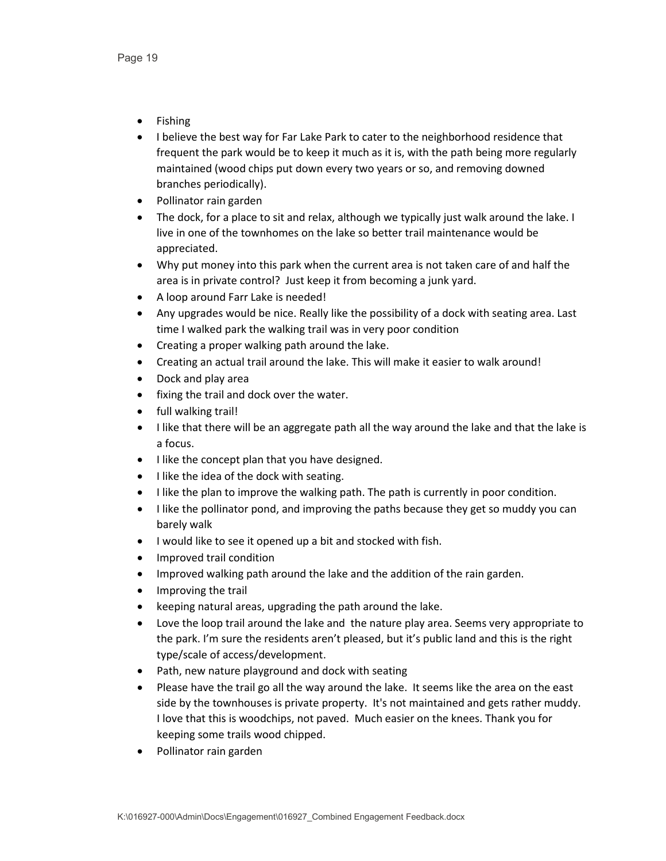- Fishing
- I believe the best way for Far Lake Park to cater to the neighborhood residence that frequent the park would be to keep it much as it is, with the path being more regularly maintained (wood chips put down every two years or so, and removing downed branches periodically).
- Pollinator rain garden
- The dock, for a place to sit and relax, although we typically just walk around the lake. I live in one of the townhomes on the lake so better trail maintenance would be appreciated.
- Why put money into this park when the current area is not taken care of and half the area is in private control? Just keep it from becoming a junk yard.
- A loop around Farr Lake is needed!
- Any upgrades would be nice. Really like the possibility of a dock with seating area. Last time I walked park the walking trail was in very poor condition
- Creating a proper walking path around the lake.
- Creating an actual trail around the lake. This will make it easier to walk around!
- Dock and play area
- fixing the trail and dock over the water.
- full walking trail!
- I like that there will be an aggregate path all the way around the lake and that the lake is a focus.
- I like the concept plan that you have designed.
- I like the idea of the dock with seating.
- I like the plan to improve the walking path. The path is currently in poor condition.
- I like the pollinator pond, and improving the paths because they get so muddy you can barely walk
- I would like to see it opened up a bit and stocked with fish.
- Improved trail condition
- Improved walking path around the lake and the addition of the rain garden.
- Improving the trail
- keeping natural areas, upgrading the path around the lake.
- Love the loop trail around the lake and the nature play area. Seems very appropriate to the park. I'm sure the residents aren't pleased, but it's public land and this is the right type/scale of access/development.
- Path, new nature playground and dock with seating
- Please have the trail go all the way around the lake. It seems like the area on the east side by the townhouses is private property. It's not maintained and gets rather muddy. I love that this is woodchips, not paved. Much easier on the knees. Thank you for keeping some trails wood chipped.
- Pollinator rain garden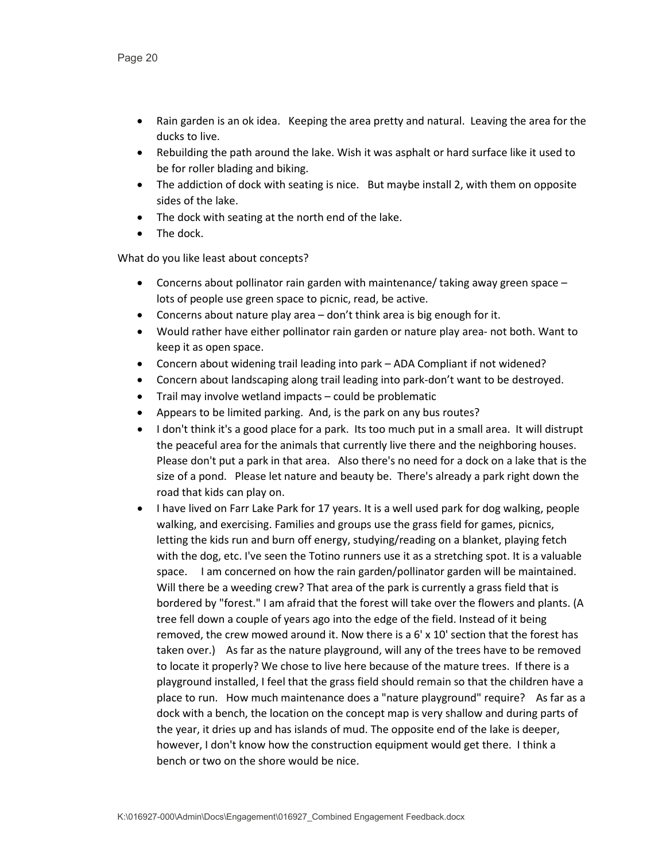- Rain garden is an ok idea. Keeping the area pretty and natural. Leaving the area for the ducks to live.
- Rebuilding the path around the lake. Wish it was asphalt or hard surface like it used to be for roller blading and biking.
- The addiction of dock with seating is nice. But maybe install 2, with them on opposite sides of the lake.
- The dock with seating at the north end of the lake.
- The dock.

- Concerns about pollinator rain garden with maintenance/ taking away green space lots of people use green space to picnic, read, be active.
- Concerns about nature play area don't think area is big enough for it.
- Would rather have either pollinator rain garden or nature play area- not both. Want to keep it as open space.
- Concern about widening trail leading into park ADA Compliant if not widened?
- Concern about landscaping along trail leading into park-don't want to be destroyed.
- Trail may involve wetland impacts could be problematic
- Appears to be limited parking. And, is the park on any bus routes?
- I don't think it's a good place for a park. Its too much put in a small area. It will distrupt the peaceful area for the animals that currently live there and the neighboring houses. Please don't put a park in that area. Also there's no need for a dock on a lake that is the size of a pond. Please let nature and beauty be. There's already a park right down the road that kids can play on.
- I have lived on Farr Lake Park for 17 years. It is a well used park for dog walking, people walking, and exercising. Families and groups use the grass field for games, picnics, letting the kids run and burn off energy, studying/reading on a blanket, playing fetch with the dog, etc. I've seen the Totino runners use it as a stretching spot. It is a valuable space. I am concerned on how the rain garden/pollinator garden will be maintained. Will there be a weeding crew? That area of the park is currently a grass field that is bordered by "forest." I am afraid that the forest will take over the flowers and plants. (A tree fell down a couple of years ago into the edge of the field. Instead of it being removed, the crew mowed around it. Now there is a  $6' \times 10'$  section that the forest has taken over.) As far as the nature playground, will any of the trees have to be removed to locate it properly? We chose to live here because of the mature trees. If there is a playground installed, I feel that the grass field should remain so that the children have a place to run. How much maintenance does a "nature playground" require? As far as a dock with a bench, the location on the concept map is very shallow and during parts of the year, it dries up and has islands of mud. The opposite end of the lake is deeper, however, I don't know how the construction equipment would get there. I think a bench or two on the shore would be nice.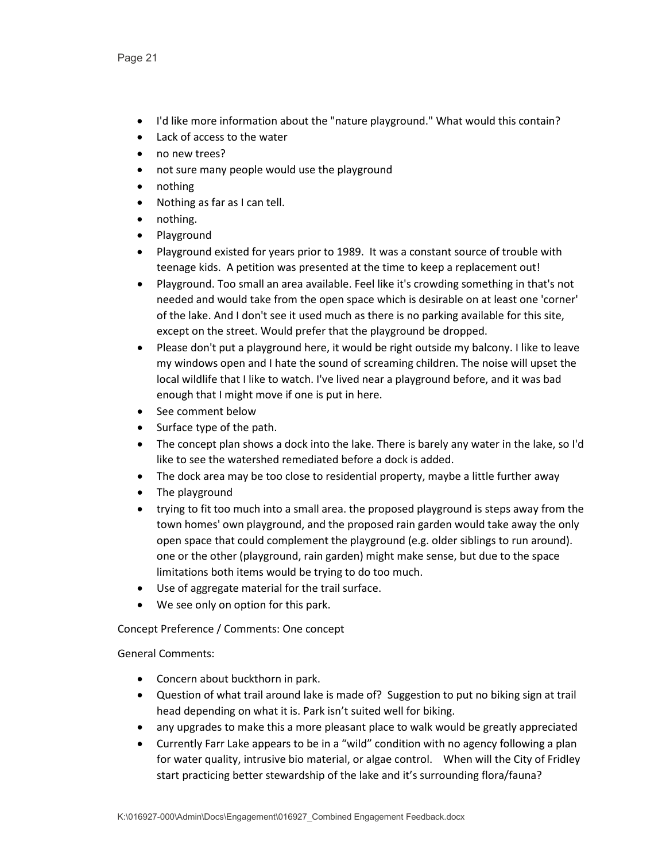- I'd like more information about the "nature playground." What would this contain?
- Lack of access to the water
- no new trees?
- not sure many people would use the playground
- nothing
- Nothing as far as I can tell.
- nothing.
- Playground
- Playground existed for years prior to 1989. It was a constant source of trouble with teenage kids. A petition was presented at the time to keep a replacement out!
- Playground. Too small an area available. Feel like it's crowding something in that's not needed and would take from the open space which is desirable on at least one 'corner' of the lake. And I don't see it used much as there is no parking available for this site, except on the street. Would prefer that the playground be dropped.
- Please don't put a playground here, it would be right outside my balcony. I like to leave my windows open and I hate the sound of screaming children. The noise will upset the local wildlife that I like to watch. I've lived near a playground before, and it was bad enough that I might move if one is put in here.
- See comment below
- Surface type of the path.
- The concept plan shows a dock into the lake. There is barely any water in the lake, so I'd like to see the watershed remediated before a dock is added.
- The dock area may be too close to residential property, maybe a little further away
- The playground
- trying to fit too much into a small area. the proposed playground is steps away from the town homes' own playground, and the proposed rain garden would take away the only open space that could complement the playground (e.g. older siblings to run around). one or the other (playground, rain garden) might make sense, but due to the space limitations both items would be trying to do too much.
- Use of aggregate material for the trail surface.
- We see only on option for this park.

Concept Preference / Comments: One concept

- Concern about buckthorn in park.
- Question of what trail around lake is made of? Suggestion to put no biking sign at trail head depending on what it is. Park isn't suited well for biking.
- any upgrades to make this a more pleasant place to walk would be greatly appreciated
- Currently Farr Lake appears to be in a "wild" condition with no agency following a plan for water quality, intrusive bio material, or algae control. When will the City of Fridley start practicing better stewardship of the lake and it's surrounding flora/fauna?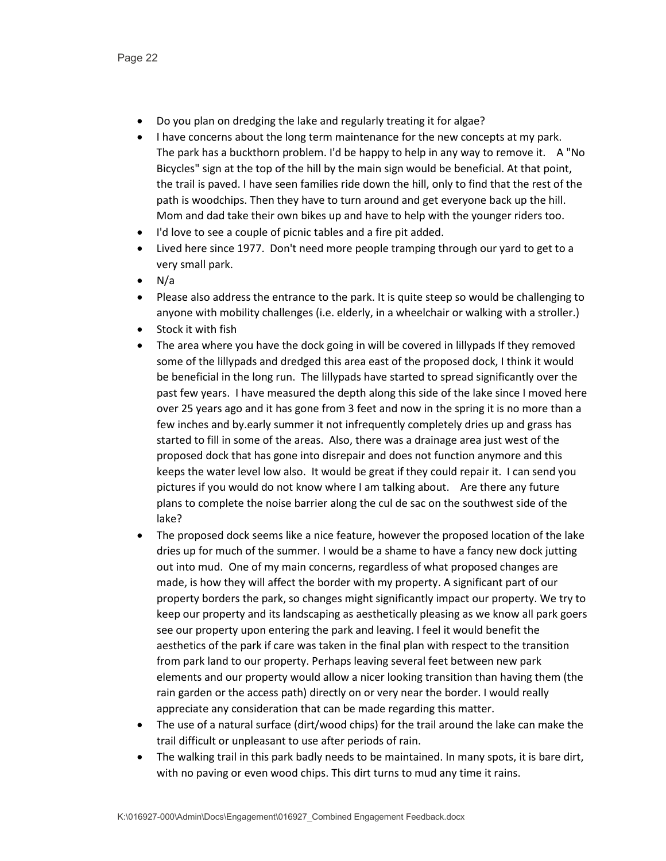- Do you plan on dredging the lake and regularly treating it for algae?
- I have concerns about the long term maintenance for the new concepts at my park. The park has a buckthorn problem. I'd be happy to help in any way to remove it. A "No Bicycles" sign at the top of the hill by the main sign would be beneficial. At that point, the trail is paved. I have seen families ride down the hill, only to find that the rest of the path is woodchips. Then they have to turn around and get everyone back up the hill. Mom and dad take their own bikes up and have to help with the younger riders too.
- I'd love to see a couple of picnic tables and a fire pit added.
- Lived here since 1977. Don't need more people tramping through our yard to get to a very small park.
- $\bullet$  N/a
- Please also address the entrance to the park. It is quite steep so would be challenging to anyone with mobility challenges (i.e. elderly, in a wheelchair or walking with a stroller.)
- Stock it with fish
- The area where you have the dock going in will be covered in lillypads If they removed some of the lillypads and dredged this area east of the proposed dock, I think it would be beneficial in the long run. The lillypads have started to spread significantly over the past few years. I have measured the depth along this side of the lake since I moved here over 25 years ago and it has gone from 3 feet and now in the spring it is no more than a few inches and by.early summer it not infrequently completely dries up and grass has started to fill in some of the areas. Also, there was a drainage area just west of the proposed dock that has gone into disrepair and does not function anymore and this keeps the water level low also. It would be great if they could repair it. I can send you pictures if you would do not know where I am talking about. Are there any future plans to complete the noise barrier along the cul de sac on the southwest side of the lake?
- The proposed dock seems like a nice feature, however the proposed location of the lake dries up for much of the summer. I would be a shame to have a fancy new dock jutting out into mud. One of my main concerns, regardless of what proposed changes are made, is how they will affect the border with my property. A significant part of our property borders the park, so changes might significantly impact our property. We try to keep our property and its landscaping as aesthetically pleasing as we know all park goers see our property upon entering the park and leaving. I feel it would benefit the aesthetics of the park if care was taken in the final plan with respect to the transition from park land to our property. Perhaps leaving several feet between new park elements and our property would allow a nicer looking transition than having them (the rain garden or the access path) directly on or very near the border. I would really appreciate any consideration that can be made regarding this matter.
- The use of a natural surface (dirt/wood chips) for the trail around the lake can make the trail difficult or unpleasant to use after periods of rain.
- The walking trail in this park badly needs to be maintained. In many spots, it is bare dirt, with no paving or even wood chips. This dirt turns to mud any time it rains.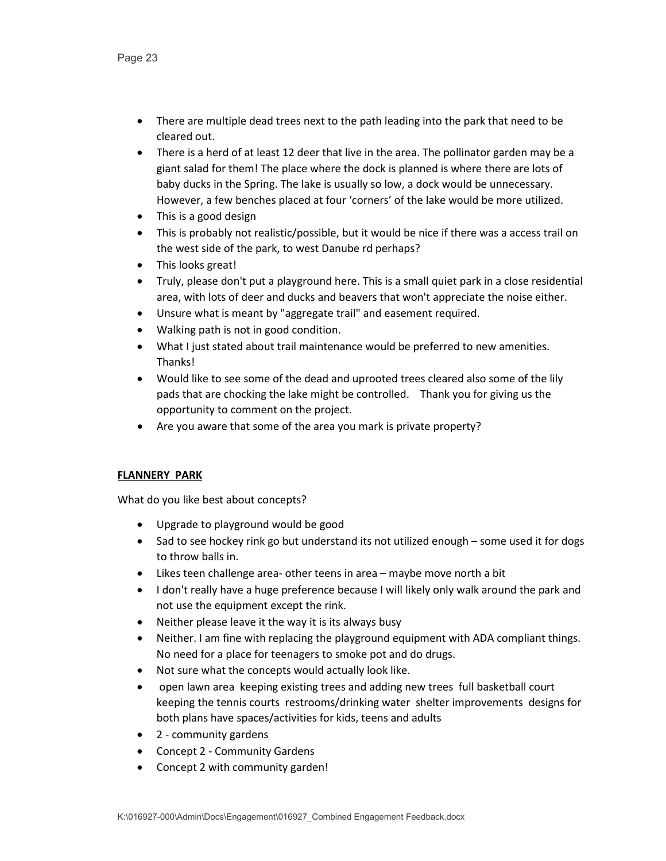- There are multiple dead trees next to the path leading into the park that need to be cleared out.
- There is a herd of at least 12 deer that live in the area. The pollinator garden may be a giant salad for them! The place where the dock is planned is where there are lots of baby ducks in the Spring. The lake is usually so low, a dock would be unnecessary. However, a few benches placed at four 'corners' of the lake would be more utilized.
- This is a good design
- This is probably not realistic/possible, but it would be nice if there was a access trail on the west side of the park, to west Danube rd perhaps?
- This looks great!
- Truly, please don't put a playground here. This is a small quiet park in a close residential area, with lots of deer and ducks and beavers that won't appreciate the noise either.
- Unsure what is meant by "aggregate trail" and easement required.
- Walking path is not in good condition.
- What I just stated about trail maintenance would be preferred to new amenities. Thanks!
- Would like to see some of the dead and uprooted trees cleared also some of the lily pads that are chocking the lake might be controlled. Thank you for giving us the opportunity to comment on the project.
- Are you aware that some of the area you mark is private property?

# **FLANNERY PARK**

- Upgrade to playground would be good
- Sad to see hockey rink go but understand its not utilized enough some used it for dogs to throw balls in.
- Likes teen challenge area- other teens in area maybe move north a bit
- I don't really have a huge preference because I will likely only walk around the park and not use the equipment except the rink.
- Neither please leave it the way it is its always busy
- Neither. I am fine with replacing the playground equipment with ADA compliant things. No need for a place for teenagers to smoke pot and do drugs.
- Not sure what the concepts would actually look like.
- open lawn area keeping existing trees and adding new trees full basketball court keeping the tennis courts restrooms/drinking water shelter improvements designs for both plans have spaces/activities for kids, teens and adults
- 2 community gardens
- Concept 2 Community Gardens
- Concept 2 with community garden!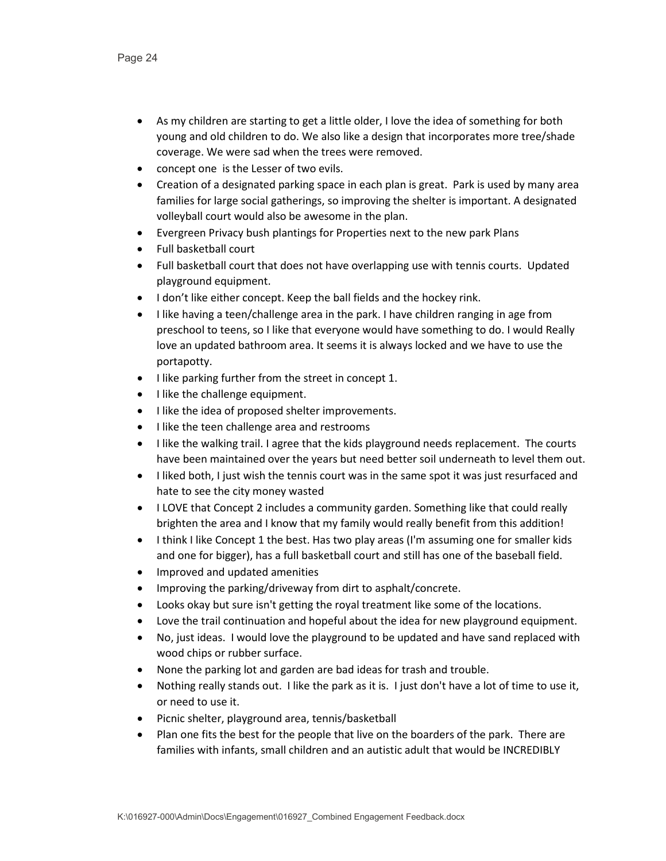- As my children are starting to get a little older, I love the idea of something for both young and old children to do. We also like a design that incorporates more tree/shade coverage. We were sad when the trees were removed.
- concept one is the Lesser of two evils.
- Creation of a designated parking space in each plan is great. Park is used by many area families for large social gatherings, so improving the shelter is important. A designated volleyball court would also be awesome in the plan.
- Evergreen Privacy bush plantings for Properties next to the new park Plans
- Full basketball court
- Full basketball court that does not have overlapping use with tennis courts. Updated playground equipment.
- I don't like either concept. Keep the ball fields and the hockey rink.
- I like having a teen/challenge area in the park. I have children ranging in age from preschool to teens, so I like that everyone would have something to do. I would Really love an updated bathroom area. It seems it is always locked and we have to use the portapotty.
- I like parking further from the street in concept 1.
- I like the challenge equipment.
- I like the idea of proposed shelter improvements.
- I like the teen challenge area and restrooms
- I like the walking trail. I agree that the kids playground needs replacement. The courts have been maintained over the years but need better soil underneath to level them out.
- I liked both, I just wish the tennis court was in the same spot it was just resurfaced and hate to see the city money wasted
- I LOVE that Concept 2 includes a community garden. Something like that could really brighten the area and I know that my family would really benefit from this addition!
- I think I like Concept 1 the best. Has two play areas (I'm assuming one for smaller kids and one for bigger), has a full basketball court and still has one of the baseball field.
- Improved and updated amenities
- Improving the parking/driveway from dirt to asphalt/concrete.
- Looks okay but sure isn't getting the royal treatment like some of the locations.
- Love the trail continuation and hopeful about the idea for new playground equipment.
- No, just ideas. I would love the playground to be updated and have sand replaced with wood chips or rubber surface.
- None the parking lot and garden are bad ideas for trash and trouble.
- Nothing really stands out. I like the park as it is. I just don't have a lot of time to use it, or need to use it.
- Picnic shelter, playground area, tennis/basketball
- Plan one fits the best for the people that live on the boarders of the park. There are families with infants, small children and an autistic adult that would be INCREDIBLY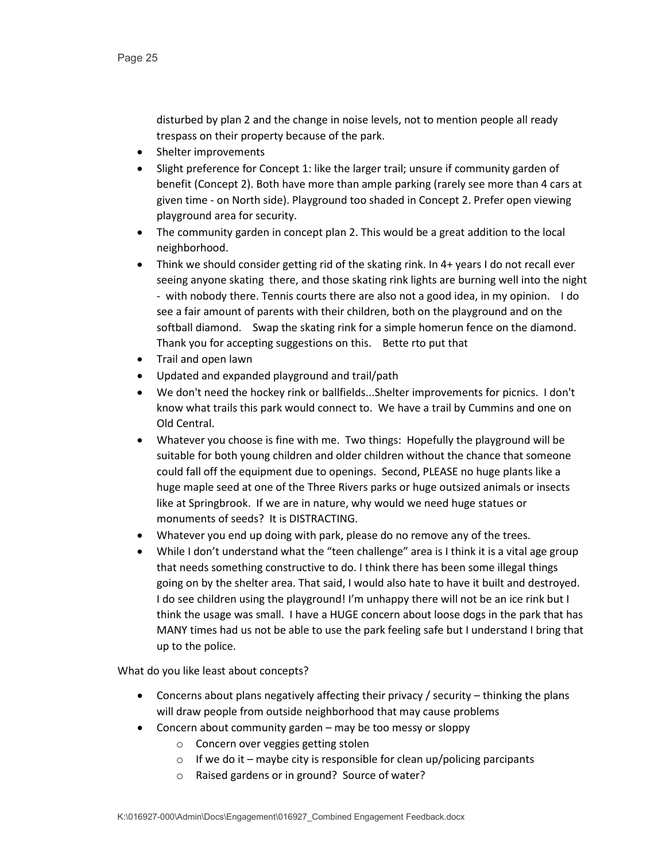disturbed by plan 2 and the change in noise levels, not to mention people all ready trespass on their property because of the park.

- Shelter improvements
- Slight preference for Concept 1: like the larger trail; unsure if community garden of benefit (Concept 2). Both have more than ample parking (rarely see more than 4 cars at given time - on North side). Playground too shaded in Concept 2. Prefer open viewing playground area for security.
- The community garden in concept plan 2. This would be a great addition to the local neighborhood.
- Think we should consider getting rid of the skating rink. In 4+ years I do not recall ever seeing anyone skating there, and those skating rink lights are burning well into the night - with nobody there. Tennis courts there are also not a good idea, in my opinion. I do see a fair amount of parents with their children, both on the playground and on the softball diamond. Swap the skating rink for a simple homerun fence on the diamond. Thank you for accepting suggestions on this. Bette rto put that
- Trail and open lawn
- Updated and expanded playground and trail/path
- We don't need the hockey rink or ballfields...Shelter improvements for picnics. I don't know what trails this park would connect to. We have a trail by Cummins and one on Old Central.
- Whatever you choose is fine with me. Two things: Hopefully the playground will be suitable for both young children and older children without the chance that someone could fall off the equipment due to openings. Second, PLEASE no huge plants like a huge maple seed at one of the Three Rivers parks or huge outsized animals or insects like at Springbrook. If we are in nature, why would we need huge statues or monuments of seeds? It is DISTRACTING.
- Whatever you end up doing with park, please do no remove any of the trees.
- While I don't understand what the "teen challenge" area is I think it is a vital age group that needs something constructive to do. I think there has been some illegal things going on by the shelter area. That said, I would also hate to have it built and destroyed. I do see children using the playground! I'm unhappy there will not be an ice rink but I think the usage was small. I have a HUGE concern about loose dogs in the park that has MANY times had us not be able to use the park feeling safe but I understand I bring that up to the police.

- Concerns about plans negatively affecting their privacy / security thinking the plans will draw people from outside neighborhood that may cause problems
- Concern about community garden may be too messy or sloppy
	- o Concern over veggies getting stolen
	- $\circ$  If we do it maybe city is responsible for clean up/policing parcipants
	- o Raised gardens or in ground? Source of water?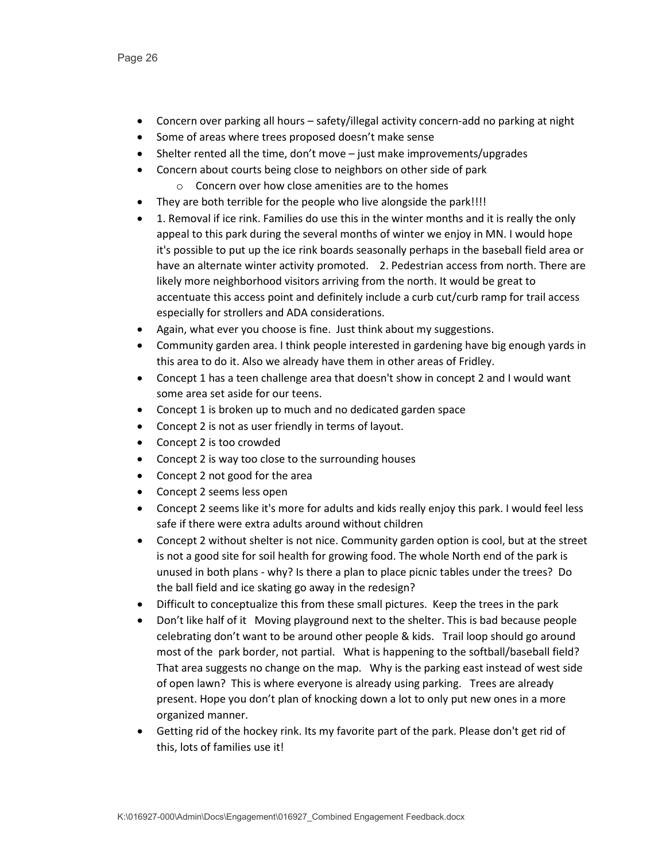- Concern over parking all hours safety/illegal activity concern-add no parking at night
- Some of areas where trees proposed doesn't make sense
- Shelter rented all the time, don't move just make improvements/upgrades
- Concern about courts being close to neighbors on other side of park
	- o Concern over how close amenities are to the homes
- They are both terrible for the people who live alongside the park!!!!
- 1. Removal if ice rink. Families do use this in the winter months and it is really the only appeal to this park during the several months of winter we enjoy in MN. I would hope it's possible to put up the ice rink boards seasonally perhaps in the baseball field area or have an alternate winter activity promoted. 2. Pedestrian access from north. There are likely more neighborhood visitors arriving from the north. It would be great to accentuate this access point and definitely include a curb cut/curb ramp for trail access especially for strollers and ADA considerations.
- Again, what ever you choose is fine. Just think about my suggestions.
- Community garden area. I think people interested in gardening have big enough yards in this area to do it. Also we already have them in other areas of Fridley.
- Concept 1 has a teen challenge area that doesn't show in concept 2 and I would want some area set aside for our teens.
- Concept 1 is broken up to much and no dedicated garden space
- Concept 2 is not as user friendly in terms of layout.
- Concept 2 is too crowded
- Concept 2 is way too close to the surrounding houses
- Concept 2 not good for the area
- Concept 2 seems less open
- Concept 2 seems like it's more for adults and kids really enjoy this park. I would feel less safe if there were extra adults around without children
- Concept 2 without shelter is not nice. Community garden option is cool, but at the street is not a good site for soil health for growing food. The whole North end of the park is unused in both plans - why? Is there a plan to place picnic tables under the trees? Do the ball field and ice skating go away in the redesign?
- Difficult to conceptualize this from these small pictures. Keep the trees in the park
- Don't like half of it Moving playground next to the shelter. This is bad because people celebrating don't want to be around other people & kids. Trail loop should go around most of the park border, not partial. What is happening to the softball/baseball field? That area suggests no change on the map. Why is the parking east instead of west side of open lawn? This is where everyone is already using parking. Trees are already present. Hope you don't plan of knocking down a lot to only put new ones in a more organized manner.
- Getting rid of the hockey rink. Its my favorite part of the park. Please don't get rid of this, lots of families use it!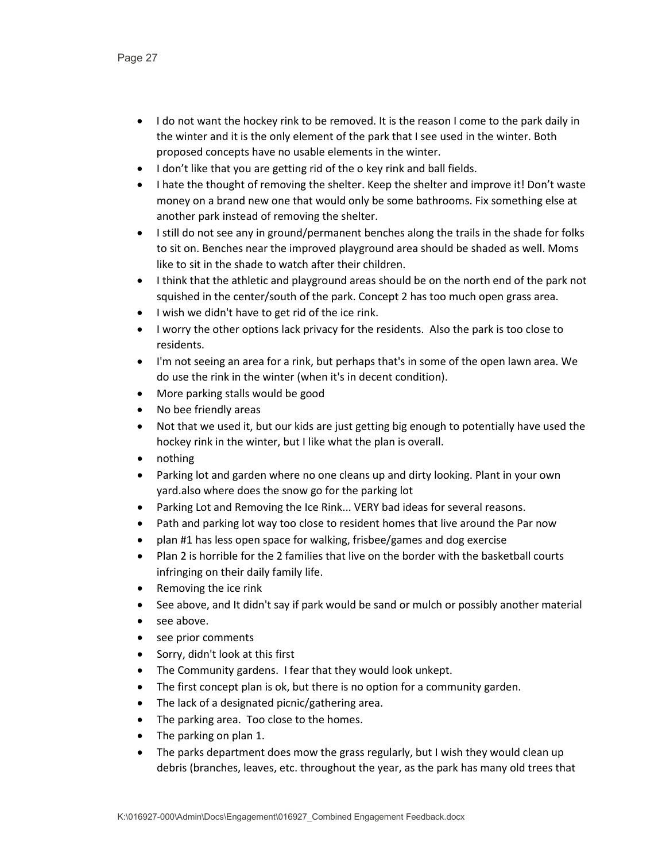- I do not want the hockey rink to be removed. It is the reason I come to the park daily in the winter and it is the only element of the park that I see used in the winter. Both proposed concepts have no usable elements in the winter.
- I don't like that you are getting rid of the o key rink and ball fields.
- I hate the thought of removing the shelter. Keep the shelter and improve it! Don't waste money on a brand new one that would only be some bathrooms. Fix something else at another park instead of removing the shelter.
- I still do not see any in ground/permanent benches along the trails in the shade for folks to sit on. Benches near the improved playground area should be shaded as well. Moms like to sit in the shade to watch after their children.
- I think that the athletic and playground areas should be on the north end of the park not squished in the center/south of the park. Concept 2 has too much open grass area.
- I wish we didn't have to get rid of the ice rink.
- I worry the other options lack privacy for the residents. Also the park is too close to residents.
- I'm not seeing an area for a rink, but perhaps that's in some of the open lawn area. We do use the rink in the winter (when it's in decent condition).
- More parking stalls would be good
- No bee friendly areas
- Not that we used it, but our kids are just getting big enough to potentially have used the hockey rink in the winter, but I like what the plan is overall.
- nothing
- Parking lot and garden where no one cleans up and dirty looking. Plant in your own yard.also where does the snow go for the parking lot
- Parking Lot and Removing the Ice Rink... VERY bad ideas for several reasons.
- Path and parking lot way too close to resident homes that live around the Par now
- plan #1 has less open space for walking, frisbee/games and dog exercise
- Plan 2 is horrible for the 2 families that live on the border with the basketball courts infringing on their daily family life.
- Removing the ice rink
- See above, and It didn't say if park would be sand or mulch or possibly another material
- see above.
- see prior comments
- Sorry, didn't look at this first
- The Community gardens. I fear that they would look unkept.
- The first concept plan is ok, but there is no option for a community garden.
- The lack of a designated picnic/gathering area.
- The parking area. Too close to the homes.
- The parking on plan 1.
- The parks department does mow the grass regularly, but I wish they would clean up debris (branches, leaves, etc. throughout the year, as the park has many old trees that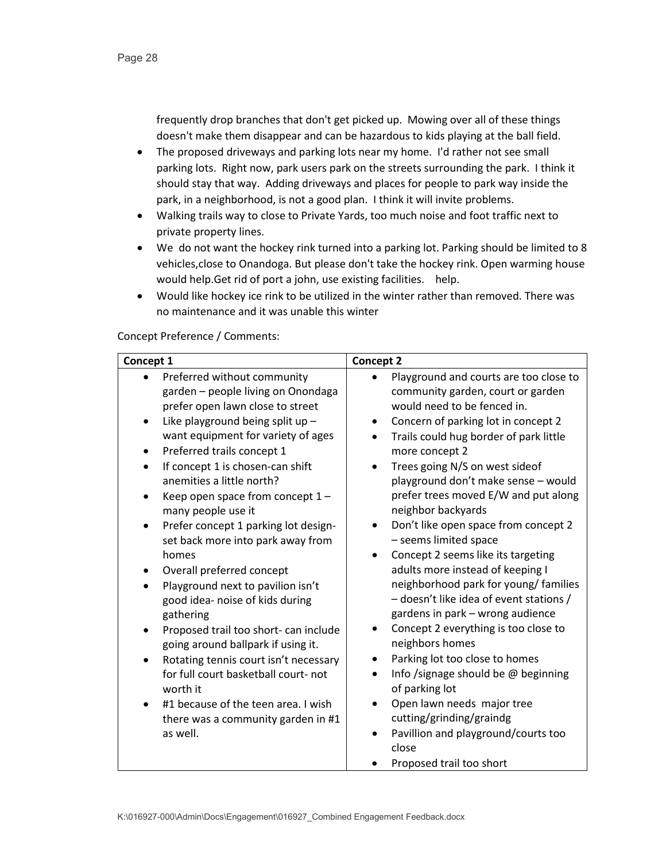frequently drop branches that don't get picked up. Mowing over all of these things doesn't make them disappear and can be hazardous to kids playing at the ball field.

- The proposed driveways and parking lots near my home. I'd rather not see small parking lots. Right now, park users park on the streets surrounding the park. I think it should stay that way. Adding driveways and places for people to park way inside the park, in a neighborhood, is not a good plan. I think it will invite problems.
- Walking trails way to close to Private Yards, too much noise and foot traffic next to private property lines.
- We do not want the hockey rink turned into a parking lot. Parking should be limited to 8 vehicles,close to Onandoga. But please don't take the hockey rink. Open warming house would help.Get rid of port a john, use existing facilities. help.
- Would like hockey ice rink to be utilized in the winter rather than removed. There was no maintenance and it was unable this winter

Concept Preference / Comments: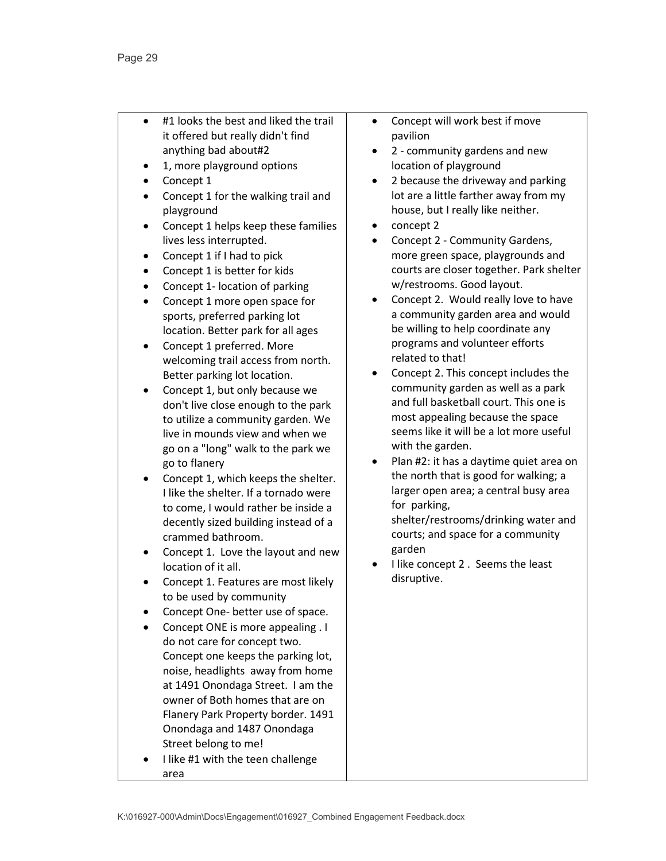- #1 looks the best and liked the trail it offered but really didn't find anything bad about#2
- 1, more playground options
- Concept 1
- Concept 1 for the walking trail and playground
- Concept 1 helps keep these families lives less interrupted.
- Concept 1 if I had to pick
- Concept 1 is better for kids
- Concept 1- location of parking
- Concept 1 more open space for sports, preferred parking lot location. Better park for all ages
- Concept 1 preferred. More welcoming trail access from north. Better parking lot location.
- Concept 1, but only because we don't live close enough to the park to utilize a community garden. We live in mounds view and when we go on a "long" walk to the park we go to flanery
- Concept 1, which keeps the shelter. I like the shelter. If a tornado were to come, I would rather be inside a decently sized building instead of a crammed bathroom.
- Concept 1. Love the layout and new location of it all.
- Concept 1. Features are most likely to be used by community
- Concept One- better use of space.
- Concept ONE is more appealing . I do not care for concept two. Concept one keeps the parking lot, noise, headlights away from home at 1491 Onondaga Street. I am the owner of Both homes that are on Flanery Park Property border. 1491 Onondaga and 1487 Onondaga Street belong to me!
- I like #1 with the teen challenge area
- Concept will work best if move pavilion
- 2 community gardens and new location of playground
- 2 because the driveway and parking lot are a little farther away from my house, but I really like neither.
- concept 2
- Concept 2 Community Gardens, more green space, playgrounds and courts are closer together. Park shelter w/restrooms. Good layout.
- Concept 2. Would really love to have a community garden area and would be willing to help coordinate any programs and volunteer efforts related to that!
- Concept 2. This concept includes the community garden as well as a park and full basketball court. This one is most appealing because the space seems like it will be a lot more useful with the garden.
- Plan #2: it has a daytime quiet area on the north that is good for walking; a larger open area; a central busy area for parking,

shelter/restrooms/drinking water and courts; and space for a community garden

• I like concept 2 . Seems the least disruptive.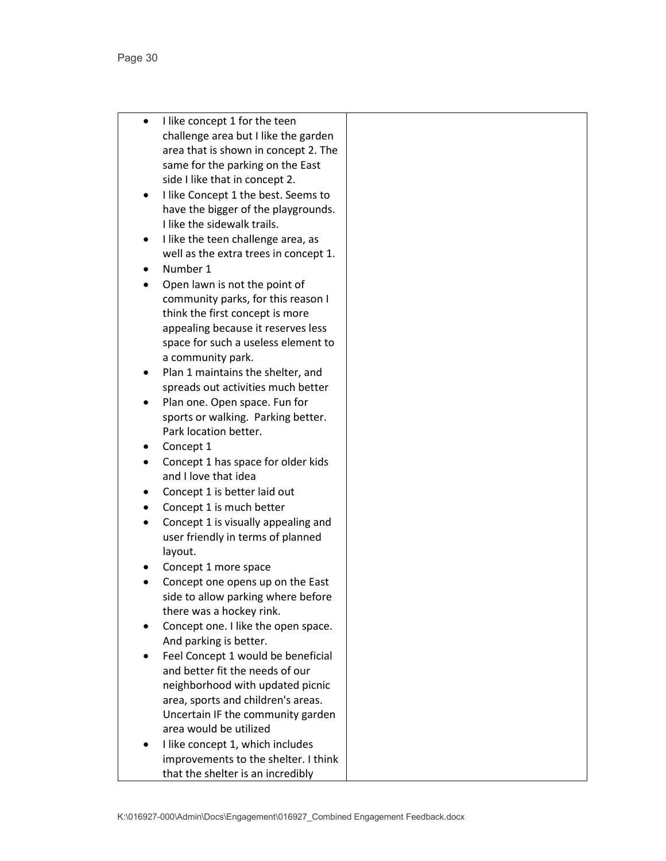- I like concept 1 for the teen challenge area but I like the garden area that is shown in concept 2. The same for the parking on the East side I like that in concept 2.
- I like Concept 1 the best. Seems to have the bigger of the playgrounds. I like the sidewalk trails.
- I like the teen challenge area, as well as the extra trees in concept 1.
- Number 1
- Open lawn is not the point of community parks, for this reason I think the first concept is more appealing because it reserves less space for such a useless element to a community park.
- Plan 1 maintains the shelter, and spreads out activities much better
- Plan one. Open space. Fun for sports or walking. Parking better. Park location better.
- Concept 1
- Concept 1 has space for older kids and I love that idea
- Concept 1 is better laid out
- Concept 1 is much better
- Concept 1 is visually appealing and user friendly in terms of planned layout.
- Concept 1 more space
- Concept one opens up on the East side to allow parking where before there was a hockey rink.
- Concept one. I like the open space. And parking is better.
- Feel Concept 1 would be beneficial and better fit the needs of our neighborhood with updated picnic area, sports and children's areas. Uncertain IF the community garden area would be utilized
- I like concept 1, which includes improvements to the shelter. I think that the shelter is an incredibly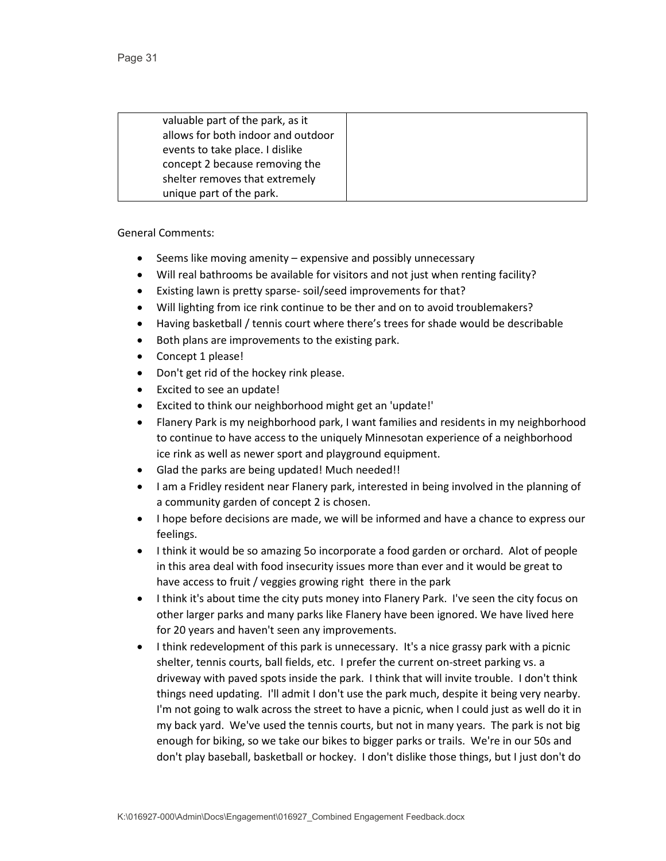| valuable part of the park, as it   |  |
|------------------------------------|--|
| allows for both indoor and outdoor |  |
| events to take place. I dislike    |  |
| concept 2 because removing the     |  |
| shelter removes that extremely     |  |
| unique part of the park.           |  |

- Seems like moving amenity expensive and possibly unnecessary
- Will real bathrooms be available for visitors and not just when renting facility?
- Existing lawn is pretty sparse- soil/seed improvements for that?
- Will lighting from ice rink continue to be ther and on to avoid troublemakers?
- Having basketball / tennis court where there's trees for shade would be describable
- Both plans are improvements to the existing park.
- Concept 1 please!
- Don't get rid of the hockey rink please.
- Excited to see an update!
- Excited to think our neighborhood might get an 'update!'
- Flanery Park is my neighborhood park, I want families and residents in my neighborhood to continue to have access to the uniquely Minnesotan experience of a neighborhood ice rink as well as newer sport and playground equipment.
- Glad the parks are being updated! Much needed!!
- I am a Fridley resident near Flanery park, interested in being involved in the planning of a community garden of concept 2 is chosen.
- I hope before decisions are made, we will be informed and have a chance to express our feelings.
- I think it would be so amazing 5o incorporate a food garden or orchard. Alot of people in this area deal with food insecurity issues more than ever and it would be great to have access to fruit / veggies growing right there in the park
- I think it's about time the city puts money into Flanery Park. I've seen the city focus on other larger parks and many parks like Flanery have been ignored. We have lived here for 20 years and haven't seen any improvements.
- I think redevelopment of this park is unnecessary. It's a nice grassy park with a picnic shelter, tennis courts, ball fields, etc. I prefer the current on-street parking vs. a driveway with paved spots inside the park. I think that will invite trouble. I don't think things need updating. I'll admit I don't use the park much, despite it being very nearby. I'm not going to walk across the street to have a picnic, when I could just as well do it in my back yard. We've used the tennis courts, but not in many years. The park is not big enough for biking, so we take our bikes to bigger parks or trails. We're in our 50s and don't play baseball, basketball or hockey. I don't dislike those things, but I just don't do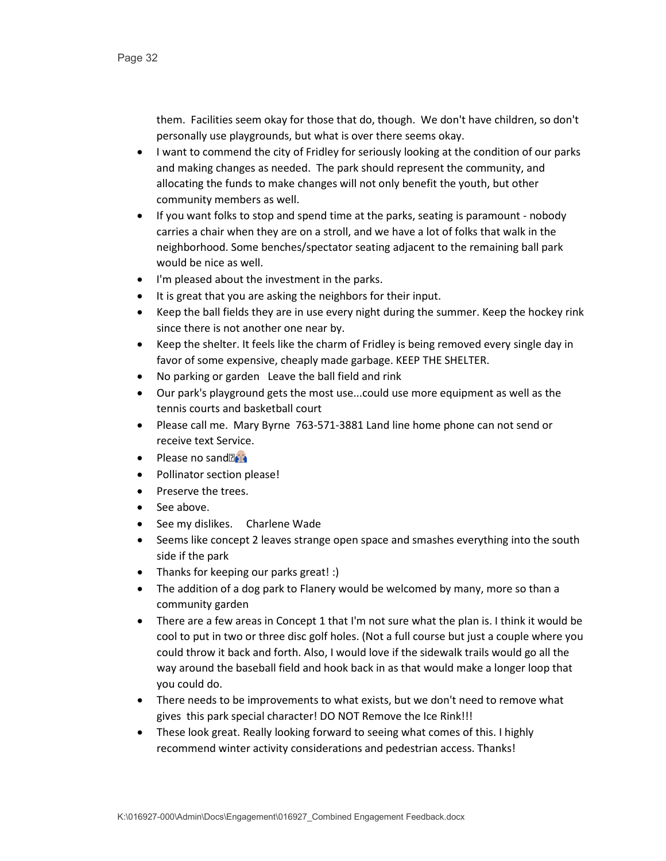them. Facilities seem okay for those that do, though. We don't have children, so don't personally use playgrounds, but what is over there seems okay.

- I want to commend the city of Fridley for seriously looking at the condition of our parks and making changes as needed. The park should represent the community, and allocating the funds to make changes will not only benefit the youth, but other community members as well.
- If you want folks to stop and spend time at the parks, seating is paramount nobody carries a chair when they are on a stroll, and we have a lot of folks that walk in the neighborhood. Some benches/spectator seating adjacent to the remaining ball park would be nice as well.
- I'm pleased about the investment in the parks.
- It is great that you are asking the neighbors for their input.
- Keep the ball fields they are in use every night during the summer. Keep the hockey rink since there is not another one near by.
- Keep the shelter. It feels like the charm of Fridley is being removed every single day in favor of some expensive, cheaply made garbage. KEEP THE SHELTER.
- No parking or garden Leave the ball field and rink
- Our park's playground gets the most use...could use more equipment as well as the tennis courts and basketball court
- Please call me. Mary Byrne 763-571-3881 Land line home phone can not send or receive text Service.
- Please no sand $\mathbb{F}$
- Pollinator section please!
- Preserve the trees.
- See above.
- See my dislikes. Charlene Wade
- Seems like concept 2 leaves strange open space and smashes everything into the south side if the park
- Thanks for keeping our parks great! :)
- The addition of a dog park to Flanery would be welcomed by many, more so than a community garden
- There are a few areas in Concept 1 that I'm not sure what the plan is. I think it would be cool to put in two or three disc golf holes. (Not a full course but just a couple where you could throw it back and forth. Also, I would love if the sidewalk trails would go all the way around the baseball field and hook back in as that would make a longer loop that you could do.
- There needs to be improvements to what exists, but we don't need to remove what gives this park special character! DO NOT Remove the Ice Rink!!!
- These look great. Really looking forward to seeing what comes of this. I highly recommend winter activity considerations and pedestrian access. Thanks!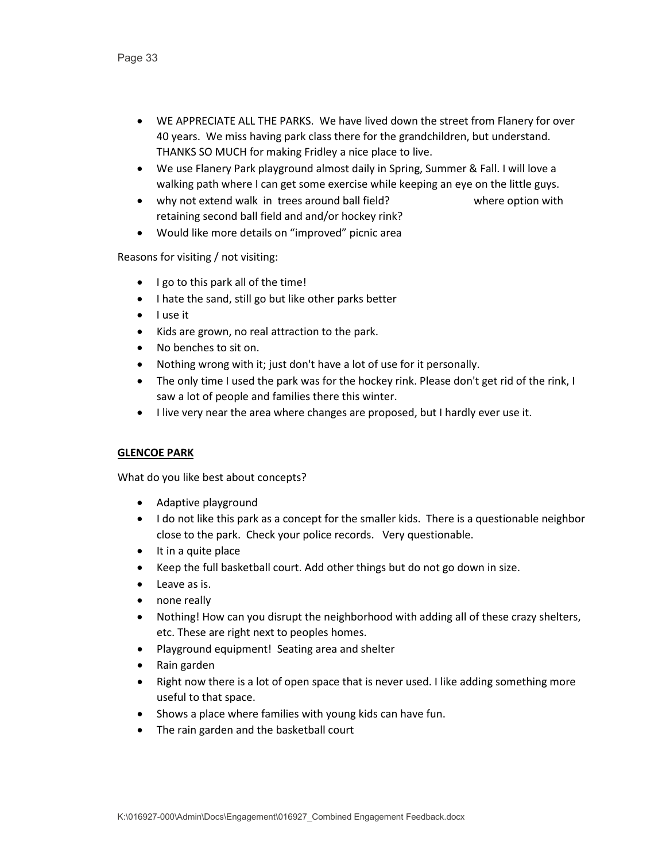- WE APPRECIATE ALL THE PARKS. We have lived down the street from Flanery for over 40 years. We miss having park class there for the grandchildren, but understand. THANKS SO MUCH for making Fridley a nice place to live.
- We use Flanery Park playground almost daily in Spring, Summer & Fall. I will love a walking path where I can get some exercise while keeping an eye on the little guys.
- why not extend walk in trees around ball field? where option with retaining second ball field and and/or hockey rink?
- Would like more details on "improved" picnic area

Reasons for visiting / not visiting:

- I go to this park all of the time!
- I hate the sand, still go but like other parks better
- I use it
- Kids are grown, no real attraction to the park.
- No benches to sit on.
- Nothing wrong with it; just don't have a lot of use for it personally.
- The only time I used the park was for the hockey rink. Please don't get rid of the rink, I saw a lot of people and families there this winter.
- I live very near the area where changes are proposed, but I hardly ever use it.

# **GLENCOE PARK**

- Adaptive playground
- I do not like this park as a concept for the smaller kids. There is a questionable neighbor close to the park. Check your police records. Very questionable.
- It in a quite place
- Keep the full basketball court. Add other things but do not go down in size.
- Leave as is.
- none really
- Nothing! How can you disrupt the neighborhood with adding all of these crazy shelters, etc. These are right next to peoples homes.
- Playground equipment! Seating area and shelter
- Rain garden
- Right now there is a lot of open space that is never used. I like adding something more useful to that space.
- Shows a place where families with young kids can have fun.
- The rain garden and the basketball court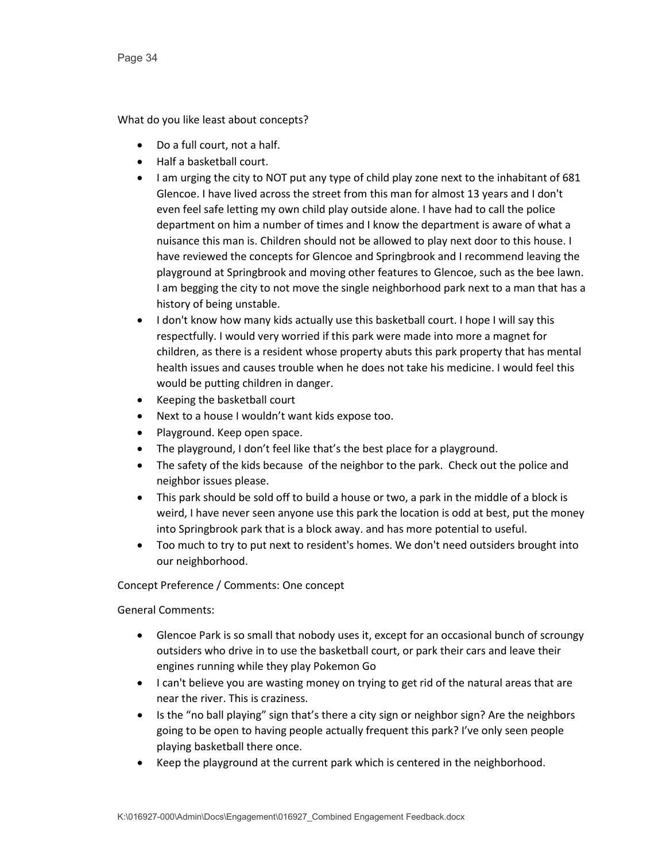What do you like least about concepts?

- Do a full court, not a half.
- Half a basketball court.
- I am urging the city to NOT put any type of child play zone next to the inhabitant of 681 Glencoe. I have lived across the street from this man for almost 13 years and I don't even feel safe letting my own child play outside alone. I have had to call the police department on him a number of times and I know the department is aware of what a nuisance this man is. Children should not be allowed to play next door to this house. I have reviewed the concepts for Glencoe and Springbrook and I recommend leaving the playground at Springbrook and moving other features to Glencoe, such as the bee lawn. I am begging the city to not move the single neighborhood park next to a man that has a history of being unstable.
- I don't know how many kids actually use this basketball court. I hope I will say this respectfully. I would very worried if this park were made into more a magnet for children, as there is a resident whose property abuts this park property that has mental health issues and causes trouble when he does not take his medicine. I would feel this would be putting children in danger.
- Keeping the basketball court
- Next to a house I wouldn't want kids expose too.
- Playground. Keep open space.
- The playground, I don't feel like that's the best place for a playground.
- The safety of the kids because of the neighbor to the park. Check out the police and neighbor issues please.
- This park should be sold off to build a house or two, a park in the middle of a block is weird, I have never seen anyone use this park the location is odd at best, put the money into Springbrook park that is a block away. and has more potential to useful.
- Too much to try to put next to resident's homes. We don't need outsiders brought into our neighborhood.

Concept Preference / Comments: One concept

- Glencoe Park is so small that nobody uses it, except for an occasional bunch of scroungy outsiders who drive in to use the basketball court, or park their cars and leave their engines running while they play Pokemon Go
- I can't believe you are wasting money on trying to get rid of the natural areas that are near the river. This is craziness.
- Is the "no ball playing" sign that's there a city sign or neighbor sign? Are the neighbors going to be open to having people actually frequent this park? I've only seen people playing basketball there once.
- Keep the playground at the current park which is centered in the neighborhood.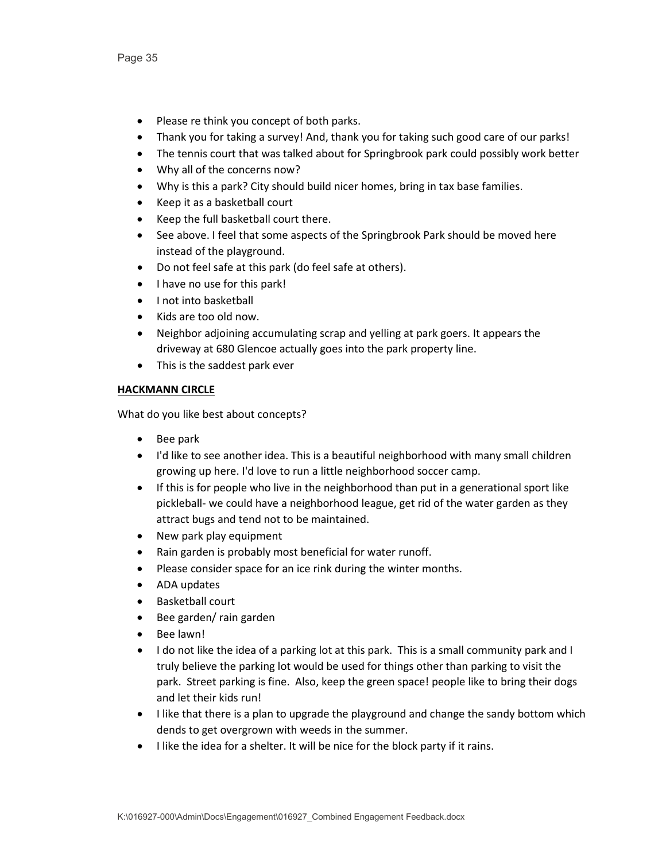- Please re think you concept of both parks.
- Thank you for taking a survey! And, thank you for taking such good care of our parks!
- The tennis court that was talked about for Springbrook park could possibly work better
- Why all of the concerns now?
- Why is this a park? City should build nicer homes, bring in tax base families.
- Keep it as a basketball court
- Keep the full basketball court there.
- See above. I feel that some aspects of the Springbrook Park should be moved here instead of the playground.
- Do not feel safe at this park (do feel safe at others).
- I have no use for this park!
- I not into basketball
- Kids are too old now.
- Neighbor adjoining accumulating scrap and yelling at park goers. It appears the driveway at 680 Glencoe actually goes into the park property line.
- This is the saddest park ever

#### **HACKMANN CIRCLE**

- Bee park
- I'd like to see another idea. This is a beautiful neighborhood with many small children growing up here. I'd love to run a little neighborhood soccer camp.
- If this is for people who live in the neighborhood than put in a generational sport like pickleball- we could have a neighborhood league, get rid of the water garden as they attract bugs and tend not to be maintained.
- New park play equipment
- Rain garden is probably most beneficial for water runoff.
- Please consider space for an ice rink during the winter months.
- ADA updates
- Basketball court
- Bee garden/ rain garden
- Bee lawn!
- I do not like the idea of a parking lot at this park. This is a small community park and I truly believe the parking lot would be used for things other than parking to visit the park. Street parking is fine. Also, keep the green space! people like to bring their dogs and let their kids run!
- I like that there is a plan to upgrade the playground and change the sandy bottom which dends to get overgrown with weeds in the summer.
- I like the idea for a shelter. It will be nice for the block party if it rains.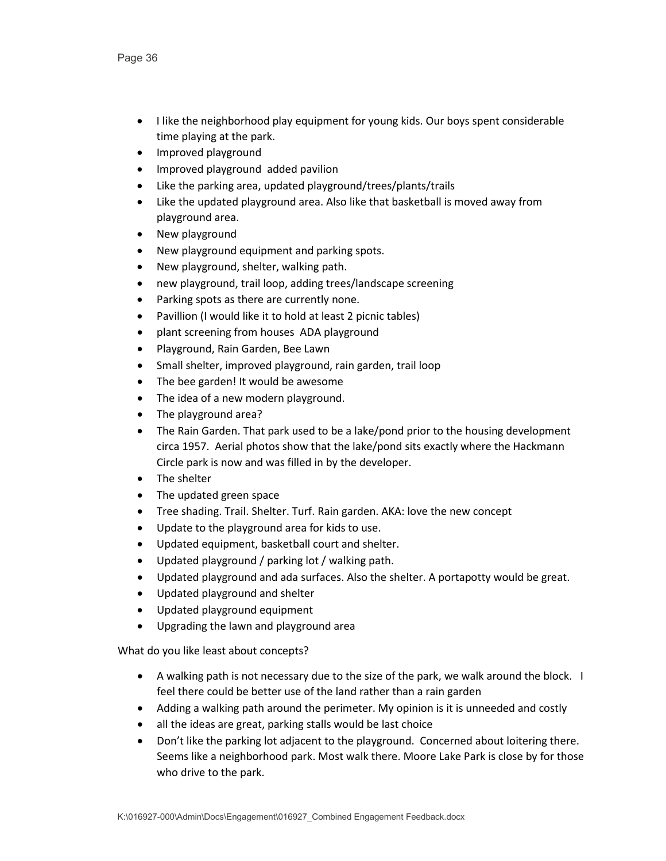- I like the neighborhood play equipment for young kids. Our boys spent considerable time playing at the park.
- Improved playground
- Improved playground added pavilion
- Like the parking area, updated playground/trees/plants/trails
- Like the updated playground area. Also like that basketball is moved away from playground area.
- New playground
- New playground equipment and parking spots.
- New playground, shelter, walking path.
- new playground, trail loop, adding trees/landscape screening
- Parking spots as there are currently none.
- Pavillion (I would like it to hold at least 2 picnic tables)
- plant screening from houses ADA playground
- Playground, Rain Garden, Bee Lawn
- Small shelter, improved playground, rain garden, trail loop
- The bee garden! It would be awesome
- The idea of a new modern playground.
- The playground area?
- The Rain Garden. That park used to be a lake/pond prior to the housing development circa 1957. Aerial photos show that the lake/pond sits exactly where the Hackmann Circle park is now and was filled in by the developer.
- The shelter
- The updated green space
- Tree shading. Trail. Shelter. Turf. Rain garden. AKA: love the new concept
- Update to the playground area for kids to use.
- Updated equipment, basketball court and shelter.
- Updated playground / parking lot / walking path.
- Updated playground and ada surfaces. Also the shelter. A portapotty would be great.
- Updated playground and shelter
- Updated playground equipment
- Upgrading the lawn and playground area

- A walking path is not necessary due to the size of the park, we walk around the block. I feel there could be better use of the land rather than a rain garden
- Adding a walking path around the perimeter. My opinion is it is unneeded and costly
- all the ideas are great, parking stalls would be last choice
- Don't like the parking lot adjacent to the playground. Concerned about loitering there. Seems like a neighborhood park. Most walk there. Moore Lake Park is close by for those who drive to the park.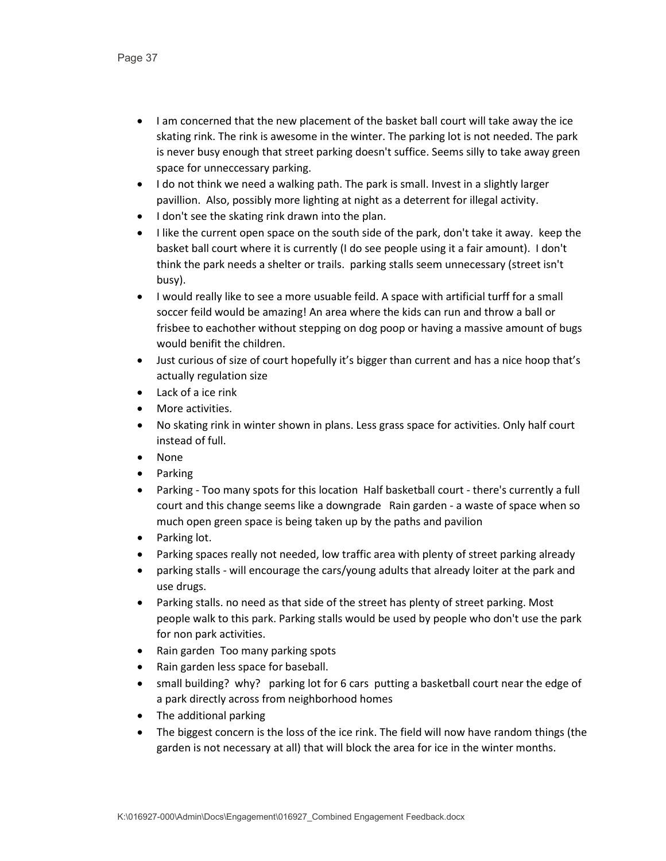- I am concerned that the new placement of the basket ball court will take away the ice skating rink. The rink is awesome in the winter. The parking lot is not needed. The park is never busy enough that street parking doesn't suffice. Seems silly to take away green space for unneccessary parking.
- I do not think we need a walking path. The park is small. Invest in a slightly larger pavillion. Also, possibly more lighting at night as a deterrent for illegal activity.
- I don't see the skating rink drawn into the plan.
- I like the current open space on the south side of the park, don't take it away. keep the basket ball court where it is currently (I do see people using it a fair amount). I don't think the park needs a shelter or trails. parking stalls seem unnecessary (street isn't busy).
- I would really like to see a more usuable feild. A space with artificial turff for a small soccer feild would be amazing! An area where the kids can run and throw a ball or frisbee to eachother without stepping on dog poop or having a massive amount of bugs would benifit the children.
- Just curious of size of court hopefully it's bigger than current and has a nice hoop that's actually regulation size
- Lack of a ice rink
- More activities.
- No skating rink in winter shown in plans. Less grass space for activities. Only half court instead of full.
- None
- Parking
- Parking Too many spots for this location Half basketball court there's currently a full court and this change seems like a downgrade Rain garden - a waste of space when so much open green space is being taken up by the paths and pavilion
- Parking lot.
- Parking spaces really not needed, low traffic area with plenty of street parking already
- parking stalls will encourage the cars/young adults that already loiter at the park and use drugs.
- Parking stalls. no need as that side of the street has plenty of street parking. Most people walk to this park. Parking stalls would be used by people who don't use the park for non park activities.
- Rain garden Too many parking spots
- Rain garden less space for baseball.
- small building? why? parking lot for 6 cars putting a basketball court near the edge of a park directly across from neighborhood homes
- The additional parking
- The biggest concern is the loss of the ice rink. The field will now have random things (the garden is not necessary at all) that will block the area for ice in the winter months.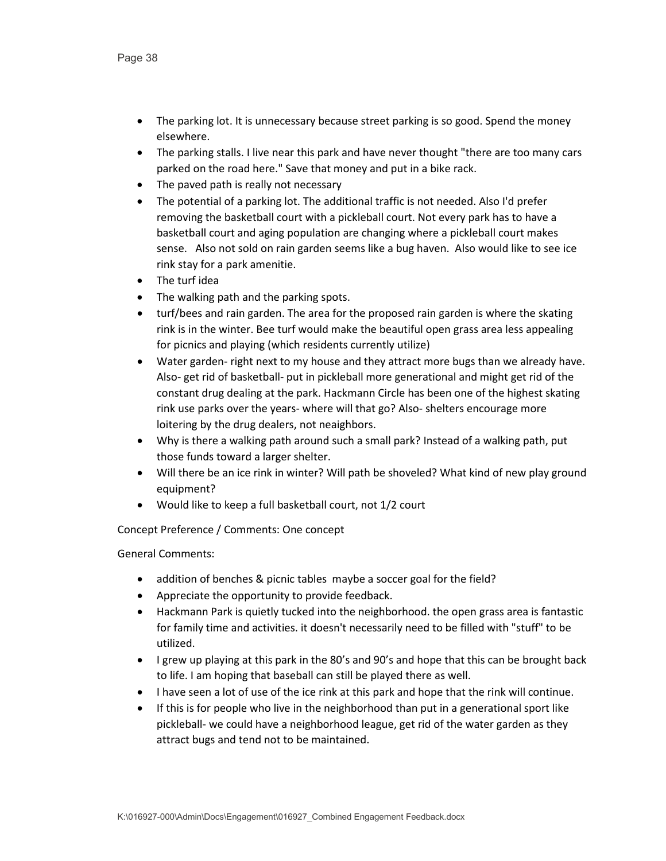- The parking lot. It is unnecessary because street parking is so good. Spend the money elsewhere.
- The parking stalls. I live near this park and have never thought "there are too many cars parked on the road here." Save that money and put in a bike rack.
- The paved path is really not necessary
- The potential of a parking lot. The additional traffic is not needed. Also I'd prefer removing the basketball court with a pickleball court. Not every park has to have a basketball court and aging population are changing where a pickleball court makes sense. Also not sold on rain garden seems like a bug haven. Also would like to see ice rink stay for a park amenitie.
- The turf idea
- The walking path and the parking spots.
- turf/bees and rain garden. The area for the proposed rain garden is where the skating rink is in the winter. Bee turf would make the beautiful open grass area less appealing for picnics and playing (which residents currently utilize)
- Water garden- right next to my house and they attract more bugs than we already have. Also- get rid of basketball- put in pickleball more generational and might get rid of the constant drug dealing at the park. Hackmann Circle has been one of the highest skating rink use parks over the years- where will that go? Also- shelters encourage more loitering by the drug dealers, not neaighbors.
- Why is there a walking path around such a small park? Instead of a walking path, put those funds toward a larger shelter.
- Will there be an ice rink in winter? Will path be shoveled? What kind of new play ground equipment?
- Would like to keep a full basketball court, not 1/2 court

Concept Preference / Comments: One concept

- addition of benches & picnic tables maybe a soccer goal for the field?
- Appreciate the opportunity to provide feedback.
- Hackmann Park is quietly tucked into the neighborhood. the open grass area is fantastic for family time and activities. it doesn't necessarily need to be filled with "stuff" to be utilized.
- I grew up playing at this park in the 80's and 90's and hope that this can be brought back to life. I am hoping that baseball can still be played there as well.
- I have seen a lot of use of the ice rink at this park and hope that the rink will continue.
- If this is for people who live in the neighborhood than put in a generational sport like pickleball- we could have a neighborhood league, get rid of the water garden as they attract bugs and tend not to be maintained.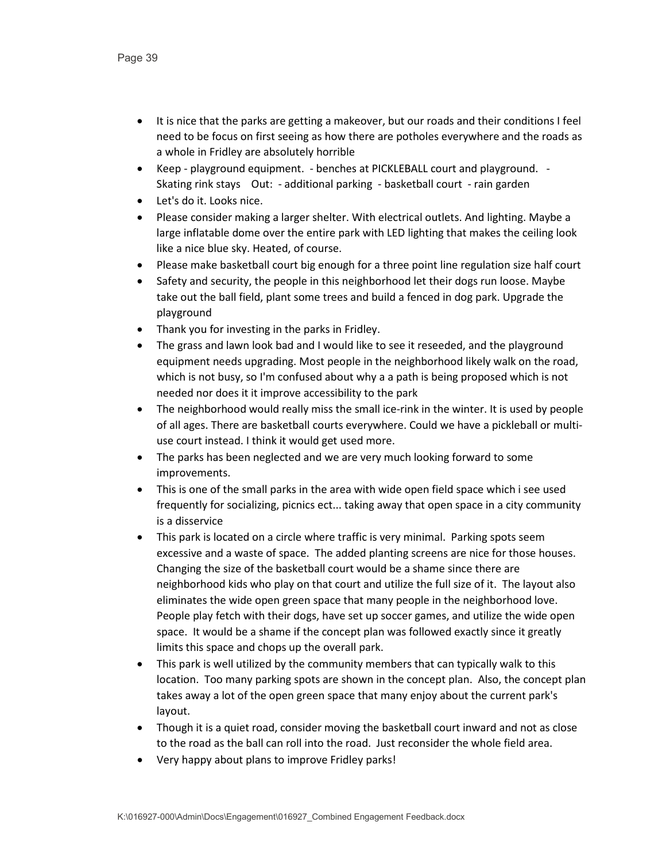- It is nice that the parks are getting a makeover, but our roads and their conditions I feel need to be focus on first seeing as how there are potholes everywhere and the roads as a whole in Fridley are absolutely horrible
- Keep playground equipment. benches at PICKLEBALL court and playground. Skating rink stays Out: - additional parking - basketball court - rain garden
- Let's do it. Looks nice.
- Please consider making a larger shelter. With electrical outlets. And lighting. Maybe a large inflatable dome over the entire park with LED lighting that makes the ceiling look like a nice blue sky. Heated, of course.
- Please make basketball court big enough for a three point line regulation size half court
- Safety and security, the people in this neighborhood let their dogs run loose. Maybe take out the ball field, plant some trees and build a fenced in dog park. Upgrade the playground
- Thank you for investing in the parks in Fridley.
- The grass and lawn look bad and I would like to see it reseeded, and the playground equipment needs upgrading. Most people in the neighborhood likely walk on the road, which is not busy, so I'm confused about why a a path is being proposed which is not needed nor does it it improve accessibility to the park
- The neighborhood would really miss the small ice-rink in the winter. It is used by people of all ages. There are basketball courts everywhere. Could we have a pickleball or multiuse court instead. I think it would get used more.
- The parks has been neglected and we are very much looking forward to some improvements.
- This is one of the small parks in the area with wide open field space which i see used frequently for socializing, picnics ect... taking away that open space in a city community is a disservice
- This park is located on a circle where traffic is very minimal. Parking spots seem excessive and a waste of space. The added planting screens are nice for those houses. Changing the size of the basketball court would be a shame since there are neighborhood kids who play on that court and utilize the full size of it. The layout also eliminates the wide open green space that many people in the neighborhood love. People play fetch with their dogs, have set up soccer games, and utilize the wide open space. It would be a shame if the concept plan was followed exactly since it greatly limits this space and chops up the overall park.
- This park is well utilized by the community members that can typically walk to this location. Too many parking spots are shown in the concept plan. Also, the concept plan takes away a lot of the open green space that many enjoy about the current park's layout.
- Though it is a quiet road, consider moving the basketball court inward and not as close to the road as the ball can roll into the road. Just reconsider the whole field area.
- Very happy about plans to improve Fridley parks!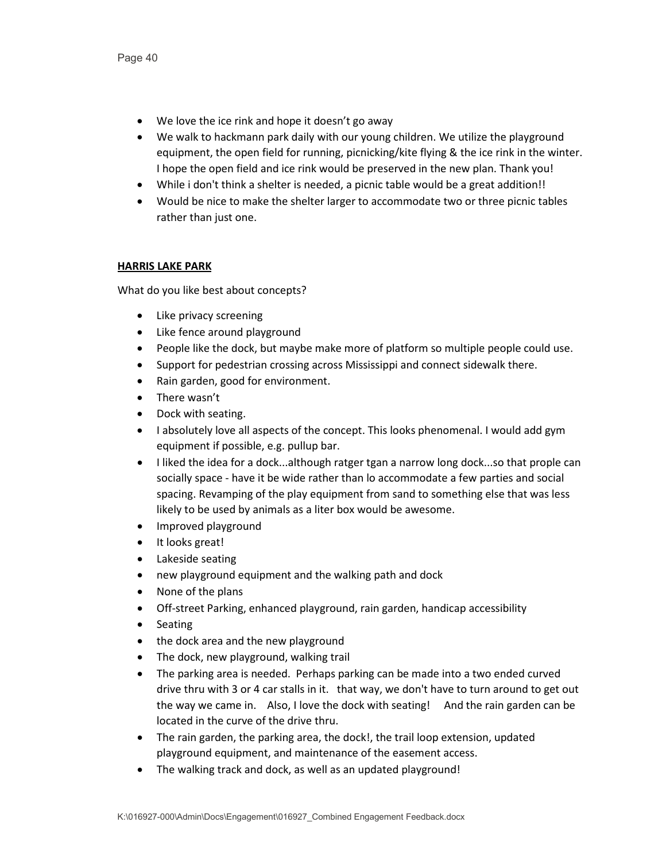- We love the ice rink and hope it doesn't go away
- We walk to hackmann park daily with our young children. We utilize the playground equipment, the open field for running, picnicking/kite flying & the ice rink in the winter. I hope the open field and ice rink would be preserved in the new plan. Thank you!
- While i don't think a shelter is needed, a picnic table would be a great addition!!
- Would be nice to make the shelter larger to accommodate two or three picnic tables rather than just one.

# **HARRIS LAKE PARK**

- Like privacy screening
- Like fence around playground
- People like the dock, but maybe make more of platform so multiple people could use.
- Support for pedestrian crossing across Mississippi and connect sidewalk there.
- Rain garden, good for environment.
- There wasn't
- Dock with seating.
- I absolutely love all aspects of the concept. This looks phenomenal. I would add gym equipment if possible, e.g. pullup bar.
- I liked the idea for a dock...although ratger tgan a narrow long dock...so that prople can socially space - have it be wide rather than lo accommodate a few parties and social spacing. Revamping of the play equipment from sand to something else that was less likely to be used by animals as a liter box would be awesome.
- Improved playground
- It looks great!
- Lakeside seating
- new playground equipment and the walking path and dock
- None of the plans
- Off-street Parking, enhanced playground, rain garden, handicap accessibility
- Seating
- the dock area and the new playground
- The dock, new playground, walking trail
- The parking area is needed. Perhaps parking can be made into a two ended curved drive thru with 3 or 4 car stalls in it. that way, we don't have to turn around to get out the way we came in. Also, I love the dock with seating! And the rain garden can be located in the curve of the drive thru.
- The rain garden, the parking area, the dock!, the trail loop extension, updated playground equipment, and maintenance of the easement access.
- The walking track and dock, as well as an updated playground!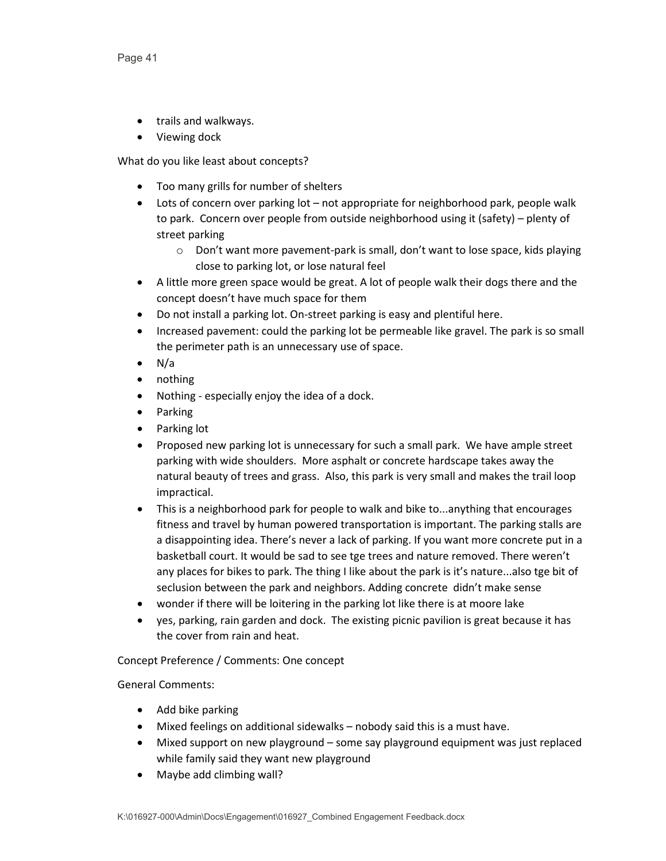- trails and walkways.
- Viewing dock

What do you like least about concepts?

- Too many grills for number of shelters
- Lots of concern over parking lot not appropriate for neighborhood park, people walk to park. Concern over people from outside neighborhood using it (safety) – plenty of street parking
	- o Don't want more pavement-park is small, don't want to lose space, kids playing close to parking lot, or lose natural feel
- A little more green space would be great. A lot of people walk their dogs there and the concept doesn't have much space for them
- Do not install a parking lot. On-street parking is easy and plentiful here.
- Increased pavement: could the parking lot be permeable like gravel. The park is so small the perimeter path is an unnecessary use of space.
- N/a
- nothing
- Nothing especially enjoy the idea of a dock.
- Parking
- Parking lot
- Proposed new parking lot is unnecessary for such a small park. We have ample street parking with wide shoulders. More asphalt or concrete hardscape takes away the natural beauty of trees and grass. Also, this park is very small and makes the trail loop impractical.
- This is a neighborhood park for people to walk and bike to...anything that encourages fitness and travel by human powered transportation is important. The parking stalls are a disappointing idea. There's never a lack of parking. If you want more concrete put in a basketball court. It would be sad to see tge trees and nature removed. There weren't any places for bikes to park. The thing I like about the park is it's nature...also tge bit of seclusion between the park and neighbors. Adding concrete didn't make sense
- wonder if there will be loitering in the parking lot like there is at moore lake
- yes, parking, rain garden and dock. The existing picnic pavilion is great because it has the cover from rain and heat.

Concept Preference / Comments: One concept

- Add bike parking
- Mixed feelings on additional sidewalks nobody said this is a must have.
- Mixed support on new playground some say playground equipment was just replaced while family said they want new playground
- Maybe add climbing wall?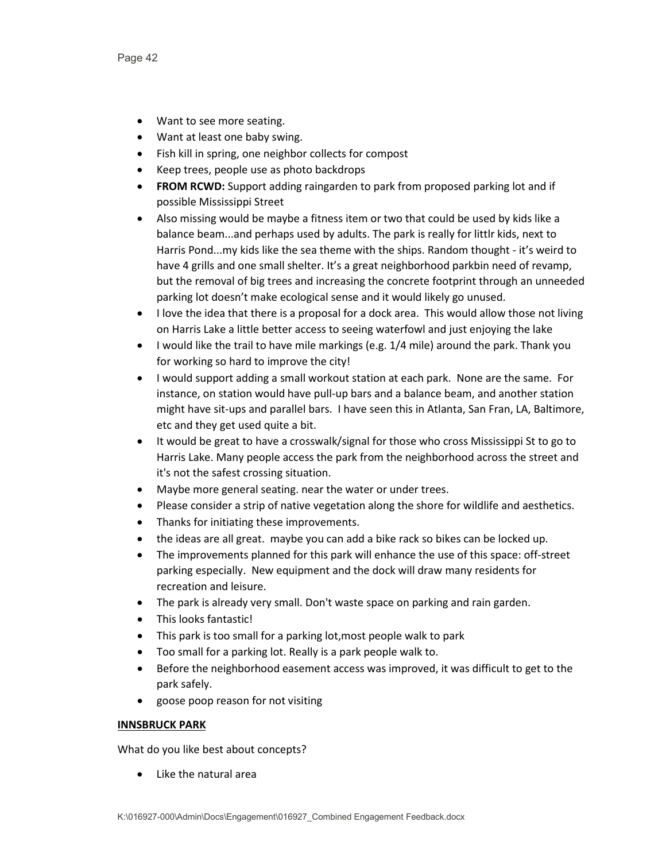- Want to see more seating.
- Want at least one baby swing.
- Fish kill in spring, one neighbor collects for compost
- Keep trees, people use as photo backdrops
- **FROM RCWD:** Support adding raingarden to park from proposed parking lot and if possible Mississippi Street
- Also missing would be maybe a fitness item or two that could be used by kids like a balance beam...and perhaps used by adults. The park is really for littlr kids, next to Harris Pond...my kids like the sea theme with the ships. Random thought - it's weird to have 4 grills and one small shelter. It's a great neighborhood parkbin need of revamp, but the removal of big trees and increasing the concrete footprint through an unneeded parking lot doesn't make ecological sense and it would likely go unused.
- I love the idea that there is a proposal for a dock area. This would allow those not living on Harris Lake a little better access to seeing waterfowl and just enjoying the lake
- I would like the trail to have mile markings (e.g. 1/4 mile) around the park. Thank you for working so hard to improve the city!
- I would support adding a small workout station at each park. None are the same. For instance, on station would have pull-up bars and a balance beam, and another station might have sit-ups and parallel bars. I have seen this in Atlanta, San Fran, LA, Baltimore, etc and they get used quite a bit.
- It would be great to have a crosswalk/signal for those who cross Mississippi St to go to Harris Lake. Many people access the park from the neighborhood across the street and it's not the safest crossing situation.
- Maybe more general seating. near the water or under trees.
- Please consider a strip of native vegetation along the shore for wildlife and aesthetics.
- Thanks for initiating these improvements.
- the ideas are all great. maybe you can add a bike rack so bikes can be locked up.
- The improvements planned for this park will enhance the use of this space: off-street parking especially. New equipment and the dock will draw many residents for recreation and leisure.
- The park is already very small. Don't waste space on parking and rain garden.
- This looks fantastic!
- This park is too small for a parking lot,most people walk to park
- Too small for a parking lot. Really is a park people walk to.
- Before the neighborhood easement access was improved, it was difficult to get to the park safely.
- goose poop reason for not visiting

# **INNSBRUCK PARK**

What do you like best about concepts?

• Like the natural area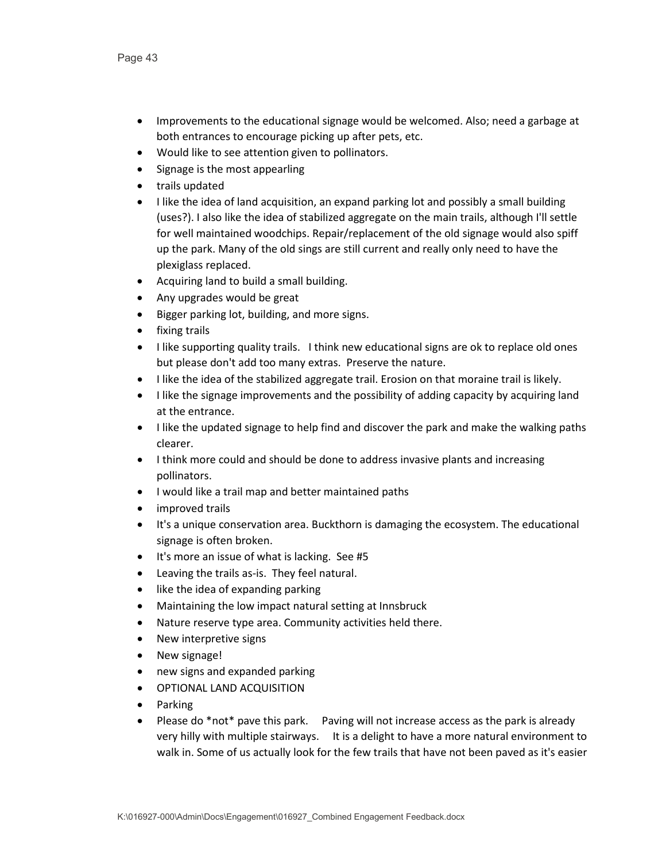- Improvements to the educational signage would be welcomed. Also; need a garbage at both entrances to encourage picking up after pets, etc.
- Would like to see attention given to pollinators.
- Signage is the most appearling
- trails updated
- I like the idea of land acquisition, an expand parking lot and possibly a small building (uses?). I also like the idea of stabilized aggregate on the main trails, although I'll settle for well maintained woodchips. Repair/replacement of the old signage would also spiff up the park. Many of the old sings are still current and really only need to have the plexiglass replaced.
- Acquiring land to build a small building.
- Any upgrades would be great
- Bigger parking lot, building, and more signs.
- fixing trails
- I like supporting quality trails. I think new educational signs are ok to replace old ones but please don't add too many extras. Preserve the nature.
- I like the idea of the stabilized aggregate trail. Erosion on that moraine trail is likely.
- I like the signage improvements and the possibility of adding capacity by acquiring land at the entrance.
- I like the updated signage to help find and discover the park and make the walking paths clearer.
- I think more could and should be done to address invasive plants and increasing pollinators.
- I would like a trail map and better maintained paths
- improved trails
- It's a unique conservation area. Buckthorn is damaging the ecosystem. The educational signage is often broken.
- It's more an issue of what is lacking. See #5
- Leaving the trails as-is. They feel natural.
- like the idea of expanding parking
- Maintaining the low impact natural setting at Innsbruck
- Nature reserve type area. Community activities held there.
- New interpretive signs
- New signage!
- new signs and expanded parking
- OPTIONAL LAND ACQUISITION
- Parking
- Please do \*not\* pave this park. Paving will not increase access as the park is already very hilly with multiple stairways. It is a delight to have a more natural environment to walk in. Some of us actually look for the few trails that have not been paved as it's easier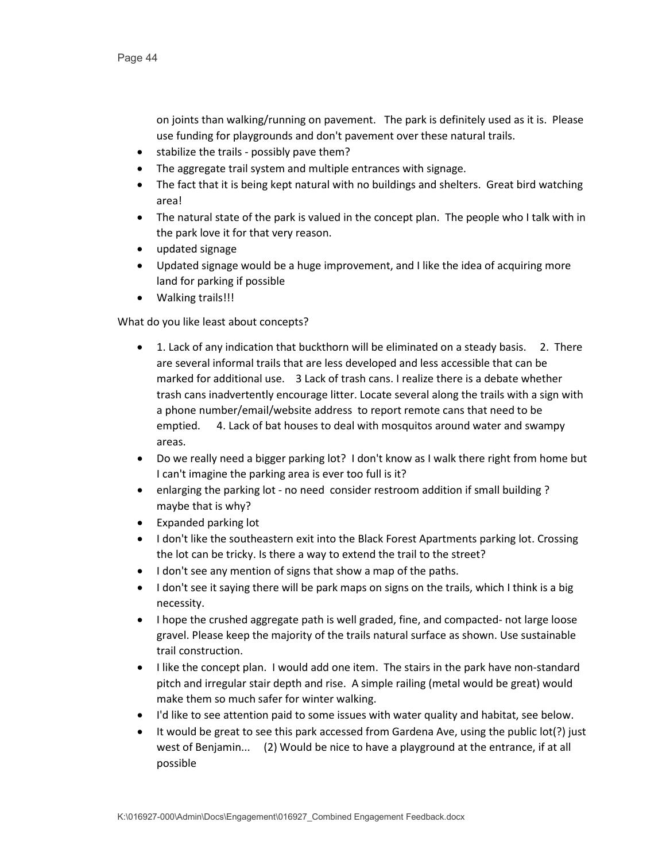on joints than walking/running on pavement. The park is definitely used as it is. Please use funding for playgrounds and don't pavement over these natural trails.

- stabilize the trails possibly pave them?
- The aggregate trail system and multiple entrances with signage.
- The fact that it is being kept natural with no buildings and shelters. Great bird watching area!
- The natural state of the park is valued in the concept plan. The people who I talk with in the park love it for that very reason.
- updated signage
- Updated signage would be a huge improvement, and I like the idea of acquiring more land for parking if possible
- Walking trails!!!

- 1. Lack of any indication that buckthorn will be eliminated on a steady basis. 2. There are several informal trails that are less developed and less accessible that can be marked for additional use. 3 Lack of trash cans. I realize there is a debate whether trash cans inadvertently encourage litter. Locate several along the trails with a sign with a phone number/email/website address to report remote cans that need to be emptied. 4. Lack of bat houses to deal with mosquitos around water and swampy areas.
- Do we really need a bigger parking lot? I don't know as I walk there right from home but I can't imagine the parking area is ever too full is it?
- enlarging the parking lot no need consider restroom addition if small building? maybe that is why?
- Expanded parking lot
- I don't like the southeastern exit into the Black Forest Apartments parking lot. Crossing the lot can be tricky. Is there a way to extend the trail to the street?
- I don't see any mention of signs that show a map of the paths.
- I don't see it saying there will be park maps on signs on the trails, which I think is a big necessity.
- I hope the crushed aggregate path is well graded, fine, and compacted- not large loose gravel. Please keep the majority of the trails natural surface as shown. Use sustainable trail construction.
- I like the concept plan. I would add one item. The stairs in the park have non-standard pitch and irregular stair depth and rise. A simple railing (metal would be great) would make them so much safer for winter walking.
- I'd like to see attention paid to some issues with water quality and habitat, see below.
- It would be great to see this park accessed from Gardena Ave, using the public lot(?) just west of Benjamin... (2) Would be nice to have a playground at the entrance, if at all possible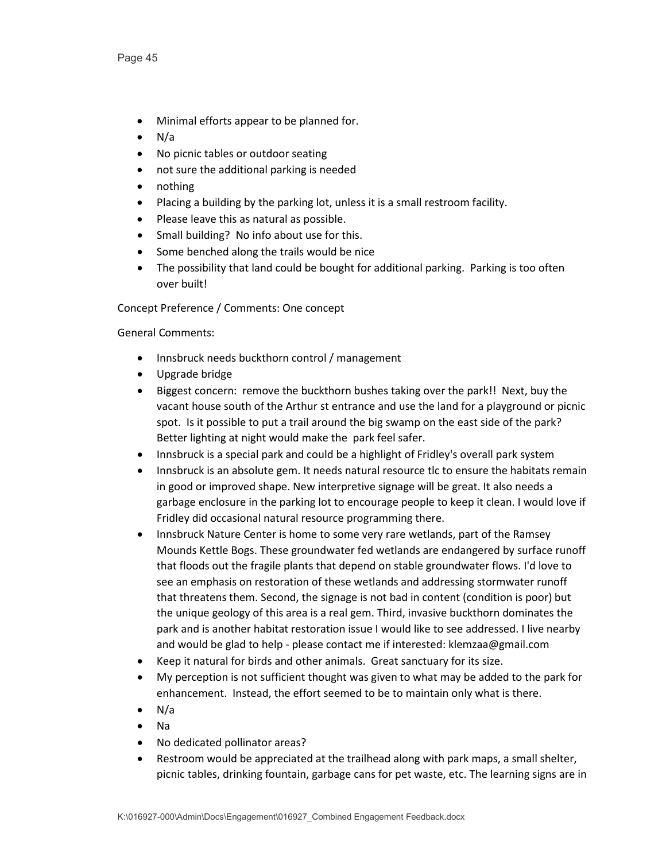- Minimal efforts appear to be planned for.
- N/a
- No picnic tables or outdoor seating
- not sure the additional parking is needed
- nothing
- Placing a building by the parking lot, unless it is a small restroom facility.
- Please leave this as natural as possible.
- Small building? No info about use for this.
- Some benched along the trails would be nice
- The possibility that land could be bought for additional parking. Parking is too often over built!

Concept Preference / Comments: One concept

- Innsbruck needs buckthorn control / management
- Upgrade bridge
- Biggest concern: remove the buckthorn bushes taking over the park!! Next, buy the vacant house south of the Arthur st entrance and use the land for a playground or picnic spot. Is it possible to put a trail around the big swamp on the east side of the park? Better lighting at night would make the park feel safer.
- Innsbruck is a special park and could be a highlight of Fridley's overall park system
- Innsbruck is an absolute gem. It needs natural resource tlc to ensure the habitats remain in good or improved shape. New interpretive signage will be great. It also needs a garbage enclosure in the parking lot to encourage people to keep it clean. I would love if Fridley did occasional natural resource programming there.
- Innsbruck Nature Center is home to some very rare wetlands, part of the Ramsey Mounds Kettle Bogs. These groundwater fed wetlands are endangered by surface runoff that floods out the fragile plants that depend on stable groundwater flows. I'd love to see an emphasis on restoration of these wetlands and addressing stormwater runoff that threatens them. Second, the signage is not bad in content (condition is poor) but the unique geology of this area is a real gem. Third, invasive buckthorn dominates the park and is another habitat restoration issue I would like to see addressed. I live nearby and would be glad to help - please contact me if interested: klemzaa@gmail.com
- Keep it natural for birds and other animals. Great sanctuary for its size.
- My perception is not sufficient thought was given to what may be added to the park for enhancement. Instead, the effort seemed to be to maintain only what is there.
- N/a
- Na
- No dedicated pollinator areas?
- Restroom would be appreciated at the trailhead along with park maps, a small shelter, picnic tables, drinking fountain, garbage cans for pet waste, etc. The learning signs are in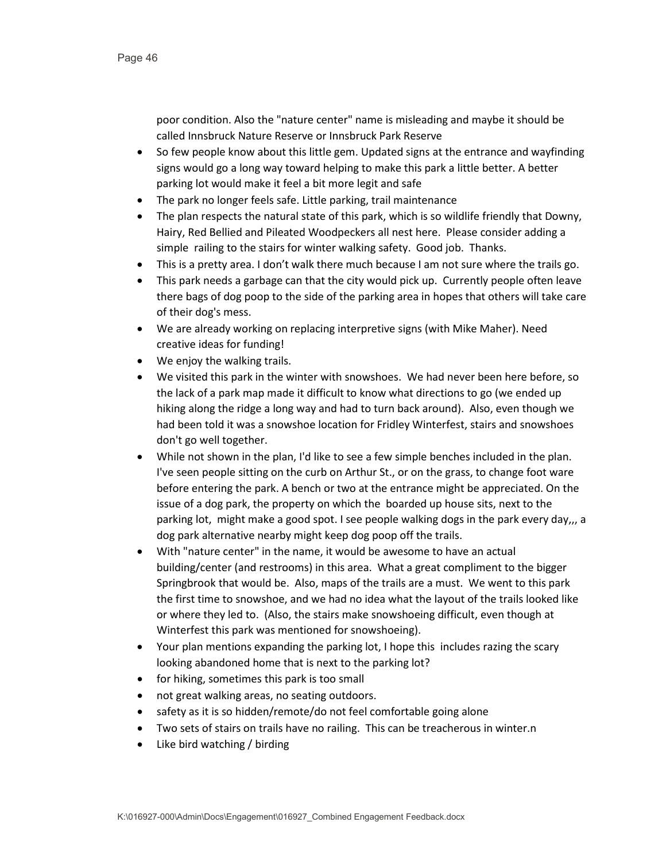poor condition. Also the "nature center" name is misleading and maybe it should be called Innsbruck Nature Reserve or Innsbruck Park Reserve

- So few people know about this little gem. Updated signs at the entrance and wayfinding signs would go a long way toward helping to make this park a little better. A better parking lot would make it feel a bit more legit and safe
- The park no longer feels safe. Little parking, trail maintenance
- The plan respects the natural state of this park, which is so wildlife friendly that Downy, Hairy, Red Bellied and Pileated Woodpeckers all nest here. Please consider adding a simple railing to the stairs for winter walking safety. Good job. Thanks.
- This is a pretty area. I don't walk there much because I am not sure where the trails go.
- This park needs a garbage can that the city would pick up. Currently people often leave there bags of dog poop to the side of the parking area in hopes that others will take care of their dog's mess.
- We are already working on replacing interpretive signs (with Mike Maher). Need creative ideas for funding!
- We enjoy the walking trails.
- We visited this park in the winter with snowshoes. We had never been here before, so the lack of a park map made it difficult to know what directions to go (we ended up hiking along the ridge a long way and had to turn back around). Also, even though we had been told it was a snowshoe location for Fridley Winterfest, stairs and snowshoes don't go well together.
- While not shown in the plan, I'd like to see a few simple benches included in the plan. I've seen people sitting on the curb on Arthur St., or on the grass, to change foot ware before entering the park. A bench or two at the entrance might be appreciated. On the issue of a dog park, the property on which the boarded up house sits, next to the parking lot, might make a good spot. I see people walking dogs in the park every day,,, a dog park alternative nearby might keep dog poop off the trails.
- With "nature center" in the name, it would be awesome to have an actual building/center (and restrooms) in this area. What a great compliment to the bigger Springbrook that would be. Also, maps of the trails are a must. We went to this park the first time to snowshoe, and we had no idea what the layout of the trails looked like or where they led to. (Also, the stairs make snowshoeing difficult, even though at Winterfest this park was mentioned for snowshoeing).
- Your plan mentions expanding the parking lot, I hope this includes razing the scary looking abandoned home that is next to the parking lot?
- for hiking, sometimes this park is too small
- not great walking areas, no seating outdoors.
- safety as it is so hidden/remote/do not feel comfortable going alone
- Two sets of stairs on trails have no railing. This can be treacherous in winter.n
- Like bird watching / birding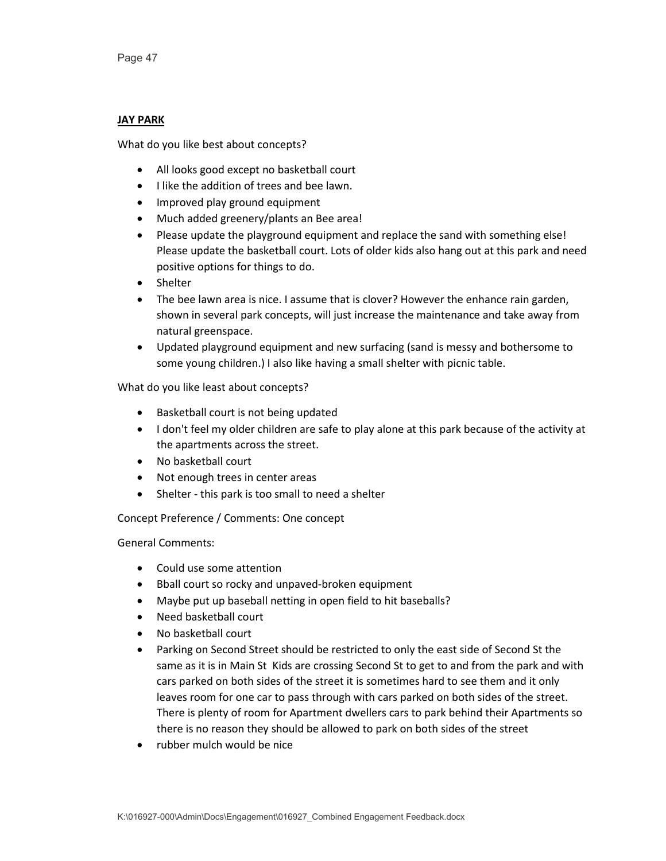# **JAY PARK**

What do you like best about concepts?

- All looks good except no basketball court
- I like the addition of trees and bee lawn.
- Improved play ground equipment
- Much added greenery/plants an Bee area!
- Please update the playground equipment and replace the sand with something else! Please update the basketball court. Lots of older kids also hang out at this park and need positive options for things to do.
- Shelter
- The bee lawn area is nice. I assume that is clover? However the enhance rain garden, shown in several park concepts, will just increase the maintenance and take away from natural greenspace.
- Updated playground equipment and new surfacing (sand is messy and bothersome to some young children.) I also like having a small shelter with picnic table.

What do you like least about concepts?

- Basketball court is not being updated
- I don't feel my older children are safe to play alone at this park because of the activity at the apartments across the street.
- No basketball court
- Not enough trees in center areas
- Shelter this park is too small to need a shelter

Concept Preference / Comments: One concept

- Could use some attention
- Bball court so rocky and unpaved-broken equipment
- Maybe put up baseball netting in open field to hit baseballs?
- Need basketball court
- No basketball court
- Parking on Second Street should be restricted to only the east side of Second St the same as it is in Main St Kids are crossing Second St to get to and from the park and with cars parked on both sides of the street it is sometimes hard to see them and it only leaves room for one car to pass through with cars parked on both sides of the street. There is plenty of room for Apartment dwellers cars to park behind their Apartments so there is no reason they should be allowed to park on both sides of the street
- rubber mulch would be nice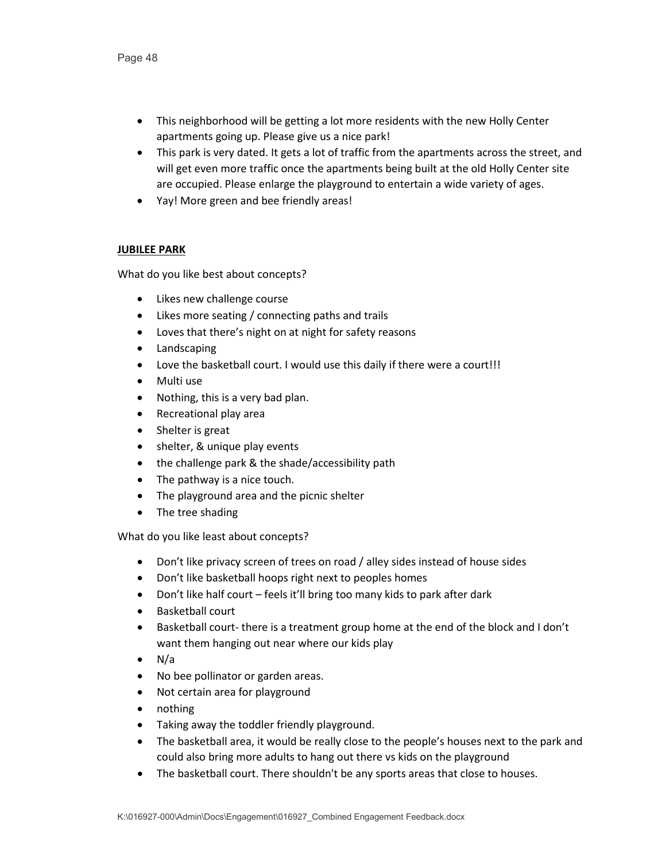- This neighborhood will be getting a lot more residents with the new Holly Center apartments going up. Please give us a nice park!
- This park is very dated. It gets a lot of traffic from the apartments across the street, and will get even more traffic once the apartments being built at the old Holly Center site are occupied. Please enlarge the playground to entertain a wide variety of ages.
- Yay! More green and bee friendly areas!

# **JUBILEE PARK**

What do you like best about concepts?

- Likes new challenge course
- Likes more seating / connecting paths and trails
- Loves that there's night on at night for safety reasons
- Landscaping
- Love the basketball court. I would use this daily if there were a court!!!
- Multi use
- Nothing, this is a very bad plan.
- Recreational play area
- Shelter is great
- shelter, & unique play events
- the challenge park & the shade/accessibility path
- The pathway is a nice touch.
- The playground area and the picnic shelter
- The tree shading

- Don't like privacy screen of trees on road / alley sides instead of house sides
- Don't like basketball hoops right next to peoples homes
- Don't like half court feels it'll bring too many kids to park after dark
- Basketball court
- Basketball court- there is a treatment group home at the end of the block and I don't want them hanging out near where our kids play
- N/a
- No bee pollinator or garden areas.
- Not certain area for playground
- nothing
- Taking away the toddler friendly playground.
- The basketball area, it would be really close to the people's houses next to the park and could also bring more adults to hang out there vs kids on the playground
- The basketball court. There shouldn't be any sports areas that close to houses.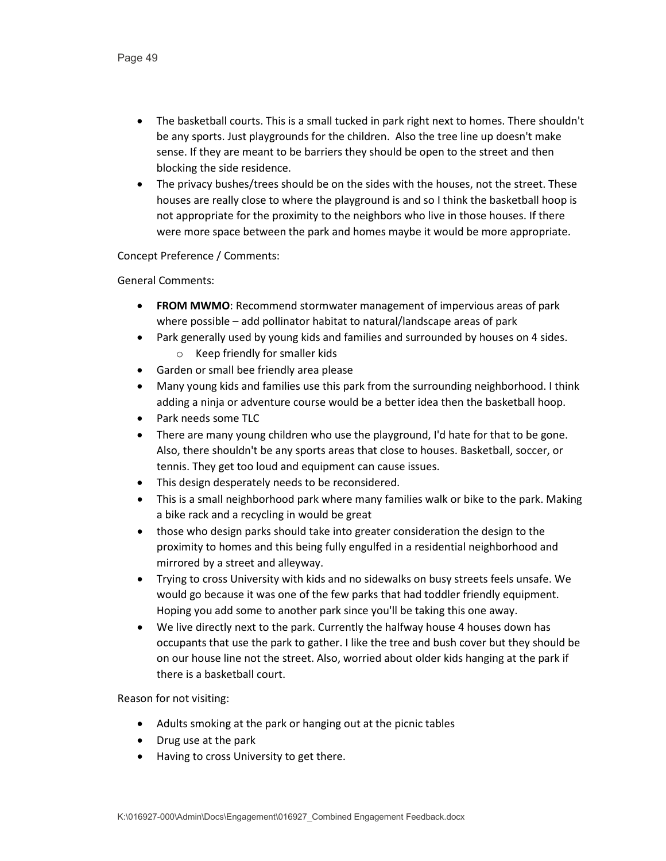- The basketball courts. This is a small tucked in park right next to homes. There shouldn't be any sports. Just playgrounds for the children. Also the tree line up doesn't make sense. If they are meant to be barriers they should be open to the street and then blocking the side residence.
- The privacy bushes/trees should be on the sides with the houses, not the street. These houses are really close to where the playground is and so I think the basketball hoop is not appropriate for the proximity to the neighbors who live in those houses. If there were more space between the park and homes maybe it would be more appropriate.

Concept Preference / Comments:

General Comments:

- **FROM MWMO**: Recommend stormwater management of impervious areas of park where possible – add pollinator habitat to natural/landscape areas of park
- Park generally used by young kids and families and surrounded by houses on 4 sides. o Keep friendly for smaller kids
- Garden or small bee friendly area please
- Many young kids and families use this park from the surrounding neighborhood. I think adding a ninja or adventure course would be a better idea then the basketball hoop.
- Park needs some TLC
- There are many young children who use the playground, I'd hate for that to be gone. Also, there shouldn't be any sports areas that close to houses. Basketball, soccer, or tennis. They get too loud and equipment can cause issues.
- This design desperately needs to be reconsidered.
- This is a small neighborhood park where many families walk or bike to the park. Making a bike rack and a recycling in would be great
- those who design parks should take into greater consideration the design to the proximity to homes and this being fully engulfed in a residential neighborhood and mirrored by a street and alleyway.
- Trying to cross University with kids and no sidewalks on busy streets feels unsafe. We would go because it was one of the few parks that had toddler friendly equipment. Hoping you add some to another park since you'll be taking this one away.
- We live directly next to the park. Currently the halfway house 4 houses down has occupants that use the park to gather. I like the tree and bush cover but they should be on our house line not the street. Also, worried about older kids hanging at the park if there is a basketball court.

Reason for not visiting:

- Adults smoking at the park or hanging out at the picnic tables
- Drug use at the park
- Having to cross University to get there.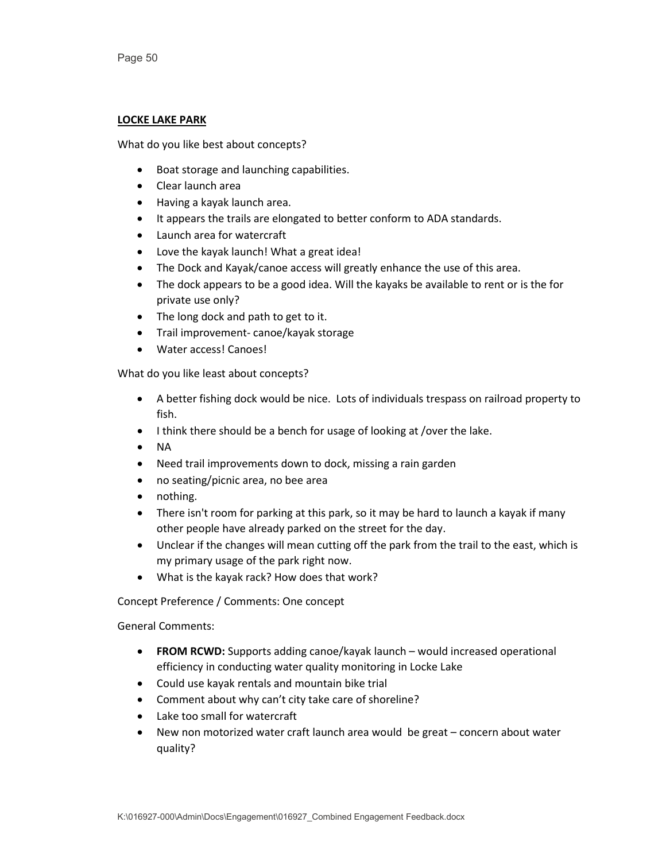### **LOCKE LAKE PARK**

What do you like best about concepts?

- Boat storage and launching capabilities.
- Clear launch area
- Having a kayak launch area.
- It appears the trails are elongated to better conform to ADA standards.
- Launch area for watercraft
- Love the kayak launch! What a great idea!
- The Dock and Kayak/canoe access will greatly enhance the use of this area.
- The dock appears to be a good idea. Will the kayaks be available to rent or is the for private use only?
- The long dock and path to get to it.
- Trail improvement- canoe/kayak storage
- Water access! Canoes!

What do you like least about concepts?

- A better fishing dock would be nice. Lots of individuals trespass on railroad property to fish.
- I think there should be a bench for usage of looking at /over the lake.
- NA
- Need trail improvements down to dock, missing a rain garden
- no seating/picnic area, no bee area
- nothing.
- There isn't room for parking at this park, so it may be hard to launch a kayak if many other people have already parked on the street for the day.
- Unclear if the changes will mean cutting off the park from the trail to the east, which is my primary usage of the park right now.
- What is the kayak rack? How does that work?

Concept Preference / Comments: One concept

- **FROM RCWD:** Supports adding canoe/kayak launch would increased operational efficiency in conducting water quality monitoring in Locke Lake
- Could use kayak rentals and mountain bike trial
- Comment about why can't city take care of shoreline?
- Lake too small for watercraft
- New non motorized water craft launch area would be great concern about water quality?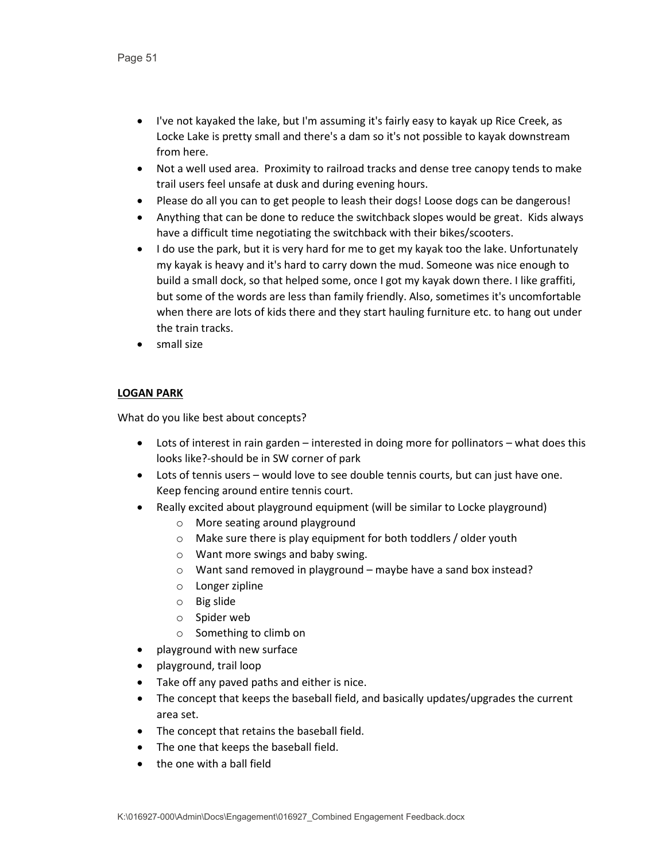- I've not kayaked the lake, but I'm assuming it's fairly easy to kayak up Rice Creek, as Locke Lake is pretty small and there's a dam so it's not possible to kayak downstream from here.
- Not a well used area. Proximity to railroad tracks and dense tree canopy tends to make trail users feel unsafe at dusk and during evening hours.
- Please do all you can to get people to leash their dogs! Loose dogs can be dangerous!
- Anything that can be done to reduce the switchback slopes would be great. Kids always have a difficult time negotiating the switchback with their bikes/scooters.
- I do use the park, but it is very hard for me to get my kayak too the lake. Unfortunately my kayak is heavy and it's hard to carry down the mud. Someone was nice enough to build a small dock, so that helped some, once I got my kayak down there. I like graffiti, but some of the words are less than family friendly. Also, sometimes it's uncomfortable when there are lots of kids there and they start hauling furniture etc. to hang out under the train tracks.
- small size

# **LOGAN PARK**

- Lots of interest in rain garden interested in doing more for pollinators what does this looks like?-should be in SW corner of park
- Lots of tennis users would love to see double tennis courts, but can just have one. Keep fencing around entire tennis court.
- Really excited about playground equipment (will be similar to Locke playground)
	- o More seating around playground
	- o Make sure there is play equipment for both toddlers / older youth
	- o Want more swings and baby swing.
	- o Want sand removed in playground maybe have a sand box instead?
	- o Longer zipline
	- o Big slide
	- o Spider web
	- o Something to climb on
- playground with new surface
- playground, trail loop
- Take off any paved paths and either is nice.
- The concept that keeps the baseball field, and basically updates/upgrades the current area set.
- The concept that retains the baseball field.
- The one that keeps the baseball field.
- the one with a ball field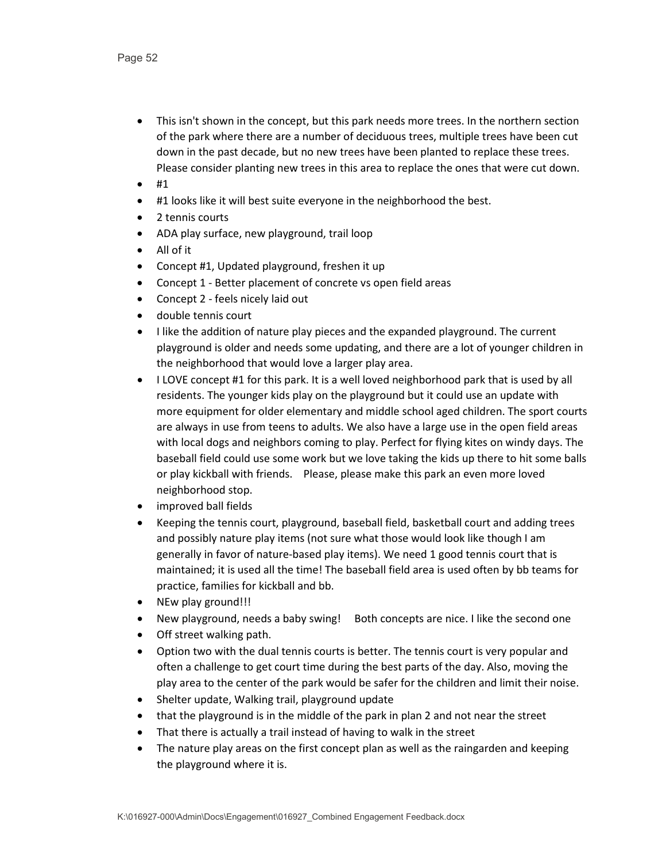- This isn't shown in the concept, but this park needs more trees. In the northern section of the park where there are a number of deciduous trees, multiple trees have been cut down in the past decade, but no new trees have been planted to replace these trees. Please consider planting new trees in this area to replace the ones that were cut down.
- #1
- #1 looks like it will best suite everyone in the neighborhood the best.
- 2 tennis courts
- ADA play surface, new playground, trail loop
- All of it
- Concept #1, Updated playground, freshen it up
- Concept 1 Better placement of concrete vs open field areas
- Concept 2 feels nicely laid out
- double tennis court
- I like the addition of nature play pieces and the expanded playground. The current playground is older and needs some updating, and there are a lot of younger children in the neighborhood that would love a larger play area.
- I LOVE concept #1 for this park. It is a well loved neighborhood park that is used by all residents. The younger kids play on the playground but it could use an update with more equipment for older elementary and middle school aged children. The sport courts are always in use from teens to adults. We also have a large use in the open field areas with local dogs and neighbors coming to play. Perfect for flying kites on windy days. The baseball field could use some work but we love taking the kids up there to hit some balls or play kickball with friends. Please, please make this park an even more loved neighborhood stop.
- improved ball fields
- Keeping the tennis court, playground, baseball field, basketball court and adding trees and possibly nature play items (not sure what those would look like though I am generally in favor of nature-based play items). We need 1 good tennis court that is maintained; it is used all the time! The baseball field area is used often by bb teams for practice, families for kickball and bb.
- NEw play ground!!!
- New playground, needs a baby swing! Both concepts are nice. I like the second one
- Off street walking path.
- Option two with the dual tennis courts is better. The tennis court is very popular and often a challenge to get court time during the best parts of the day. Also, moving the play area to the center of the park would be safer for the children and limit their noise.
- Shelter update, Walking trail, playground update
- that the playground is in the middle of the park in plan 2 and not near the street
- That there is actually a trail instead of having to walk in the street
- The nature play areas on the first concept plan as well as the raingarden and keeping the playground where it is.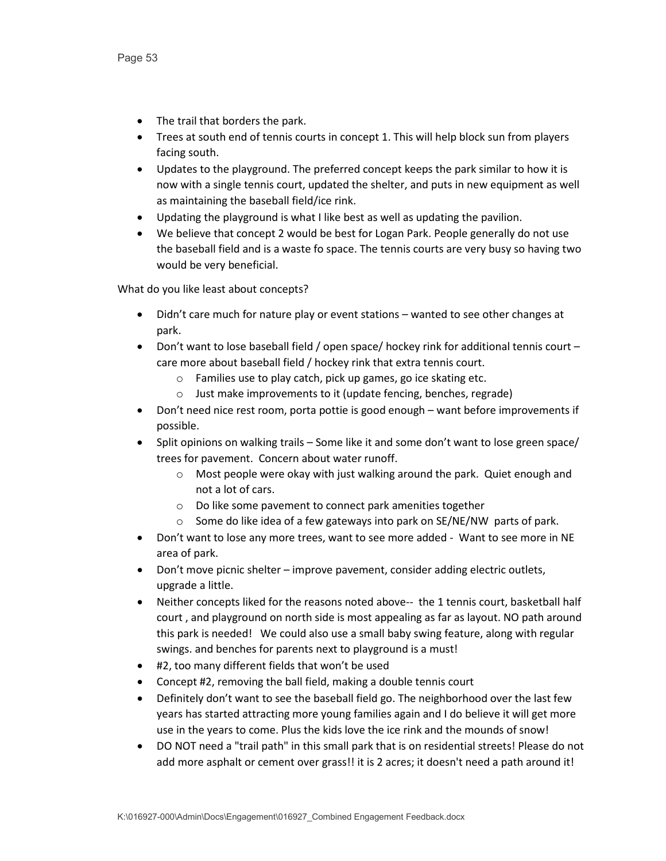- The trail that borders the park.
- Trees at south end of tennis courts in concept 1. This will help block sun from players facing south.
- Updates to the playground. The preferred concept keeps the park similar to how it is now with a single tennis court, updated the shelter, and puts in new equipment as well as maintaining the baseball field/ice rink.
- Updating the playground is what I like best as well as updating the pavilion.
- We believe that concept 2 would be best for Logan Park. People generally do not use the baseball field and is a waste fo space. The tennis courts are very busy so having two would be very beneficial.

- Didn't care much for nature play or event stations wanted to see other changes at park.
- Don't want to lose baseball field / open space/ hockey rink for additional tennis court care more about baseball field / hockey rink that extra tennis court.
	- o Families use to play catch, pick up games, go ice skating etc.
	- o Just make improvements to it (update fencing, benches, regrade)
- Don't need nice rest room, porta pottie is good enough want before improvements if possible.
- Split opinions on walking trails Some like it and some don't want to lose green space/ trees for pavement. Concern about water runoff.
	- o Most people were okay with just walking around the park. Quiet enough and not a lot of cars.
	- o Do like some pavement to connect park amenities together
	- $\circ$  Some do like idea of a few gateways into park on SE/NE/NW parts of park.
- Don't want to lose any more trees, want to see more added Want to see more in NE area of park.
- Don't move picnic shelter improve pavement, consider adding electric outlets, upgrade a little.
- Neither concepts liked for the reasons noted above-- the 1 tennis court, basketball half court , and playground on north side is most appealing as far as layout. NO path around this park is needed! We could also use a small baby swing feature, along with regular swings. and benches for parents next to playground is a must!
- #2, too many different fields that won't be used
- Concept #2, removing the ball field, making a double tennis court
- Definitely don't want to see the baseball field go. The neighborhood over the last few years has started attracting more young families again and I do believe it will get more use in the years to come. Plus the kids love the ice rink and the mounds of snow!
- DO NOT need a "trail path" in this small park that is on residential streets! Please do not add more asphalt or cement over grass!! it is 2 acres; it doesn't need a path around it!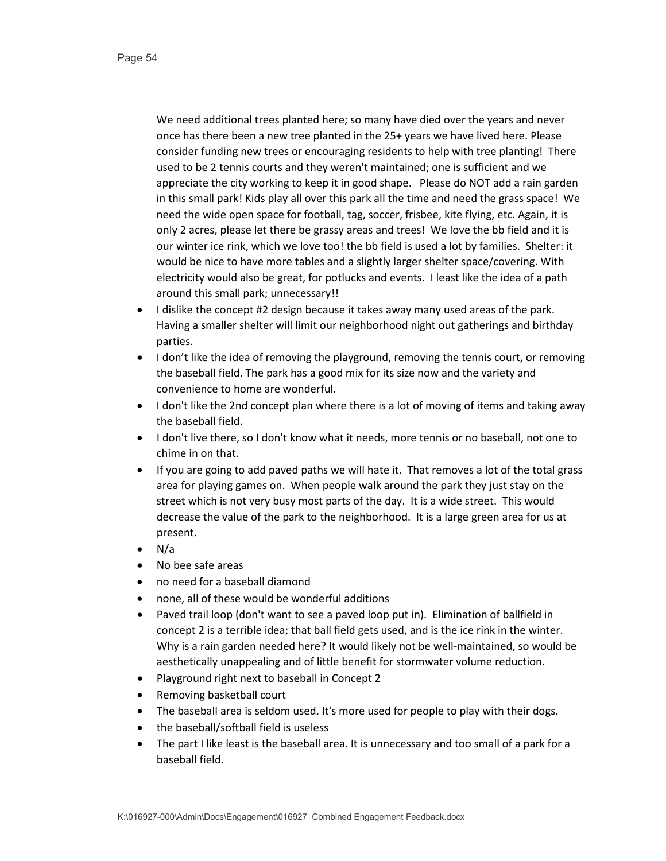We need additional trees planted here; so many have died over the years and never once has there been a new tree planted in the 25+ years we have lived here. Please consider funding new trees or encouraging residents to help with tree planting! There used to be 2 tennis courts and they weren't maintained; one is sufficient and we appreciate the city working to keep it in good shape. Please do NOT add a rain garden in this small park! Kids play all over this park all the time and need the grass space! We need the wide open space for football, tag, soccer, frisbee, kite flying, etc. Again, it is only 2 acres, please let there be grassy areas and trees! We love the bb field and it is our winter ice rink, which we love too! the bb field is used a lot by families. Shelter: it would be nice to have more tables and a slightly larger shelter space/covering. With electricity would also be great, for potlucks and events. I least like the idea of a path around this small park; unnecessary!!

- I dislike the concept #2 design because it takes away many used areas of the park. Having a smaller shelter will limit our neighborhood night out gatherings and birthday parties.
- I don't like the idea of removing the playground, removing the tennis court, or removing the baseball field. The park has a good mix for its size now and the variety and convenience to home are wonderful.
- I don't like the 2nd concept plan where there is a lot of moving of items and taking away the baseball field.
- I don't live there, so I don't know what it needs, more tennis or no baseball, not one to chime in on that.
- If you are going to add paved paths we will hate it. That removes a lot of the total grass area for playing games on. When people walk around the park they just stay on the street which is not very busy most parts of the day. It is a wide street. This would decrease the value of the park to the neighborhood. It is a large green area for us at present.
- $\bullet$  N/a
- No bee safe areas
- no need for a baseball diamond
- none, all of these would be wonderful additions
- Paved trail loop (don't want to see a paved loop put in). Elimination of ballfield in concept 2 is a terrible idea; that ball field gets used, and is the ice rink in the winter. Why is a rain garden needed here? It would likely not be well-maintained, so would be aesthetically unappealing and of little benefit for stormwater volume reduction.
- Playground right next to baseball in Concept 2
- Removing basketball court
- The baseball area is seldom used. It's more used for people to play with their dogs.
- the baseball/softball field is useless
- The part I like least is the baseball area. It is unnecessary and too small of a park for a baseball field.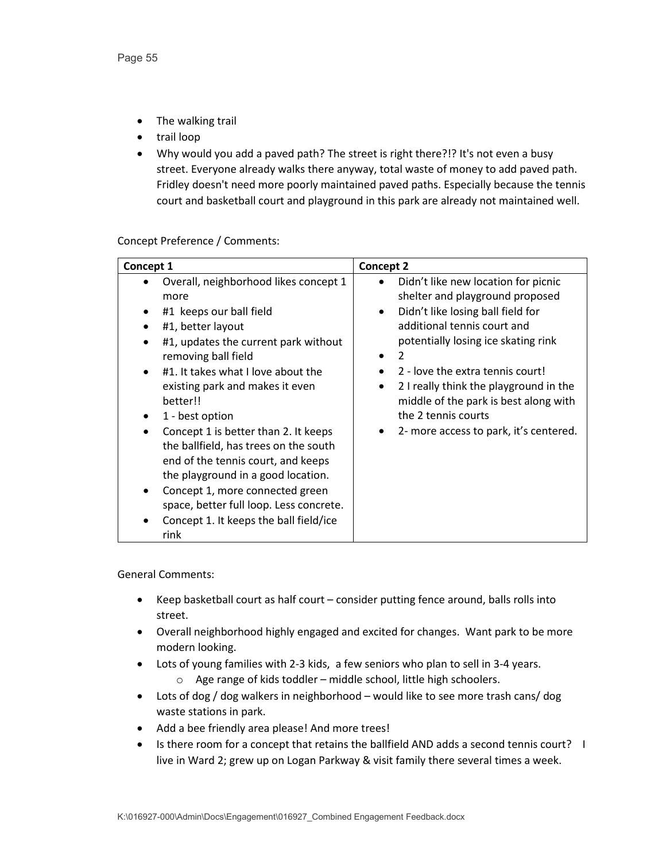- The walking trail
- trail loop
- Why would you add a paved path? The street is right there?!? It's not even a busy street. Everyone already walks there anyway, total waste of money to add paved path. Fridley doesn't need more poorly maintained paved paths. Especially because the tennis court and basketball court and playground in this park are already not maintained well.

Concept Preference / Comments:

| Concept 1                                                                                                                                                                                                                                                                                                                                                                                                                                                                                                                                                         | Concept 2                                                                                                                                                                                                                                                                                                                                                                      |
|-------------------------------------------------------------------------------------------------------------------------------------------------------------------------------------------------------------------------------------------------------------------------------------------------------------------------------------------------------------------------------------------------------------------------------------------------------------------------------------------------------------------------------------------------------------------|--------------------------------------------------------------------------------------------------------------------------------------------------------------------------------------------------------------------------------------------------------------------------------------------------------------------------------------------------------------------------------|
| Overall, neighborhood likes concept 1<br>more<br>#1 keeps our ball field<br>#1, better layout<br>#1, updates the current park without<br>removing ball field<br>#1. It takes what I love about the<br>existing park and makes it even<br>better!!<br>1 - best option<br>Concept 1 is better than 2. It keeps<br>the ballfield, has trees on the south<br>end of the tennis court, and keeps<br>the playground in a good location.<br>Concept 1, more connected green<br>space, better full loop. Less concrete.<br>Concept 1. It keeps the ball field/ice<br>rink | Didn't like new location for picnic<br>shelter and playground proposed<br>Didn't like losing ball field for<br>additional tennis court and<br>potentially losing ice skating rink<br>2<br>2 - love the extra tennis court!<br>2 I really think the playground in the<br>middle of the park is best along with<br>the 2 tennis courts<br>2- more access to park, it's centered. |

- Keep basketball court as half court consider putting fence around, balls rolls into street.
- Overall neighborhood highly engaged and excited for changes. Want park to be more modern looking.
- Lots of young families with 2-3 kids, a few seniors who plan to sell in 3-4 years. o Age range of kids toddler – middle school, little high schoolers.
- Lots of dog / dog walkers in neighborhood would like to see more trash cans/ dog waste stations in park.
- Add a bee friendly area please! And more trees!
- Is there room for a concept that retains the ballfield AND adds a second tennis court? I live in Ward 2; grew up on Logan Parkway & visit family there several times a week.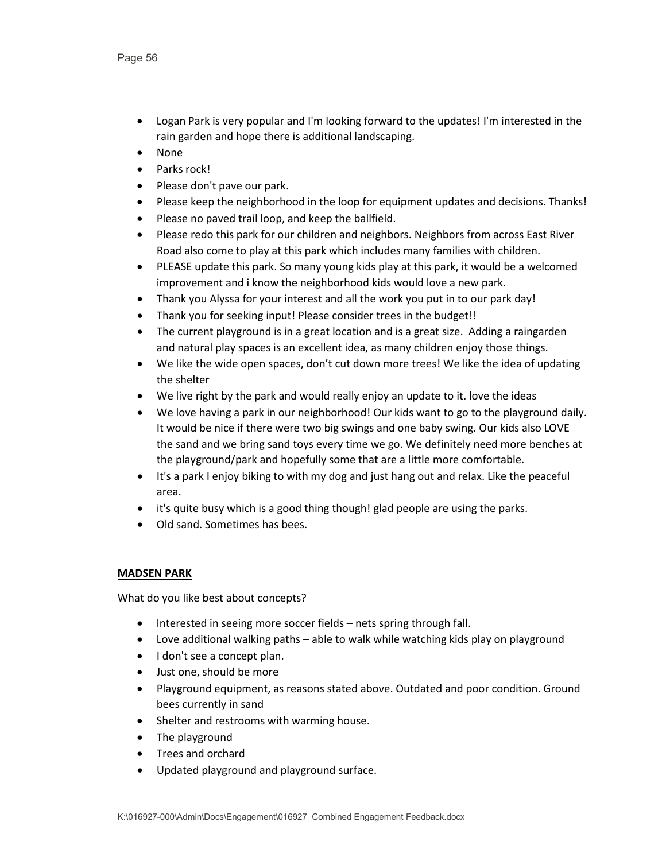- Logan Park is very popular and I'm looking forward to the updates! I'm interested in the rain garden and hope there is additional landscaping.
- None
- Parks rock!
- Please don't pave our park.
- Please keep the neighborhood in the loop for equipment updates and decisions. Thanks!
- Please no paved trail loop, and keep the ballfield.
- Please redo this park for our children and neighbors. Neighbors from across East River Road also come to play at this park which includes many families with children.
- PLEASE update this park. So many young kids play at this park, it would be a welcomed improvement and i know the neighborhood kids would love a new park.
- Thank you Alyssa for your interest and all the work you put in to our park day!
- Thank you for seeking input! Please consider trees in the budget!!
- The current playground is in a great location and is a great size. Adding a raingarden and natural play spaces is an excellent idea, as many children enjoy those things.
- We like the wide open spaces, don't cut down more trees! We like the idea of updating the shelter
- We live right by the park and would really enjoy an update to it. love the ideas
- We love having a park in our neighborhood! Our kids want to go to the playground daily. It would be nice if there were two big swings and one baby swing. Our kids also LOVE the sand and we bring sand toys every time we go. We definitely need more benches at the playground/park and hopefully some that are a little more comfortable.
- It's a park I enjoy biking to with my dog and just hang out and relax. Like the peaceful area.
- it's quite busy which is a good thing though! glad people are using the parks.
- Old sand. Sometimes has bees.

# **MADSEN PARK**

- Interested in seeing more soccer fields nets spring through fall.
- Love additional walking paths able to walk while watching kids play on playground
- I don't see a concept plan.
- Just one, should be more
- Playground equipment, as reasons stated above. Outdated and poor condition. Ground bees currently in sand
- Shelter and restrooms with warming house.
- The playground
- Trees and orchard
- Updated playground and playground surface.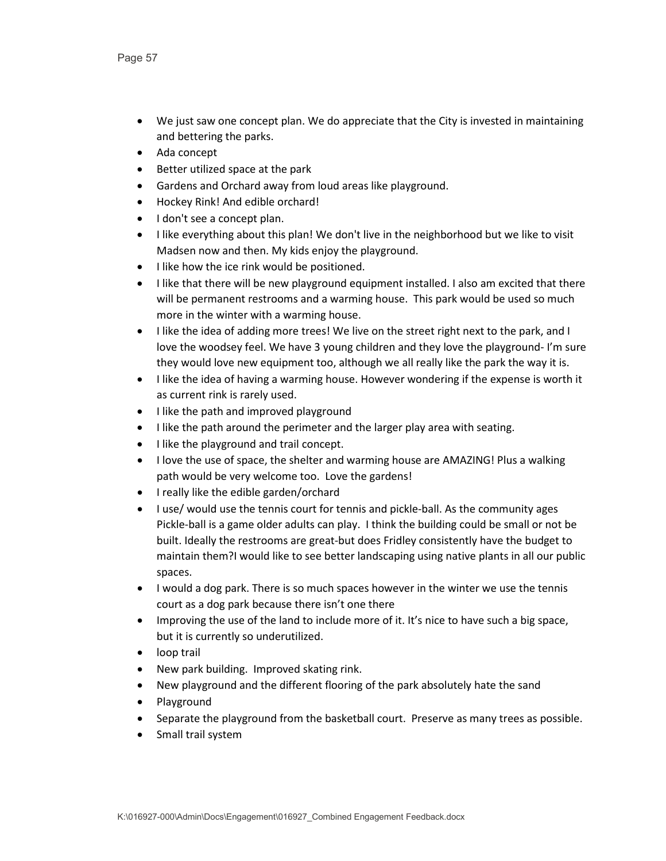- We just saw one concept plan. We do appreciate that the City is invested in maintaining and bettering the parks.
- Ada concept
- Better utilized space at the park
- Gardens and Orchard away from loud areas like playground.
- Hockey Rink! And edible orchard!
- I don't see a concept plan.
- I like everything about this plan! We don't live in the neighborhood but we like to visit Madsen now and then. My kids enjoy the playground.
- I like how the ice rink would be positioned.
- I like that there will be new playground equipment installed. I also am excited that there will be permanent restrooms and a warming house. This park would be used so much more in the winter with a warming house.
- I like the idea of adding more trees! We live on the street right next to the park, and I love the woodsey feel. We have 3 young children and they love the playground- I'm sure they would love new equipment too, although we all really like the park the way it is.
- I like the idea of having a warming house. However wondering if the expense is worth it as current rink is rarely used.
- I like the path and improved playground
- I like the path around the perimeter and the larger play area with seating.
- I like the playground and trail concept.
- I love the use of space, the shelter and warming house are AMAZING! Plus a walking path would be very welcome too. Love the gardens!
- I really like the edible garden/orchard
- I use/ would use the tennis court for tennis and pickle-ball. As the community ages Pickle-ball is a game older adults can play. I think the building could be small or not be built. Ideally the restrooms are great-but does Fridley consistently have the budget to maintain them?I would like to see better landscaping using native plants in all our public spaces.
- I would a dog park. There is so much spaces however in the winter we use the tennis court as a dog park because there isn't one there
- Improving the use of the land to include more of it. It's nice to have such a big space, but it is currently so underutilized.
- loop trail
- New park building. Improved skating rink.
- New playground and the different flooring of the park absolutely hate the sand
- Playground
- Separate the playground from the basketball court. Preserve as many trees as possible.
- Small trail system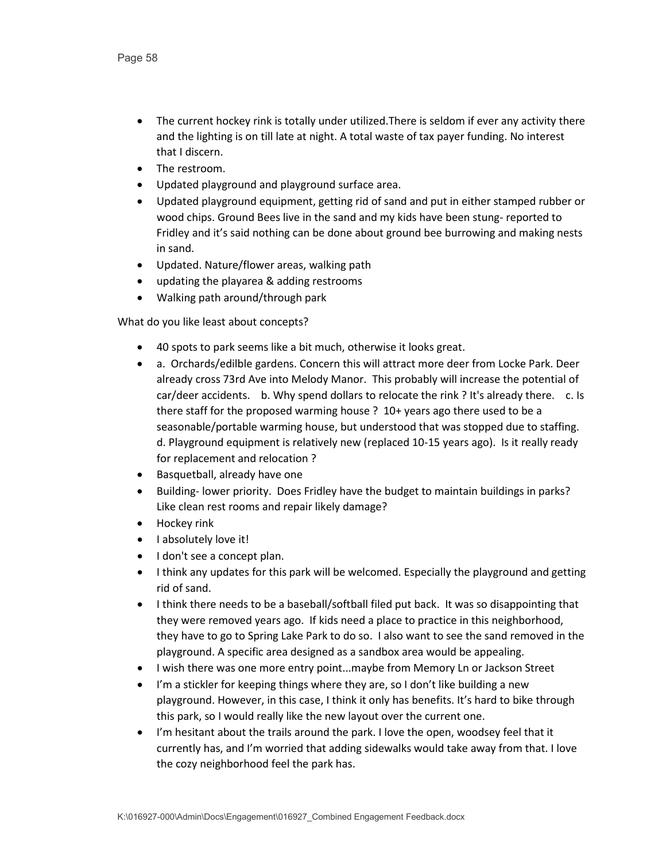- The current hockey rink is totally under utilized.There is seldom if ever any activity there and the lighting is on till late at night. A total waste of tax payer funding. No interest that I discern.
- The restroom.
- Updated playground and playground surface area.
- Updated playground equipment, getting rid of sand and put in either stamped rubber or wood chips. Ground Bees live in the sand and my kids have been stung- reported to Fridley and it's said nothing can be done about ground bee burrowing and making nests in sand.
- Updated. Nature/flower areas, walking path
- updating the playarea & adding restrooms
- Walking path around/through park

- 40 spots to park seems like a bit much, otherwise it looks great.
- a. Orchards/edilble gardens. Concern this will attract more deer from Locke Park. Deer already cross 73rd Ave into Melody Manor. This probably will increase the potential of car/deer accidents. b. Why spend dollars to relocate the rink ? It's already there. c. Is there staff for the proposed warming house ? 10+ years ago there used to be a seasonable/portable warming house, but understood that was stopped due to staffing. d. Playground equipment is relatively new (replaced 10-15 years ago). Is it really ready for replacement and relocation ?
- Basquetball, already have one
- Building- lower priority. Does Fridley have the budget to maintain buildings in parks? Like clean rest rooms and repair likely damage?
- Hockey rink
- I absolutely love it!
- I don't see a concept plan.
- I think any updates for this park will be welcomed. Especially the playground and getting rid of sand.
- I think there needs to be a baseball/softball filed put back. It was so disappointing that they were removed years ago. If kids need a place to practice in this neighborhood, they have to go to Spring Lake Park to do so. I also want to see the sand removed in the playground. A specific area designed as a sandbox area would be appealing.
- I wish there was one more entry point...maybe from Memory Ln or Jackson Street
- I'm a stickler for keeping things where they are, so I don't like building a new playground. However, in this case, I think it only has benefits. It's hard to bike through this park, so I would really like the new layout over the current one.
- I'm hesitant about the trails around the park. I love the open, woodsey feel that it currently has, and I'm worried that adding sidewalks would take away from that. I love the cozy neighborhood feel the park has.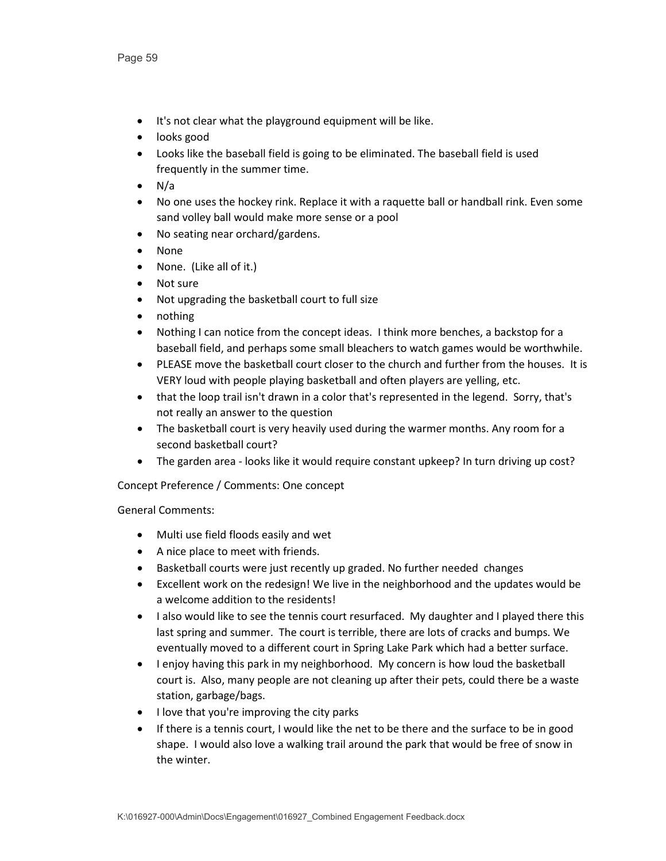- It's not clear what the playground equipment will be like.
- looks good
- Looks like the baseball field is going to be eliminated. The baseball field is used frequently in the summer time.
- $\bullet$  N/a
- No one uses the hockey rink. Replace it with a raquette ball or handball rink. Even some sand volley ball would make more sense or a pool
- No seating near orchard/gardens.
- None
- None. (Like all of it.)
- Not sure
- Not upgrading the basketball court to full size
- nothing
- Nothing I can notice from the concept ideas. I think more benches, a backstop for a baseball field, and perhaps some small bleachers to watch games would be worthwhile.
- PLEASE move the basketball court closer to the church and further from the houses. It is VERY loud with people playing basketball and often players are yelling, etc.
- that the loop trail isn't drawn in a color that's represented in the legend. Sorry, that's not really an answer to the question
- The basketball court is very heavily used during the warmer months. Any room for a second basketball court?
- The garden area looks like it would require constant upkeep? In turn driving up cost?

Concept Preference / Comments: One concept

- Multi use field floods easily and wet
- A nice place to meet with friends.
- Basketball courts were just recently up graded. No further needed changes
- Excellent work on the redesign! We live in the neighborhood and the updates would be a welcome addition to the residents!
- I also would like to see the tennis court resurfaced. My daughter and I played there this last spring and summer. The court is terrible, there are lots of cracks and bumps. We eventually moved to a different court in Spring Lake Park which had a better surface.
- I enjoy having this park in my neighborhood. My concern is how loud the basketball court is. Also, many people are not cleaning up after their pets, could there be a waste station, garbage/bags.
- I love that you're improving the city parks
- If there is a tennis court, I would like the net to be there and the surface to be in good shape. I would also love a walking trail around the park that would be free of snow in the winter.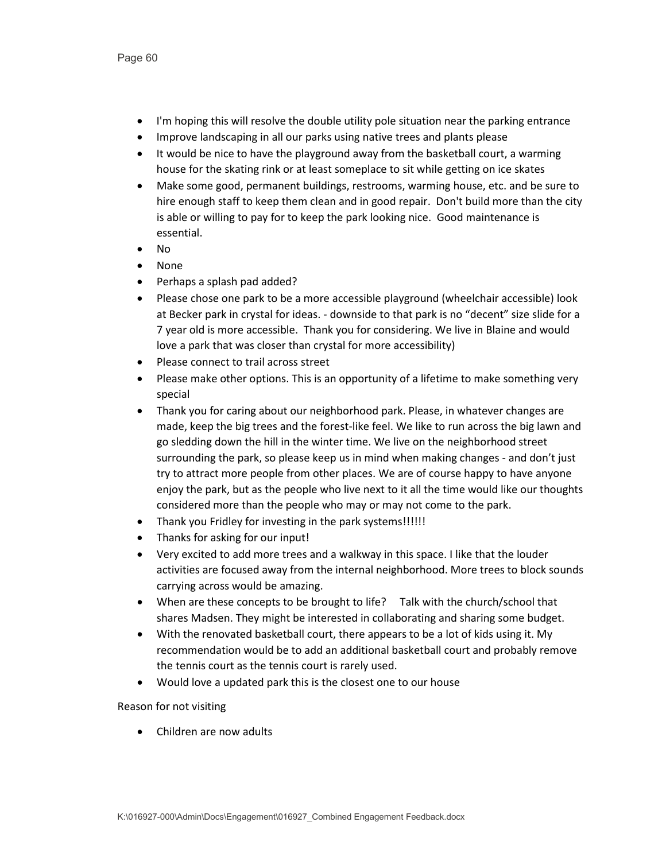- I'm hoping this will resolve the double utility pole situation near the parking entrance
- Improve landscaping in all our parks using native trees and plants please
- It would be nice to have the playground away from the basketball court, a warming house for the skating rink or at least someplace to sit while getting on ice skates
- Make some good, permanent buildings, restrooms, warming house, etc. and be sure to hire enough staff to keep them clean and in good repair. Don't build more than the city is able or willing to pay for to keep the park looking nice. Good maintenance is essential.
- No
- None
- Perhaps a splash pad added?
- Please chose one park to be a more accessible playground (wheelchair accessible) look at Becker park in crystal for ideas. - downside to that park is no "decent" size slide for a 7 year old is more accessible. Thank you for considering. We live in Blaine and would love a park that was closer than crystal for more accessibility)
- Please connect to trail across street
- Please make other options. This is an opportunity of a lifetime to make something very special
- Thank you for caring about our neighborhood park. Please, in whatever changes are made, keep the big trees and the forest-like feel. We like to run across the big lawn and go sledding down the hill in the winter time. We live on the neighborhood street surrounding the park, so please keep us in mind when making changes - and don't just try to attract more people from other places. We are of course happy to have anyone enjoy the park, but as the people who live next to it all the time would like our thoughts considered more than the people who may or may not come to the park.
- Thank you Fridley for investing in the park systems!!!!!!
- Thanks for asking for our input!
- Very excited to add more trees and a walkway in this space. I like that the louder activities are focused away from the internal neighborhood. More trees to block sounds carrying across would be amazing.
- When are these concepts to be brought to life? Talk with the church/school that shares Madsen. They might be interested in collaborating and sharing some budget.
- With the renovated basketball court, there appears to be a lot of kids using it. My recommendation would be to add an additional basketball court and probably remove the tennis court as the tennis court is rarely used.
- Would love a updated park this is the closest one to our house

Reason for not visiting

• Children are now adults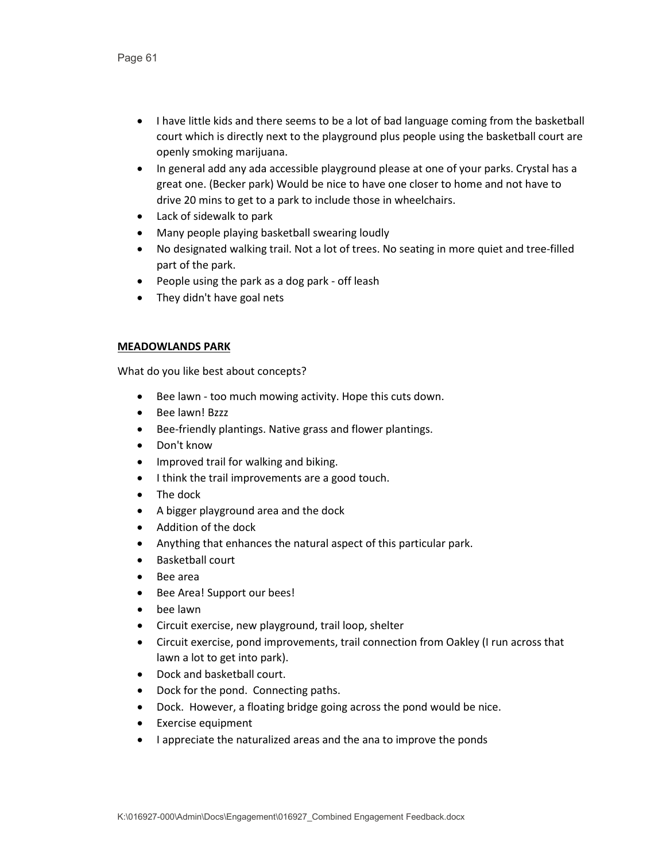- I have little kids and there seems to be a lot of bad language coming from the basketball court which is directly next to the playground plus people using the basketball court are openly smoking marijuana.
- In general add any ada accessible playground please at one of your parks. Crystal has a great one. (Becker park) Would be nice to have one closer to home and not have to drive 20 mins to get to a park to include those in wheelchairs.
- Lack of sidewalk to park
- Many people playing basketball swearing loudly
- No designated walking trail. Not a lot of trees. No seating in more quiet and tree-filled part of the park.
- People using the park as a dog park off leash
- They didn't have goal nets

### **MEADOWLANDS PARK**

- Bee lawn too much mowing activity. Hope this cuts down.
- Bee lawn! Bzzz
- Bee-friendly plantings. Native grass and flower plantings.
- Don't know
- Improved trail for walking and biking.
- I think the trail improvements are a good touch.
- The dock
- A bigger playground area and the dock
- Addition of the dock
- Anything that enhances the natural aspect of this particular park.
- Basketball court
- Bee area
- Bee Area! Support our bees!
- bee lawn
- Circuit exercise, new playground, trail loop, shelter
- Circuit exercise, pond improvements, trail connection from Oakley (I run across that lawn a lot to get into park).
- Dock and basketball court.
- Dock for the pond. Connecting paths.
- Dock. However, a floating bridge going across the pond would be nice.
- Exercise equipment
- I appreciate the naturalized areas and the ana to improve the ponds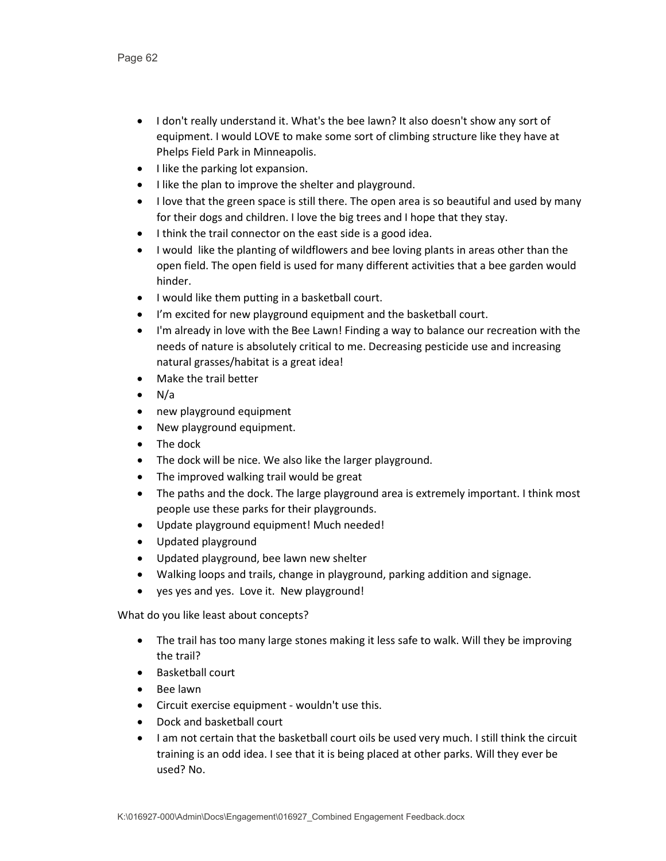- I don't really understand it. What's the bee lawn? It also doesn't show any sort of equipment. I would LOVE to make some sort of climbing structure like they have at Phelps Field Park in Minneapolis.
- I like the parking lot expansion.
- I like the plan to improve the shelter and playground.
- I love that the green space is still there. The open area is so beautiful and used by many for their dogs and children. I love the big trees and I hope that they stay.
- I think the trail connector on the east side is a good idea.
- I would like the planting of wildflowers and bee loving plants in areas other than the open field. The open field is used for many different activities that a bee garden would hinder.
- I would like them putting in a basketball court.
- I'm excited for new playground equipment and the basketball court.
- I'm already in love with the Bee Lawn! Finding a way to balance our recreation with the needs of nature is absolutely critical to me. Decreasing pesticide use and increasing natural grasses/habitat is a great idea!
- Make the trail better
- $\bullet$  N/a
- new playground equipment
- New playground equipment.
- The dock
- The dock will be nice. We also like the larger playground.
- The improved walking trail would be great
- The paths and the dock. The large playground area is extremely important. I think most people use these parks for their playgrounds.
- Update playground equipment! Much needed!
- Updated playground
- Updated playground, bee lawn new shelter
- Walking loops and trails, change in playground, parking addition and signage.
- yes yes and yes. Love it. New playground!

- The trail has too many large stones making it less safe to walk. Will they be improving the trail?
- Basketball court
- Bee lawn
- Circuit exercise equipment wouldn't use this.
- Dock and basketball court
- I am not certain that the basketball court oils be used very much. I still think the circuit training is an odd idea. I see that it is being placed at other parks. Will they ever be used? No.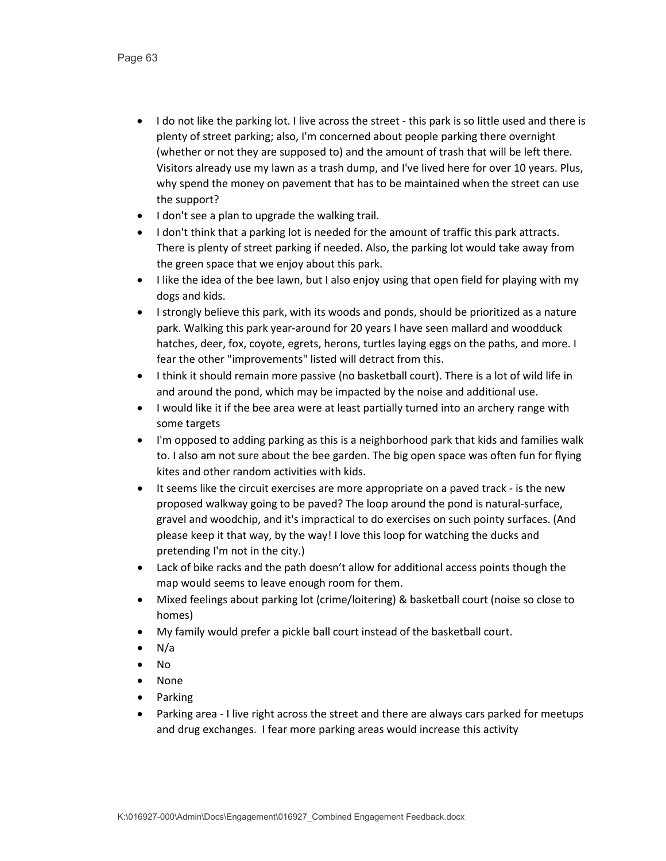- I do not like the parking lot. I live across the street this park is so little used and there is plenty of street parking; also, I'm concerned about people parking there overnight (whether or not they are supposed to) and the amount of trash that will be left there. Visitors already use my lawn as a trash dump, and I've lived here for over 10 years. Plus, why spend the money on pavement that has to be maintained when the street can use the support?
- I don't see a plan to upgrade the walking trail.
- I don't think that a parking lot is needed for the amount of traffic this park attracts. There is plenty of street parking if needed. Also, the parking lot would take away from the green space that we enjoy about this park.
- I like the idea of the bee lawn, but I also enjoy using that open field for playing with my dogs and kids.
- I strongly believe this park, with its woods and ponds, should be prioritized as a nature park. Walking this park year-around for 20 years I have seen mallard and woodduck hatches, deer, fox, coyote, egrets, herons, turtles laying eggs on the paths, and more. I fear the other "improvements" listed will detract from this.
- I think it should remain more passive (no basketball court). There is a lot of wild life in and around the pond, which may be impacted by the noise and additional use.
- I would like it if the bee area were at least partially turned into an archery range with some targets
- I'm opposed to adding parking as this is a neighborhood park that kids and families walk to. I also am not sure about the bee garden. The big open space was often fun for flying kites and other random activities with kids.
- It seems like the circuit exercises are more appropriate on a paved track is the new proposed walkway going to be paved? The loop around the pond is natural-surface, gravel and woodchip, and it's impractical to do exercises on such pointy surfaces. (And please keep it that way, by the way! I love this loop for watching the ducks and pretending I'm not in the city.)
- Lack of bike racks and the path doesn't allow for additional access points though the map would seems to leave enough room for them.
- Mixed feelings about parking lot (crime/loitering) & basketball court (noise so close to homes)
- My family would prefer a pickle ball court instead of the basketball court.
- N/a
- No
- None
- Parking
- Parking area I live right across the street and there are always cars parked for meetups and drug exchanges. I fear more parking areas would increase this activity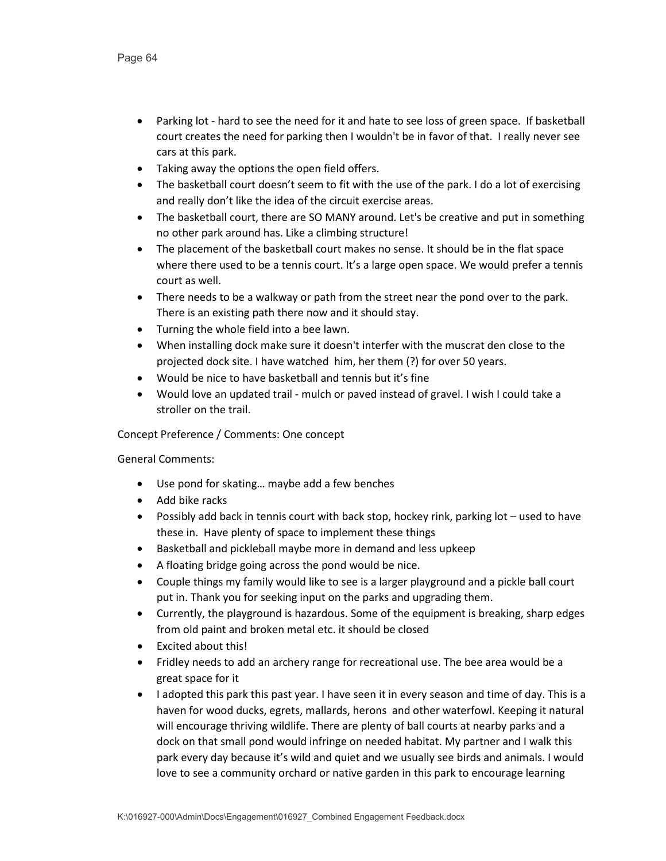- Parking lot hard to see the need for it and hate to see loss of green space. If basketball court creates the need for parking then I wouldn't be in favor of that. I really never see cars at this park.
- Taking away the options the open field offers.
- The basketball court doesn't seem to fit with the use of the park. I do a lot of exercising and really don't like the idea of the circuit exercise areas.
- The basketball court, there are SO MANY around. Let's be creative and put in something no other park around has. Like a climbing structure!
- The placement of the basketball court makes no sense. It should be in the flat space where there used to be a tennis court. It's a large open space. We would prefer a tennis court as well.
- There needs to be a walkway or path from the street near the pond over to the park. There is an existing path there now and it should stay.
- Turning the whole field into a bee lawn.
- When installing dock make sure it doesn't interfer with the muscrat den close to the projected dock site. I have watched him, her them (?) for over 50 years.
- Would be nice to have basketball and tennis but it's fine
- Would love an updated trail mulch or paved instead of gravel. I wish I could take a stroller on the trail.

Concept Preference / Comments: One concept

- Use pond for skating… maybe add a few benches
- Add bike racks
- Possibly add back in tennis court with back stop, hockey rink, parking lot used to have these in. Have plenty of space to implement these things
- Basketball and pickleball maybe more in demand and less upkeep
- A floating bridge going across the pond would be nice.
- Couple things my family would like to see is a larger playground and a pickle ball court put in. Thank you for seeking input on the parks and upgrading them.
- Currently, the playground is hazardous. Some of the equipment is breaking, sharp edges from old paint and broken metal etc. it should be closed
- Excited about this!
- Fridley needs to add an archery range for recreational use. The bee area would be a great space for it
- I adopted this park this past year. I have seen it in every season and time of day. This is a haven for wood ducks, egrets, mallards, herons and other waterfowl. Keeping it natural will encourage thriving wildlife. There are plenty of ball courts at nearby parks and a dock on that small pond would infringe on needed habitat. My partner and I walk this park every day because it's wild and quiet and we usually see birds and animals. I would love to see a community orchard or native garden in this park to encourage learning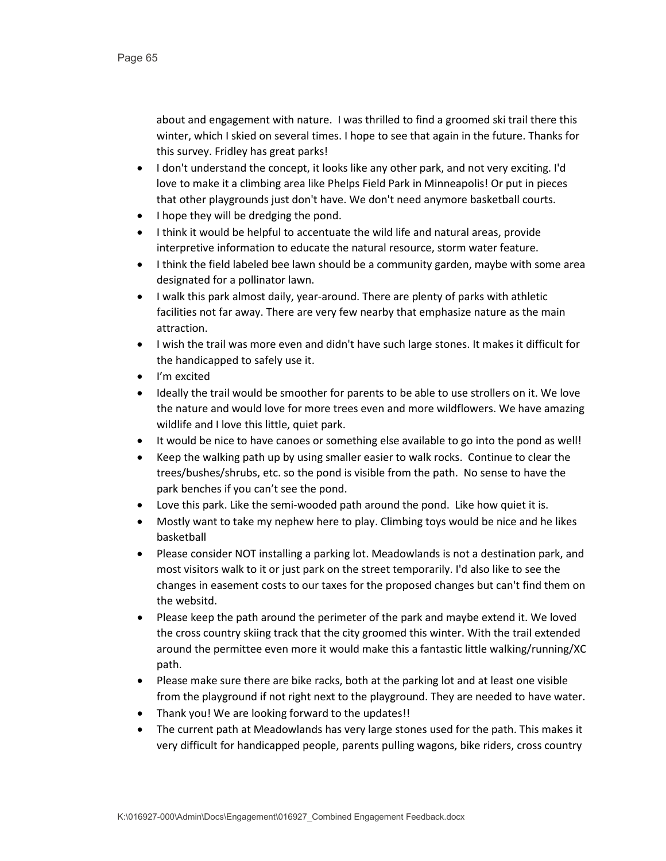about and engagement with nature. I was thrilled to find a groomed ski trail there this winter, which I skied on several times. I hope to see that again in the future. Thanks for this survey. Fridley has great parks!

- I don't understand the concept, it looks like any other park, and not very exciting. I'd love to make it a climbing area like Phelps Field Park in Minneapolis! Or put in pieces that other playgrounds just don't have. We don't need anymore basketball courts.
- I hope they will be dredging the pond.
- I think it would be helpful to accentuate the wild life and natural areas, provide interpretive information to educate the natural resource, storm water feature.
- I think the field labeled bee lawn should be a community garden, maybe with some area designated for a pollinator lawn.
- I walk this park almost daily, year-around. There are plenty of parks with athletic facilities not far away. There are very few nearby that emphasize nature as the main attraction.
- I wish the trail was more even and didn't have such large stones. It makes it difficult for the handicapped to safely use it.
- I'm excited
- Ideally the trail would be smoother for parents to be able to use strollers on it. We love the nature and would love for more trees even and more wildflowers. We have amazing wildlife and I love this little, quiet park.
- It would be nice to have canoes or something else available to go into the pond as well!
- Keep the walking path up by using smaller easier to walk rocks. Continue to clear the trees/bushes/shrubs, etc. so the pond is visible from the path. No sense to have the park benches if you can't see the pond.
- Love this park. Like the semi-wooded path around the pond. Like how quiet it is.
- Mostly want to take my nephew here to play. Climbing toys would be nice and he likes basketball
- Please consider NOT installing a parking lot. Meadowlands is not a destination park, and most visitors walk to it or just park on the street temporarily. I'd also like to see the changes in easement costs to our taxes for the proposed changes but can't find them on the websitd.
- Please keep the path around the perimeter of the park and maybe extend it. We loved the cross country skiing track that the city groomed this winter. With the trail extended around the permittee even more it would make this a fantastic little walking/running/XC path.
- Please make sure there are bike racks, both at the parking lot and at least one visible from the playground if not right next to the playground. They are needed to have water.
- Thank you! We are looking forward to the updates!!
- The current path at Meadowlands has very large stones used for the path. This makes it very difficult for handicapped people, parents pulling wagons, bike riders, cross country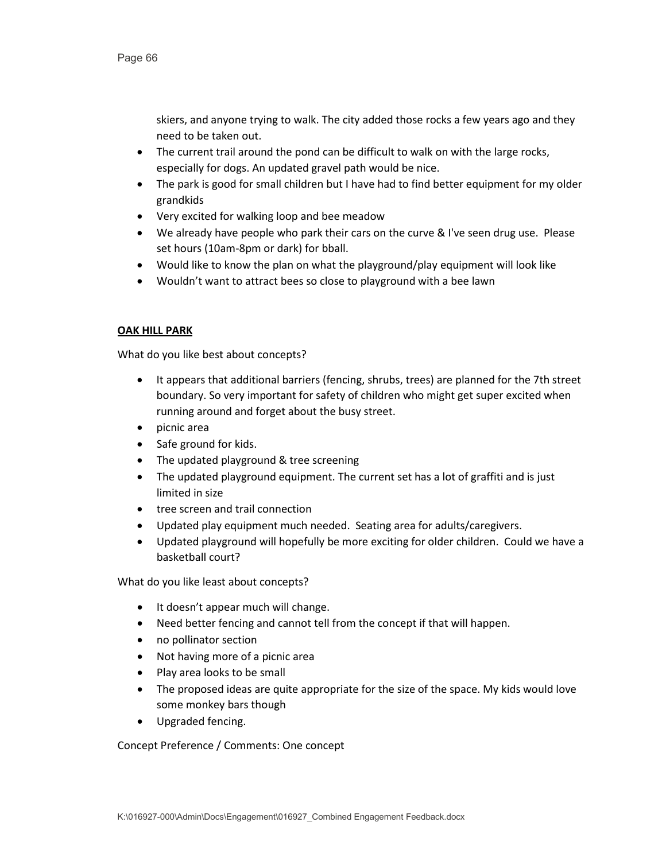skiers, and anyone trying to walk. The city added those rocks a few years ago and they need to be taken out.

- The current trail around the pond can be difficult to walk on with the large rocks, especially for dogs. An updated gravel path would be nice.
- The park is good for small children but I have had to find better equipment for my older grandkids
- Very excited for walking loop and bee meadow
- We already have people who park their cars on the curve & I've seen drug use. Please set hours (10am-8pm or dark) for bball.
- Would like to know the plan on what the playground/play equipment will look like
- Wouldn't want to attract bees so close to playground with a bee lawn

# **OAK HILL PARK**

What do you like best about concepts?

- It appears that additional barriers (fencing, shrubs, trees) are planned for the 7th street boundary. So very important for safety of children who might get super excited when running around and forget about the busy street.
- picnic area
- Safe ground for kids.
- The updated playground & tree screening
- The updated playground equipment. The current set has a lot of graffiti and is just limited in size
- tree screen and trail connection
- Updated play equipment much needed. Seating area for adults/caregivers.
- Updated playground will hopefully be more exciting for older children. Could we have a basketball court?

What do you like least about concepts?

- It doesn't appear much will change.
- Need better fencing and cannot tell from the concept if that will happen.
- no pollinator section
- Not having more of a picnic area
- Play area looks to be small
- The proposed ideas are quite appropriate for the size of the space. My kids would love some monkey bars though
- Upgraded fencing.

Concept Preference / Comments: One concept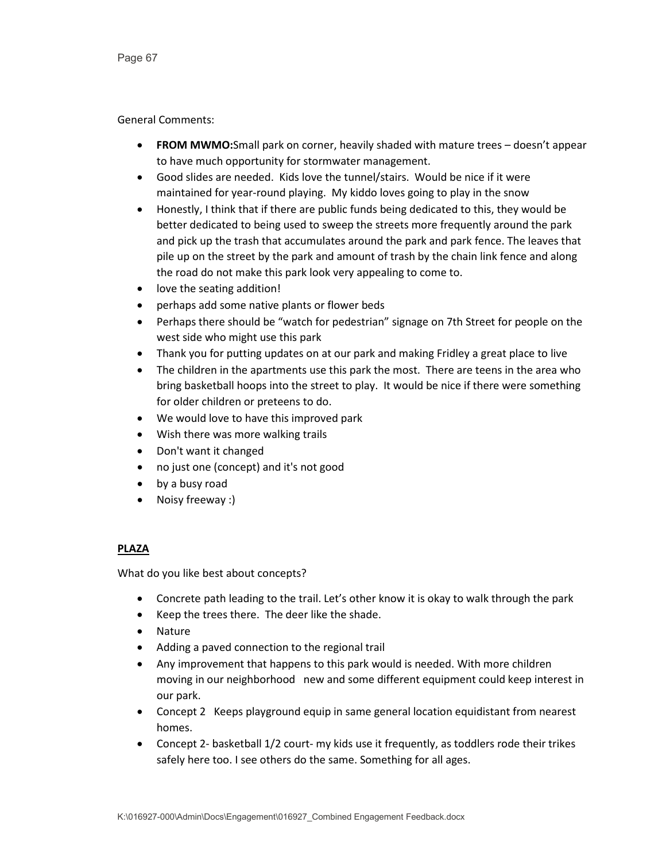### General Comments:

- **FROM MWMO:**Small park on corner, heavily shaded with mature trees doesn't appear to have much opportunity for stormwater management.
- Good slides are needed. Kids love the tunnel/stairs. Would be nice if it were maintained for year-round playing. My kiddo loves going to play in the snow
- Honestly, I think that if there are public funds being dedicated to this, they would be better dedicated to being used to sweep the streets more frequently around the park and pick up the trash that accumulates around the park and park fence. The leaves that pile up on the street by the park and amount of trash by the chain link fence and along the road do not make this park look very appealing to come to.
- love the seating addition!
- perhaps add some native plants or flower beds
- Perhaps there should be "watch for pedestrian" signage on 7th Street for people on the west side who might use this park
- Thank you for putting updates on at our park and making Fridley a great place to live
- The children in the apartments use this park the most. There are teens in the area who bring basketball hoops into the street to play. It would be nice if there were something for older children or preteens to do.
- We would love to have this improved park
- Wish there was more walking trails
- Don't want it changed
- no just one (concept) and it's not good
- by a busy road
- Noisy freeway :)

# **PLAZA**

- Concrete path leading to the trail. Let's other know it is okay to walk through the park
- Keep the trees there. The deer like the shade.
- Nature
- Adding a paved connection to the regional trail
- Any improvement that happens to this park would is needed. With more children moving in our neighborhood new and some different equipment could keep interest in our park.
- Concept 2 Keeps playground equip in same general location equidistant from nearest homes.
- Concept 2- basketball 1/2 court- my kids use it frequently, as toddlers rode their trikes safely here too. I see others do the same. Something for all ages.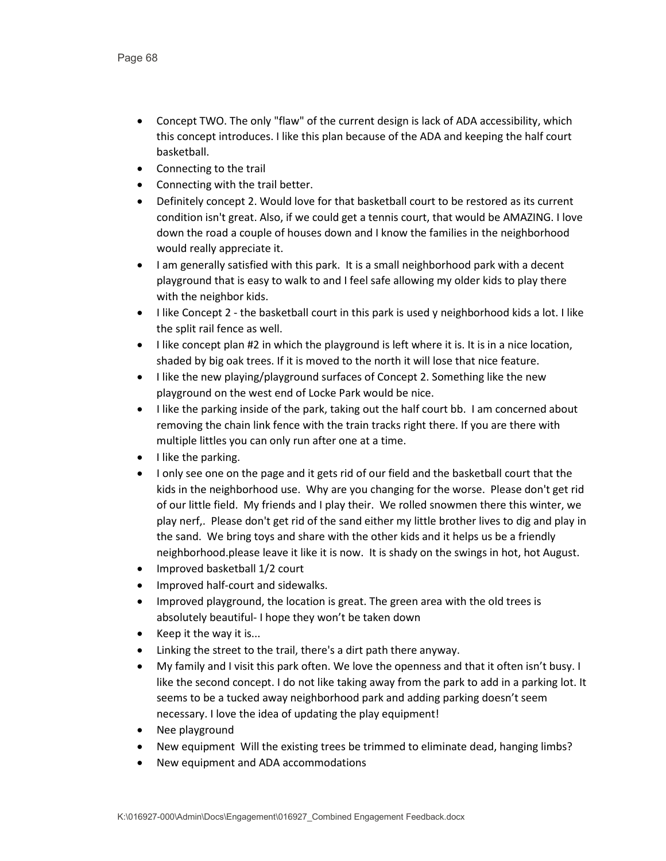- Concept TWO. The only "flaw" of the current design is lack of ADA accessibility, which this concept introduces. I like this plan because of the ADA and keeping the half court basketball.
- Connecting to the trail
- Connecting with the trail better.
- Definitely concept 2. Would love for that basketball court to be restored as its current condition isn't great. Also, if we could get a tennis court, that would be AMAZING. I love down the road a couple of houses down and I know the families in the neighborhood would really appreciate it.
- I am generally satisfied with this park. It is a small neighborhood park with a decent playground that is easy to walk to and I feel safe allowing my older kids to play there with the neighbor kids.
- I like Concept 2 the basketball court in this park is used y neighborhood kids a lot. I like the split rail fence as well.
- I like concept plan #2 in which the playground is left where it is. It is in a nice location, shaded by big oak trees. If it is moved to the north it will lose that nice feature.
- I like the new playing/playground surfaces of Concept 2. Something like the new playground on the west end of Locke Park would be nice.
- I like the parking inside of the park, taking out the half court bb. I am concerned about removing the chain link fence with the train tracks right there. If you are there with multiple littles you can only run after one at a time.
- I like the parking.
- I only see one on the page and it gets rid of our field and the basketball court that the kids in the neighborhood use. Why are you changing for the worse. Please don't get rid of our little field. My friends and I play their. We rolled snowmen there this winter, we play nerf,. Please don't get rid of the sand either my little brother lives to dig and play in the sand. We bring toys and share with the other kids and it helps us be a friendly neighborhood.please leave it like it is now. It is shady on the swings in hot, hot August.
- Improved basketball 1/2 court
- Improved half-court and sidewalks.
- Improved playground, the location is great. The green area with the old trees is absolutely beautiful- I hope they won't be taken down
- Keep it the way it is...
- Linking the street to the trail, there's a dirt path there anyway.
- My family and I visit this park often. We love the openness and that it often isn't busy. I like the second concept. I do not like taking away from the park to add in a parking lot. It seems to be a tucked away neighborhood park and adding parking doesn't seem necessary. I love the idea of updating the play equipment!
- Nee playground
- New equipment Will the existing trees be trimmed to eliminate dead, hanging limbs?
- New equipment and ADA accommodations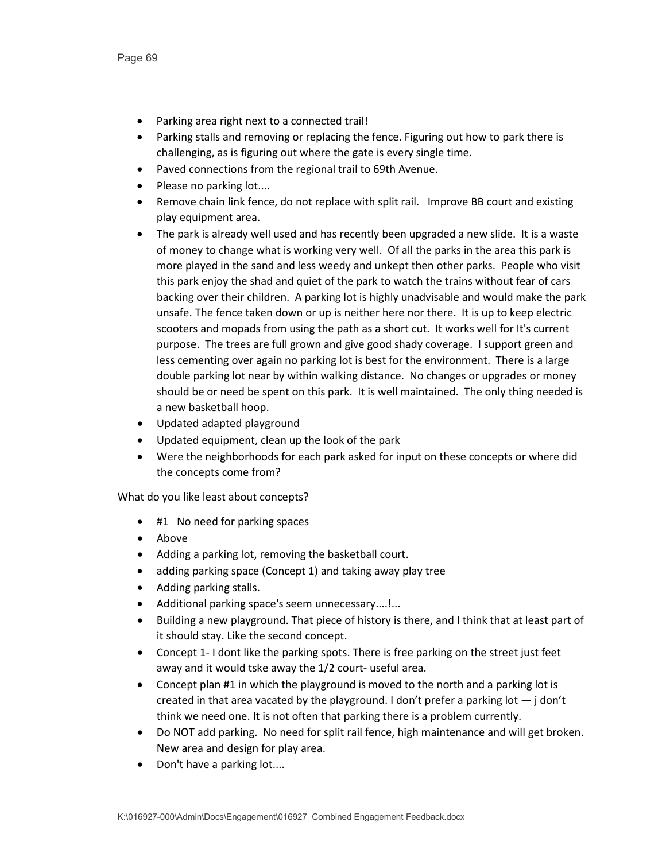- Parking area right next to a connected trail!
- Parking stalls and removing or replacing the fence. Figuring out how to park there is challenging, as is figuring out where the gate is every single time.
- Paved connections from the regional trail to 69th Avenue.
- Please no parking lot....
- Remove chain link fence, do not replace with split rail. Improve BB court and existing play equipment area.
- The park is already well used and has recently been upgraded a new slide. It is a waste of money to change what is working very well. Of all the parks in the area this park is more played in the sand and less weedy and unkept then other parks. People who visit this park enjoy the shad and quiet of the park to watch the trains without fear of cars backing over their children. A parking lot is highly unadvisable and would make the park unsafe. The fence taken down or up is neither here nor there. It is up to keep electric scooters and mopads from using the path as a short cut. It works well for It's current purpose. The trees are full grown and give good shady coverage. I support green and less cementing over again no parking lot is best for the environment. There is a large double parking lot near by within walking distance. No changes or upgrades or money should be or need be spent on this park. It is well maintained. The only thing needed is a new basketball hoop.
- Updated adapted playground
- Updated equipment, clean up the look of the park
- Were the neighborhoods for each park asked for input on these concepts or where did the concepts come from?

- #1 No need for parking spaces
- Above
- Adding a parking lot, removing the basketball court.
- adding parking space (Concept 1) and taking away play tree
- Adding parking stalls.
- Additional parking space's seem unnecessary....!...
- Building a new playground. That piece of history is there, and I think that at least part of it should stay. Like the second concept.
- Concept 1- I dont like the parking spots. There is free parking on the street just feet away and it would tske away the 1/2 court- useful area.
- Concept plan #1 in which the playground is moved to the north and a parking lot is created in that area vacated by the playground. I don't prefer a parking  $\text{lot} - \text{j}$  don't think we need one. It is not often that parking there is a problem currently.
- Do NOT add parking. No need for split rail fence, high maintenance and will get broken. New area and design for play area.
- Don't have a parking lot....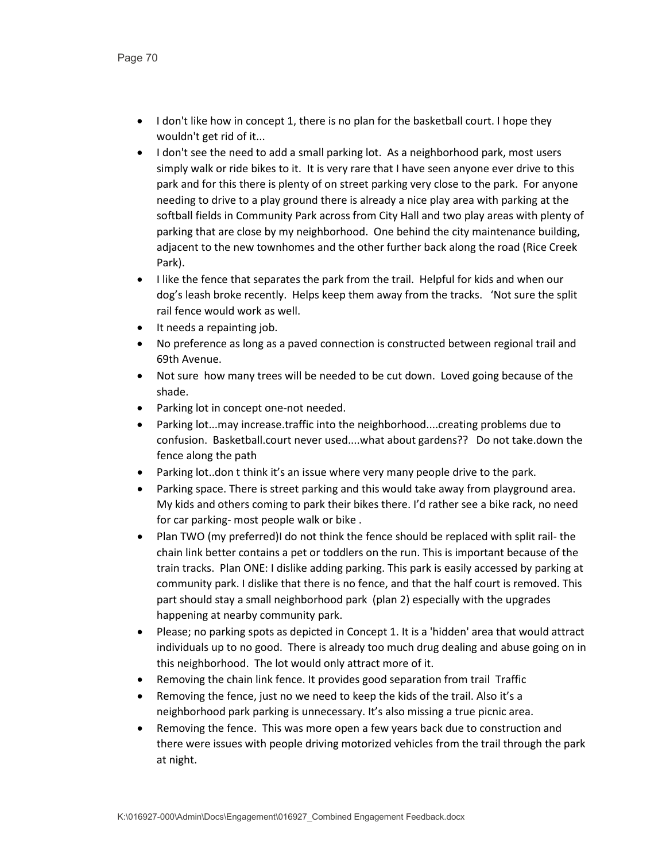- I don't like how in concept 1, there is no plan for the basketball court. I hope they wouldn't get rid of it...
- I don't see the need to add a small parking lot. As a neighborhood park, most users simply walk or ride bikes to it. It is very rare that I have seen anyone ever drive to this park and for this there is plenty of on street parking very close to the park. For anyone needing to drive to a play ground there is already a nice play area with parking at the softball fields in Community Park across from City Hall and two play areas with plenty of parking that are close by my neighborhood. One behind the city maintenance building, adjacent to the new townhomes and the other further back along the road (Rice Creek Park).
- I like the fence that separates the park from the trail. Helpful for kids and when our dog's leash broke recently. Helps keep them away from the tracks. 'Not sure the split rail fence would work as well.
- It needs a repainting job.
- No preference as long as a paved connection is constructed between regional trail and 69th Avenue.
- Not sure how many trees will be needed to be cut down. Loved going because of the shade.
- Parking lot in concept one-not needed.
- Parking lot...may increase.traffic into the neighborhood....creating problems due to confusion. Basketball.court never used....what about gardens?? Do not take.down the fence along the path
- Parking lot..don t think it's an issue where very many people drive to the park.
- Parking space. There is street parking and this would take away from playground area. My kids and others coming to park their bikes there. I'd rather see a bike rack, no need for car parking- most people walk or bike .
- Plan TWO (my preferred)I do not think the fence should be replaced with split rail- the chain link better contains a pet or toddlers on the run. This is important because of the train tracks. Plan ONE: I dislike adding parking. This park is easily accessed by parking at community park. I dislike that there is no fence, and that the half court is removed. This part should stay a small neighborhood park (plan 2) especially with the upgrades happening at nearby community park.
- Please; no parking spots as depicted in Concept 1. It is a 'hidden' area that would attract individuals up to no good. There is already too much drug dealing and abuse going on in this neighborhood. The lot would only attract more of it.
- Removing the chain link fence. It provides good separation from trail Traffic
- Removing the fence, just no we need to keep the kids of the trail. Also it's a neighborhood park parking is unnecessary. It's also missing a true picnic area.
- Removing the fence. This was more open a few years back due to construction and there were issues with people driving motorized vehicles from the trail through the park at night.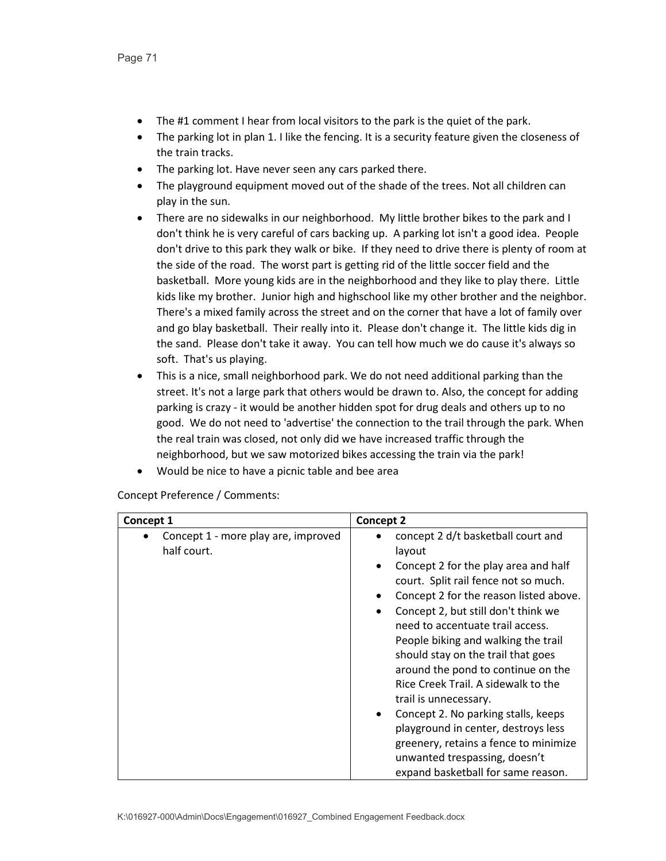- The #1 comment I hear from local visitors to the park is the quiet of the park.
- The parking lot in plan 1. I like the fencing. It is a security feature given the closeness of the train tracks.
- The parking lot. Have never seen any cars parked there.
- The playground equipment moved out of the shade of the trees. Not all children can play in the sun.
- There are no sidewalks in our neighborhood. My little brother bikes to the park and I don't think he is very careful of cars backing up. A parking lot isn't a good idea. People don't drive to this park they walk or bike. If they need to drive there is plenty of room at the side of the road. The worst part is getting rid of the little soccer field and the basketball. More young kids are in the neighborhood and they like to play there. Little kids like my brother. Junior high and highschool like my other brother and the neighbor. There's a mixed family across the street and on the corner that have a lot of family over and go blay basketball. Their really into it. Please don't change it. The little kids dig in the sand. Please don't take it away. You can tell how much we do cause it's always so soft. That's us playing.
- This is a nice, small neighborhood park. We do not need additional parking than the street. It's not a large park that others would be drawn to. Also, the concept for adding parking is crazy - it would be another hidden spot for drug deals and others up to no good. We do not need to 'advertise' the connection to the trail through the park. When the real train was closed, not only did we have increased traffic through the neighborhood, but we saw motorized bikes accessing the train via the park!
- Would be nice to have a picnic table and bee area

Concept Preference / Comments:

| Concept 1                                                       | <b>Concept 2</b>                                                                                                                                                                                                                                                                                                                                                                                                                                                                                                                                                                                                                                                                       |
|-----------------------------------------------------------------|----------------------------------------------------------------------------------------------------------------------------------------------------------------------------------------------------------------------------------------------------------------------------------------------------------------------------------------------------------------------------------------------------------------------------------------------------------------------------------------------------------------------------------------------------------------------------------------------------------------------------------------------------------------------------------------|
| Concept 1 - more play are, improved<br>$\bullet$<br>half court. | concept 2 d/t basketball court and<br>layout<br>Concept 2 for the play area and half<br>$\bullet$<br>court. Split rail fence not so much.<br>Concept 2 for the reason listed above.<br>$\bullet$<br>Concept 2, but still don't think we<br>$\bullet$<br>need to accentuate trail access.<br>People biking and walking the trail<br>should stay on the trail that goes<br>around the pond to continue on the<br>Rice Creek Trail. A sidewalk to the<br>trail is unnecessary.<br>Concept 2. No parking stalls, keeps<br>$\bullet$<br>playground in center, destroys less<br>greenery, retains a fence to minimize<br>unwanted trespassing, doesn't<br>expand basketball for same reason. |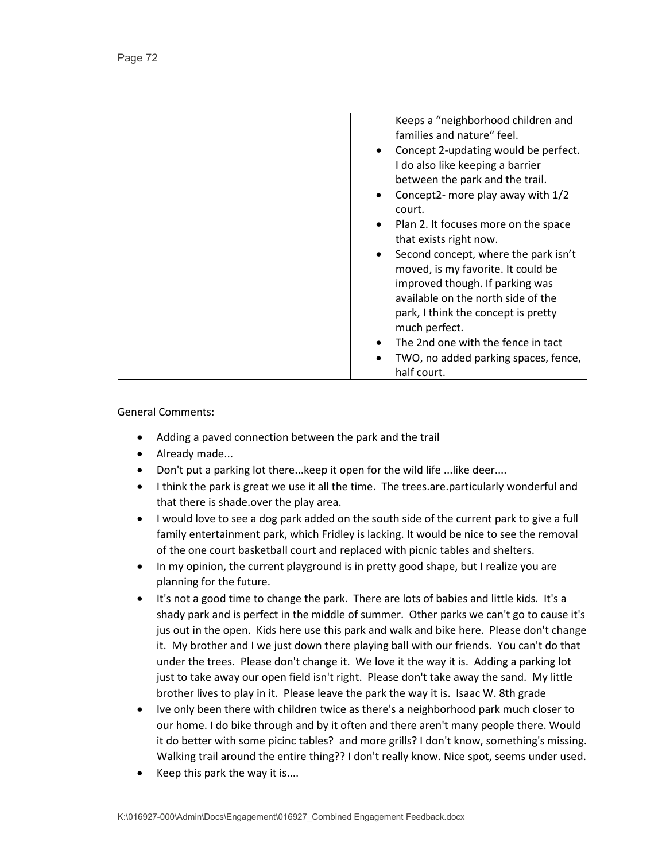| Keeps a "neighborhood children and<br>families and nature" feel. |
|------------------------------------------------------------------|
| Concept 2-updating would be perfect.                             |
| I do also like keeping a barrier                                 |
| between the park and the trail.                                  |
| Concept2- more play away with 1/2<br>$\bullet$                   |
| court.                                                           |
| Plan 2. It focuses more on the space<br>$\bullet$                |
| that exists right now.                                           |
| Second concept, where the park isn't                             |
| moved, is my favorite. It could be                               |
| improved though. If parking was                                  |
| available on the north side of the                               |
| park, I think the concept is pretty                              |
| much perfect.                                                    |
| The 2nd one with the fence in tact                               |
| TWO, no added parking spaces, fence,                             |
| half court.                                                      |

- Adding a paved connection between the park and the trail
- Already made...
- Don't put a parking lot there...keep it open for the wild life ...like deer....
- I think the park is great we use it all the time. The trees.are.particularly wonderful and that there is shade.over the play area.
- I would love to see a dog park added on the south side of the current park to give a full family entertainment park, which Fridley is lacking. It would be nice to see the removal of the one court basketball court and replaced with picnic tables and shelters.
- In my opinion, the current playground is in pretty good shape, but I realize you are planning for the future.
- It's not a good time to change the park. There are lots of babies and little kids. It's a shady park and is perfect in the middle of summer. Other parks we can't go to cause it's jus out in the open. Kids here use this park and walk and bike here. Please don't change it. My brother and I we just down there playing ball with our friends. You can't do that under the trees. Please don't change it. We love it the way it is. Adding a parking lot just to take away our open field isn't right. Please don't take away the sand. My little brother lives to play in it. Please leave the park the way it is. Isaac W. 8th grade
- Ive only been there with children twice as there's a neighborhood park much closer to our home. I do bike through and by it often and there aren't many people there. Would it do better with some picinc tables? and more grills? I don't know, something's missing. Walking trail around the entire thing?? I don't really know. Nice spot, seems under used.
- Keep this park the way it is....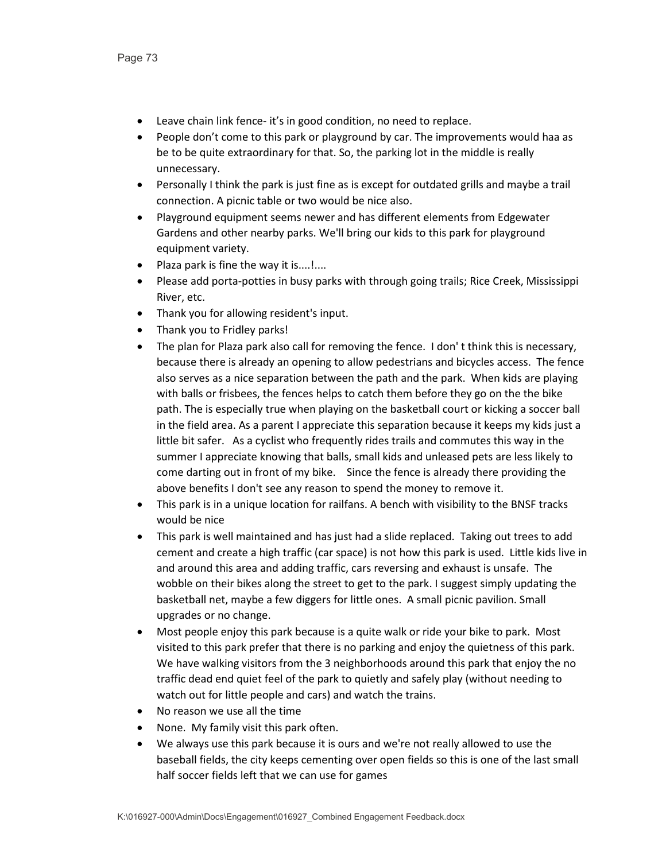- Leave chain link fence- it's in good condition, no need to replace.
- People don't come to this park or playground by car. The improvements would haa as be to be quite extraordinary for that. So, the parking lot in the middle is really unnecessary.
- Personally I think the park is just fine as is except for outdated grills and maybe a trail connection. A picnic table or two would be nice also.
- Playground equipment seems newer and has different elements from Edgewater Gardens and other nearby parks. We'll bring our kids to this park for playground equipment variety.
- Plaza park is fine the way it is....!....
- Please add porta-potties in busy parks with through going trails; Rice Creek, Mississippi River, etc.
- Thank you for allowing resident's input.
- Thank you to Fridley parks!
- The plan for Plaza park also call for removing the fence. I don' t think this is necessary, because there is already an opening to allow pedestrians and bicycles access. The fence also serves as a nice separation between the path and the park. When kids are playing with balls or frisbees, the fences helps to catch them before they go on the the bike path. The is especially true when playing on the basketball court or kicking a soccer ball in the field area. As a parent I appreciate this separation because it keeps my kids just a little bit safer. As a cyclist who frequently rides trails and commutes this way in the summer I appreciate knowing that balls, small kids and unleased pets are less likely to come darting out in front of my bike. Since the fence is already there providing the above benefits I don't see any reason to spend the money to remove it.
- This park is in a unique location for railfans. A bench with visibility to the BNSF tracks would be nice
- This park is well maintained and has just had a slide replaced. Taking out trees to add cement and create a high traffic (car space) is not how this park is used. Little kids live in and around this area and adding traffic, cars reversing and exhaust is unsafe. The wobble on their bikes along the street to get to the park. I suggest simply updating the basketball net, maybe a few diggers for little ones. A small picnic pavilion. Small upgrades or no change.
- Most people enjoy this park because is a quite walk or ride your bike to park. Most visited to this park prefer that there is no parking and enjoy the quietness of this park. We have walking visitors from the 3 neighborhoods around this park that enjoy the no traffic dead end quiet feel of the park to quietly and safely play (without needing to watch out for little people and cars) and watch the trains.
- No reason we use all the time
- None. My family visit this park often.
- We always use this park because it is ours and we're not really allowed to use the baseball fields, the city keeps cementing over open fields so this is one of the last small half soccer fields left that we can use for games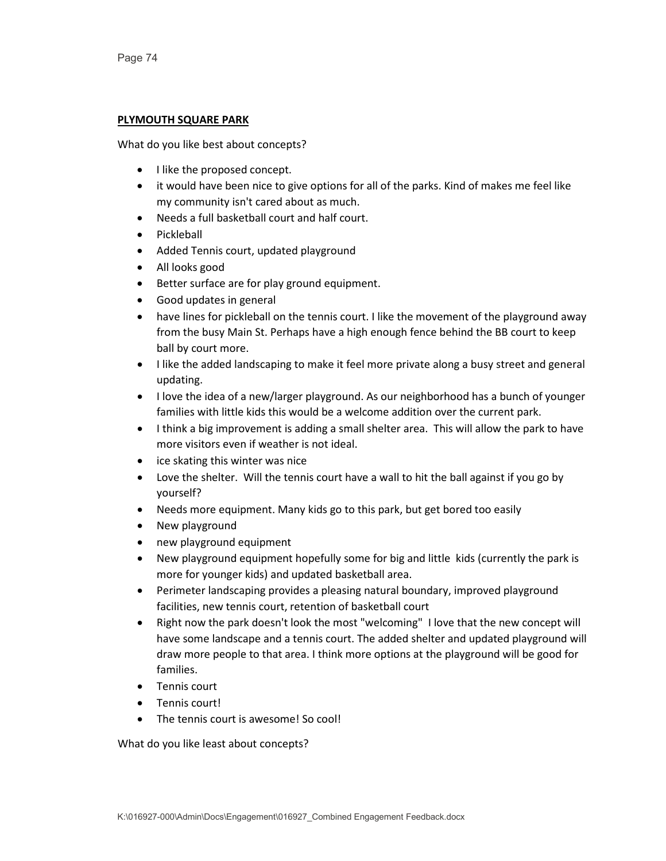#### **PLYMOUTH SQUARE PARK**

What do you like best about concepts?

- I like the proposed concept.
- it would have been nice to give options for all of the parks. Kind of makes me feel like my community isn't cared about as much.
- Needs a full basketball court and half court.
- Pickleball
- Added Tennis court, updated playground
- All looks good
- Better surface are for play ground equipment.
- Good updates in general
- have lines for pickleball on the tennis court. I like the movement of the playground away from the busy Main St. Perhaps have a high enough fence behind the BB court to keep ball by court more.
- I like the added landscaping to make it feel more private along a busy street and general updating.
- I love the idea of a new/larger playground. As our neighborhood has a bunch of younger families with little kids this would be a welcome addition over the current park.
- I think a big improvement is adding a small shelter area. This will allow the park to have more visitors even if weather is not ideal.
- ice skating this winter was nice
- Love the shelter. Will the tennis court have a wall to hit the ball against if you go by yourself?
- Needs more equipment. Many kids go to this park, but get bored too easily
- New playground
- new playground equipment
- New playground equipment hopefully some for big and little kids (currently the park is more for younger kids) and updated basketball area.
- Perimeter landscaping provides a pleasing natural boundary, improved playground facilities, new tennis court, retention of basketball court
- Right now the park doesn't look the most "welcoming" I love that the new concept will have some landscape and a tennis court. The added shelter and updated playground will draw more people to that area. I think more options at the playground will be good for families.
- Tennis court
- Tennis court!
- The tennis court is awesome! So cool!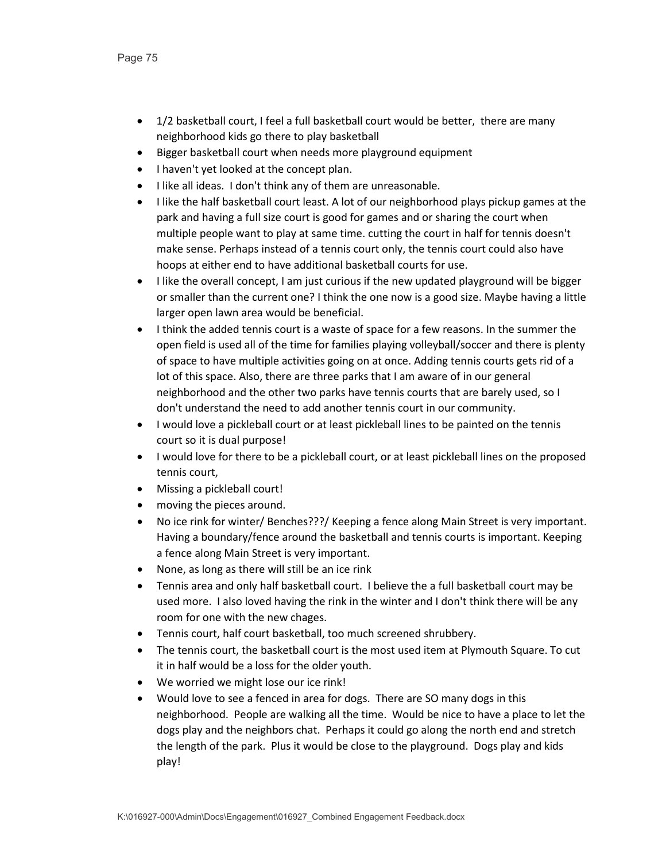- 1/2 basketball court, I feel a full basketball court would be better, there are many neighborhood kids go there to play basketball
- Bigger basketball court when needs more playground equipment
- I haven't yet looked at the concept plan.
- I like all ideas. I don't think any of them are unreasonable.
- I like the half basketball court least. A lot of our neighborhood plays pickup games at the park and having a full size court is good for games and or sharing the court when multiple people want to play at same time. cutting the court in half for tennis doesn't make sense. Perhaps instead of a tennis court only, the tennis court could also have hoops at either end to have additional basketball courts for use.
- I like the overall concept, I am just curious if the new updated playground will be bigger or smaller than the current one? I think the one now is a good size. Maybe having a little larger open lawn area would be beneficial.
- I think the added tennis court is a waste of space for a few reasons. In the summer the open field is used all of the time for families playing volleyball/soccer and there is plenty of space to have multiple activities going on at once. Adding tennis courts gets rid of a lot of this space. Also, there are three parks that I am aware of in our general neighborhood and the other two parks have tennis courts that are barely used, so I don't understand the need to add another tennis court in our community.
- I would love a pickleball court or at least pickleball lines to be painted on the tennis court so it is dual purpose!
- I would love for there to be a pickleball court, or at least pickleball lines on the proposed tennis court,
- Missing a pickleball court!
- moving the pieces around.
- No ice rink for winter/ Benches???/ Keeping a fence along Main Street is very important. Having a boundary/fence around the basketball and tennis courts is important. Keeping a fence along Main Street is very important.
- None, as long as there will still be an ice rink
- Tennis area and only half basketball court. I believe the a full basketball court may be used more. I also loved having the rink in the winter and I don't think there will be any room for one with the new chages.
- Tennis court, half court basketball, too much screened shrubbery.
- The tennis court, the basketball court is the most used item at Plymouth Square. To cut it in half would be a loss for the older youth.
- We worried we might lose our ice rink!
- Would love to see a fenced in area for dogs. There are SO many dogs in this neighborhood. People are walking all the time. Would be nice to have a place to let the dogs play and the neighbors chat. Perhaps it could go along the north end and stretch the length of the park. Plus it would be close to the playground. Dogs play and kids play!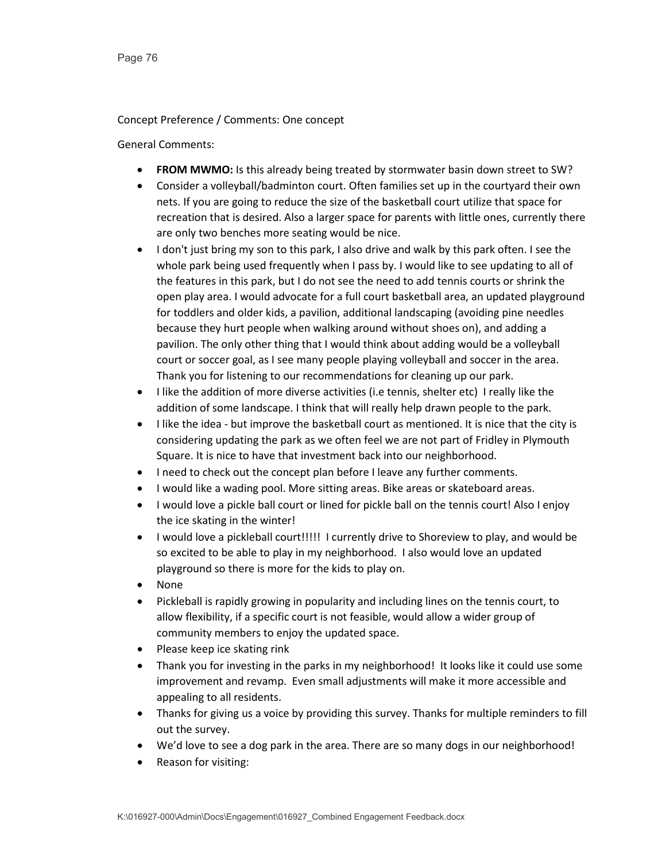#### Concept Preference / Comments: One concept

- **FROM MWMO:** Is this already being treated by stormwater basin down street to SW?
- Consider a volleyball/badminton court. Often families set up in the courtyard their own nets. If you are going to reduce the size of the basketball court utilize that space for recreation that is desired. Also a larger space for parents with little ones, currently there are only two benches more seating would be nice.
- I don't just bring my son to this park, I also drive and walk by this park often. I see the whole park being used frequently when I pass by. I would like to see updating to all of the features in this park, but I do not see the need to add tennis courts or shrink the open play area. I would advocate for a full court basketball area, an updated playground for toddlers and older kids, a pavilion, additional landscaping (avoiding pine needles because they hurt people when walking around without shoes on), and adding a pavilion. The only other thing that I would think about adding would be a volleyball court or soccer goal, as I see many people playing volleyball and soccer in the area. Thank you for listening to our recommendations for cleaning up our park.
- I like the addition of more diverse activities (i.e tennis, shelter etc) I really like the addition of some landscape. I think that will really help drawn people to the park.
- I like the idea but improve the basketball court as mentioned. It is nice that the city is considering updating the park as we often feel we are not part of Fridley in Plymouth Square. It is nice to have that investment back into our neighborhood.
- I need to check out the concept plan before I leave any further comments.
- I would like a wading pool. More sitting areas. Bike areas or skateboard areas.
- I would love a pickle ball court or lined for pickle ball on the tennis court! Also I enjoy the ice skating in the winter!
- I would love a pickleball court!!!!! I currently drive to Shoreview to play, and would be so excited to be able to play in my neighborhood. I also would love an updated playground so there is more for the kids to play on.
- None
- Pickleball is rapidly growing in popularity and including lines on the tennis court, to allow flexibility, if a specific court is not feasible, would allow a wider group of community members to enjoy the updated space.
- Please keep ice skating rink
- Thank you for investing in the parks in my neighborhood! It looks like it could use some improvement and revamp. Even small adjustments will make it more accessible and appealing to all residents.
- Thanks for giving us a voice by providing this survey. Thanks for multiple reminders to fill out the survey.
- We'd love to see a dog park in the area. There are so many dogs in our neighborhood!
- Reason for visiting: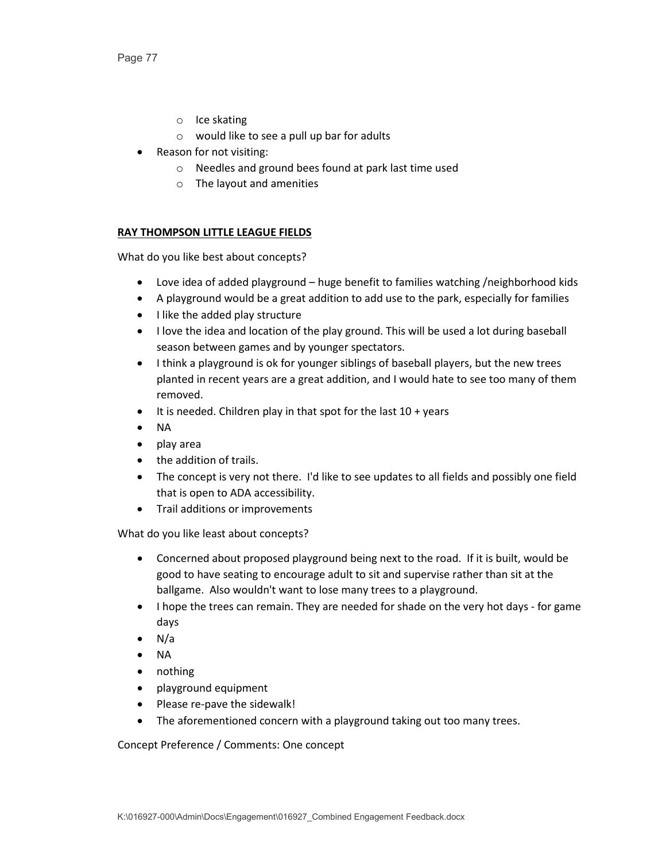- o Ice skating
- o would like to see a pull up bar for adults
- Reason for not visiting:
	- o Needles and ground bees found at park last time used
	- o The layout and amenities

# **RAY THOMPSON LITTLE LEAGUE FIELDS**

What do you like best about concepts?

- Love idea of added playground huge benefit to families watching /neighborhood kids
- A playground would be a great addition to add use to the park, especially for families
- I like the added play structure
- I love the idea and location of the play ground. This will be used a lot during baseball season between games and by younger spectators.
- I think a playground is ok for younger siblings of baseball players, but the new trees planted in recent years are a great addition, and I would hate to see too many of them removed.
- $\bullet$  It is needed. Children play in that spot for the last  $10 + \text{years}$
- NA
- play area
- the addition of trails.
- The concept is very not there. I'd like to see updates to all fields and possibly one field that is open to ADA accessibility.
- Trail additions or improvements

What do you like least about concepts?

- Concerned about proposed playground being next to the road. If it is built, would be good to have seating to encourage adult to sit and supervise rather than sit at the ballgame. Also wouldn't want to lose many trees to a playground.
- I hope the trees can remain. They are needed for shade on the very hot days for game days
- $\bullet$  N/a
- NA
- nothing
- playground equipment
- Please re-pave the sidewalk!
- The aforementioned concern with a playground taking out too many trees.

Concept Preference / Comments: One concept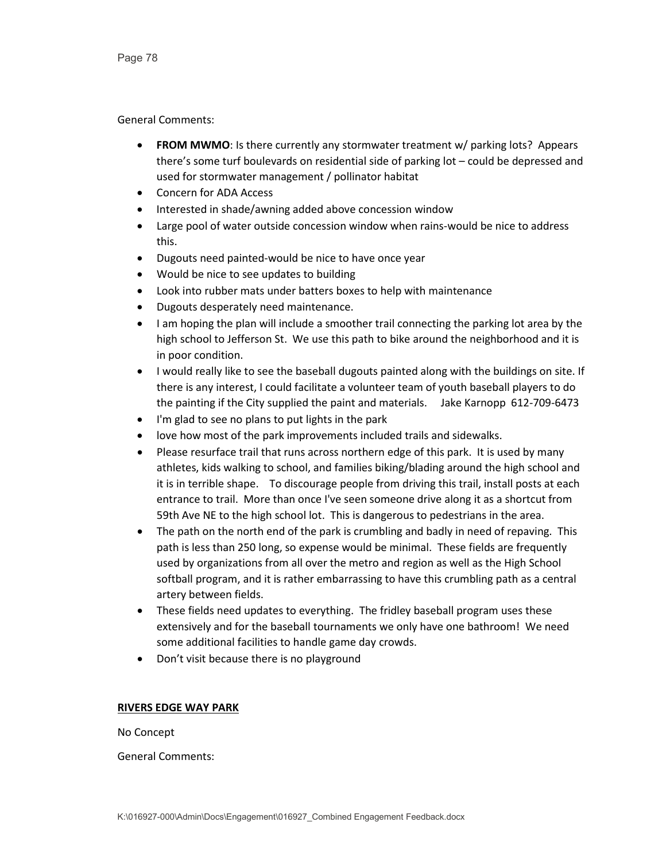General Comments:

- **FROM MWMO**: Is there currently any stormwater treatment w/ parking lots? Appears there's some turf boulevards on residential side of parking lot – could be depressed and used for stormwater management / pollinator habitat
- Concern for ADA Access
- Interested in shade/awning added above concession window
- Large pool of water outside concession window when rains-would be nice to address this.
- Dugouts need painted-would be nice to have once year
- Would be nice to see updates to building
- Look into rubber mats under batters boxes to help with maintenance
- Dugouts desperately need maintenance.
- I am hoping the plan will include a smoother trail connecting the parking lot area by the high school to Jefferson St. We use this path to bike around the neighborhood and it is in poor condition.
- I would really like to see the baseball dugouts painted along with the buildings on site. If there is any interest, I could facilitate a volunteer team of youth baseball players to do the painting if the City supplied the paint and materials. Jake Karnopp 612-709-6473
- I'm glad to see no plans to put lights in the park
- love how most of the park improvements included trails and sidewalks.
- Please resurface trail that runs across northern edge of this park. It is used by many athletes, kids walking to school, and families biking/blading around the high school and it is in terrible shape. To discourage people from driving this trail, install posts at each entrance to trail. More than once I've seen someone drive along it as a shortcut from 59th Ave NE to the high school lot. This is dangerous to pedestrians in the area.
- The path on the north end of the park is crumbling and badly in need of repaving. This path is less than 250 long, so expense would be minimal. These fields are frequently used by organizations from all over the metro and region as well as the High School softball program, and it is rather embarrassing to have this crumbling path as a central artery between fields.
- These fields need updates to everything. The fridley baseball program uses these extensively and for the baseball tournaments we only have one bathroom! We need some additional facilities to handle game day crowds.
- Don't visit because there is no playground

# **RIVERS EDGE WAY PARK**

No Concept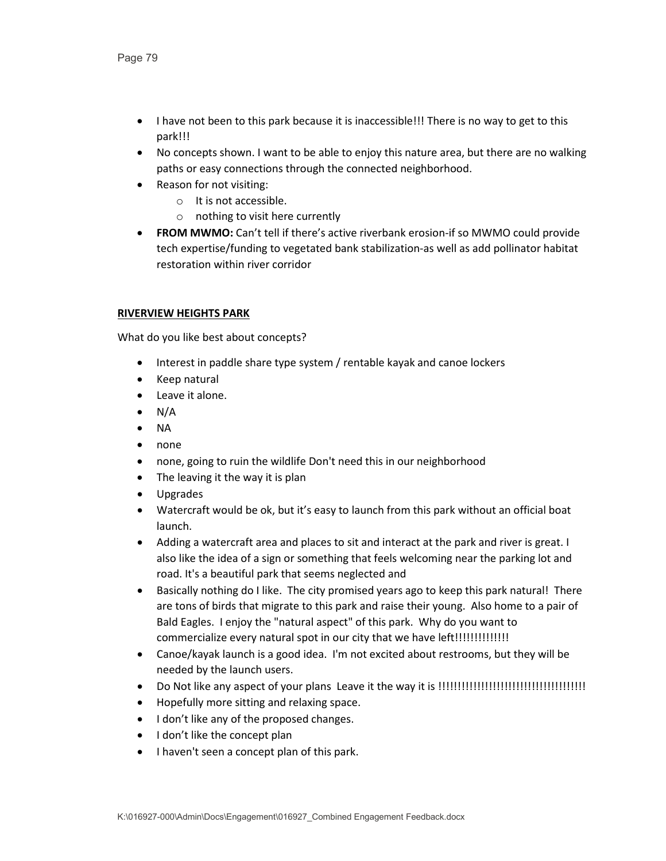- I have not been to this park because it is inaccessible!!! There is no way to get to this park!!!
- No concepts shown. I want to be able to enjoy this nature area, but there are no walking paths or easy connections through the connected neighborhood.
- Reason for not visiting:
	- o It is not accessible.
	- o nothing to visit here currently
- **FROM MWMO:** Can't tell if there's active riverbank erosion-if so MWMO could provide tech expertise/funding to vegetated bank stabilization-as well as add pollinator habitat restoration within river corridor

# **RIVERVIEW HEIGHTS PARK**

- Interest in paddle share type system / rentable kayak and canoe lockers
- Keep natural
- Leave it alone.
- $\bullet$  N/A
- NA
- none
- none, going to ruin the wildlife Don't need this in our neighborhood
- The leaving it the way it is plan
- Upgrades
- Watercraft would be ok, but it's easy to launch from this park without an official boat launch.
- Adding a watercraft area and places to sit and interact at the park and river is great. I also like the idea of a sign or something that feels welcoming near the parking lot and road. It's a beautiful park that seems neglected and
- Basically nothing do I like. The city promised years ago to keep this park natural! There are tons of birds that migrate to this park and raise their young. Also home to a pair of Bald Eagles. I enjoy the "natural aspect" of this park. Why do you want to commercialize every natural spot in our city that we have left!!!!!!!!!!!!!!!!!!
- Canoe/kayak launch is a good idea. I'm not excited about restrooms, but they will be needed by the launch users.
- Do Not like any aspect of your plans Leave it the way it is !!!!!!!!!!!!!!!!!!!!!!!!!!!!!!!!!!!!!!
- Hopefully more sitting and relaxing space.
- I don't like any of the proposed changes.
- I don't like the concept plan
- I haven't seen a concept plan of this park.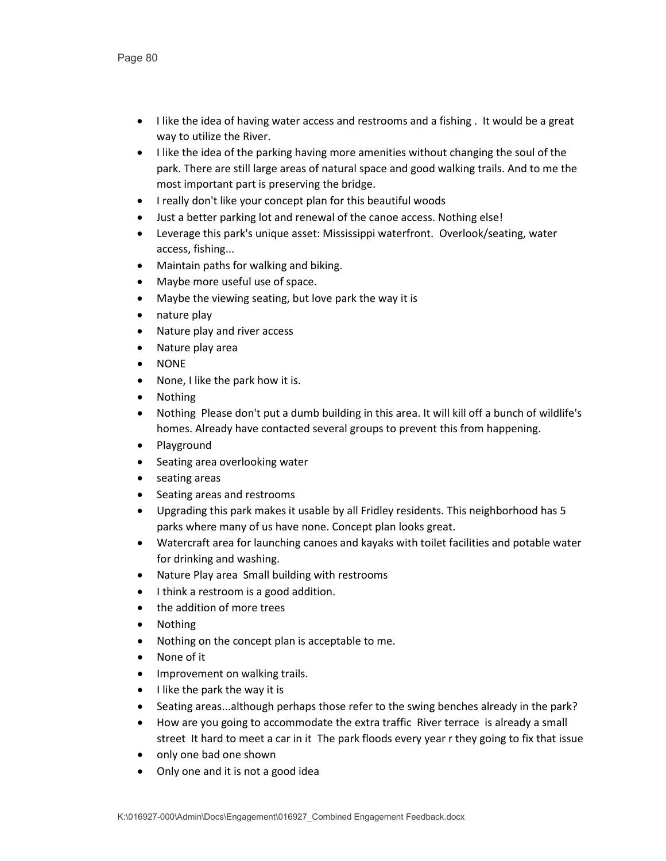- I like the idea of having water access and restrooms and a fishing . It would be a great way to utilize the River.
- I like the idea of the parking having more amenities without changing the soul of the park. There are still large areas of natural space and good walking trails. And to me the most important part is preserving the bridge.
- I really don't like your concept plan for this beautiful woods
- Just a better parking lot and renewal of the canoe access. Nothing else!
- Leverage this park's unique asset: Mississippi waterfront. Overlook/seating, water access, fishing...
- Maintain paths for walking and biking.
- Maybe more useful use of space.
- Maybe the viewing seating, but love park the way it is
- nature play
- Nature play and river access
- Nature play area
- NONE
- None, I like the park how it is.
- Nothing
- Nothing Please don't put a dumb building in this area. It will kill off a bunch of wildlife's homes. Already have contacted several groups to prevent this from happening.
- Playground
- Seating area overlooking water
- seating areas
- Seating areas and restrooms
- Upgrading this park makes it usable by all Fridley residents. This neighborhood has 5 parks where many of us have none. Concept plan looks great.
- Watercraft area for launching canoes and kayaks with toilet facilities and potable water for drinking and washing.
- Nature Play area Small building with restrooms
- I think a restroom is a good addition.
- the addition of more trees
- Nothing
- Nothing on the concept plan is acceptable to me.
- None of it
- Improvement on walking trails.
- I like the park the way it is
- Seating areas...although perhaps those refer to the swing benches already in the park?
- How are you going to accommodate the extra traffic River terrace is already a small street It hard to meet a car in it The park floods every year r they going to fix that issue
- only one bad one shown
- Only one and it is not a good idea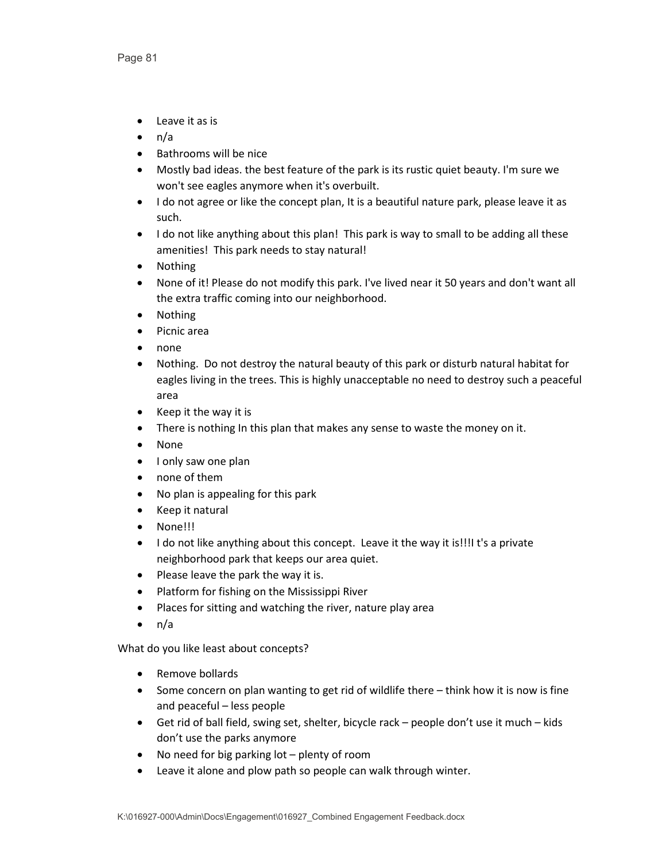- Leave it as is
- $\bullet$  n/a
- Bathrooms will be nice
- Mostly bad ideas. the best feature of the park is its rustic quiet beauty. I'm sure we won't see eagles anymore when it's overbuilt.
- I do not agree or like the concept plan, It is a beautiful nature park, please leave it as such.
- I do not like anything about this plan! This park is way to small to be adding all these amenities! This park needs to stay natural!
- Nothing
- None of it! Please do not modify this park. I've lived near it 50 years and don't want all the extra traffic coming into our neighborhood.
- Nothing
- Picnic area
- none
- Nothing. Do not destroy the natural beauty of this park or disturb natural habitat for eagles living in the trees. This is highly unacceptable no need to destroy such a peaceful area
- Keep it the way it is
- There is nothing In this plan that makes any sense to waste the money on it.
- None
- I only saw one plan
- none of them
- No plan is appealing for this park
- Keep it natural
- None!!!
- I do not like anything about this concept. Leave it the way it is!!!I t's a private neighborhood park that keeps our area quiet.
- Please leave the park the way it is.
- Platform for fishing on the Mississippi River
- Places for sitting and watching the river, nature play area
- $\bullet$  n/a

- Remove bollards
- Some concern on plan wanting to get rid of wildlife there think how it is now is fine and peaceful – less people
- Get rid of ball field, swing set, shelter, bicycle rack people don't use it much kids don't use the parks anymore
- No need for big parking lot plenty of room
- Leave it alone and plow path so people can walk through winter.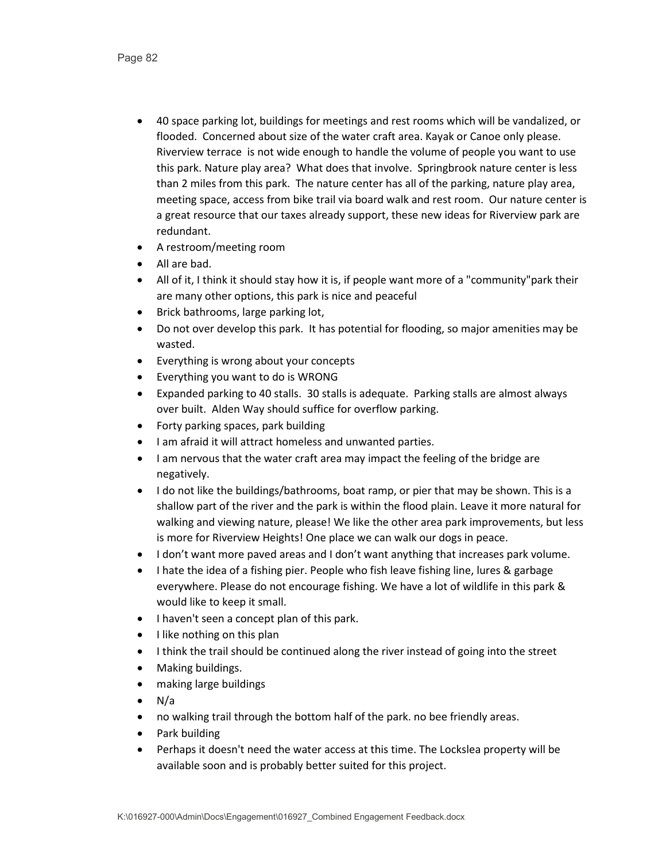- 40 space parking lot, buildings for meetings and rest rooms which will be vandalized, or flooded. Concerned about size of the water craft area. Kayak or Canoe only please. Riverview terrace is not wide enough to handle the volume of people you want to use this park. Nature play area? What does that involve. Springbrook nature center is less than 2 miles from this park. The nature center has all of the parking, nature play area, meeting space, access from bike trail via board walk and rest room. Our nature center is a great resource that our taxes already support, these new ideas for Riverview park are redundant.
- A restroom/meeting room
- All are bad.
- All of it, I think it should stay how it is, if people want more of a "community"park their are many other options, this park is nice and peaceful
- Brick bathrooms, large parking lot,
- Do not over develop this park. It has potential for flooding, so major amenities may be wasted.
- Everything is wrong about your concepts
- Everything you want to do is WRONG
- Expanded parking to 40 stalls. 30 stalls is adequate. Parking stalls are almost always over built. Alden Way should suffice for overflow parking.
- Forty parking spaces, park building
- I am afraid it will attract homeless and unwanted parties.
- I am nervous that the water craft area may impact the feeling of the bridge are negatively.
- I do not like the buildings/bathrooms, boat ramp, or pier that may be shown. This is a shallow part of the river and the park is within the flood plain. Leave it more natural for walking and viewing nature, please! We like the other area park improvements, but less is more for Riverview Heights! One place we can walk our dogs in peace.
- I don't want more paved areas and I don't want anything that increases park volume.
- I hate the idea of a fishing pier. People who fish leave fishing line, lures & garbage everywhere. Please do not encourage fishing. We have a lot of wildlife in this park & would like to keep it small.
- I haven't seen a concept plan of this park.
- I like nothing on this plan
- I think the trail should be continued along the river instead of going into the street
- Making buildings.
- making large buildings
- N/a
- no walking trail through the bottom half of the park. no bee friendly areas.
- Park building
- Perhaps it doesn't need the water access at this time. The Lockslea property will be available soon and is probably better suited for this project.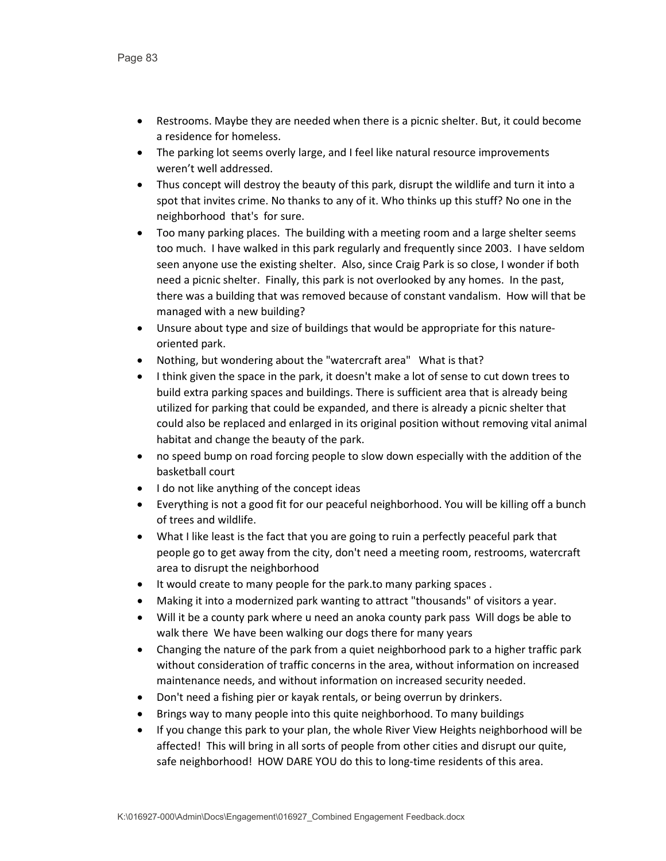- Restrooms. Maybe they are needed when there is a picnic shelter. But, it could become a residence for homeless.
- The parking lot seems overly large, and I feel like natural resource improvements weren't well addressed.
- Thus concept will destroy the beauty of this park, disrupt the wildlife and turn it into a spot that invites crime. No thanks to any of it. Who thinks up this stuff? No one in the neighborhood that's for sure.
- Too many parking places. The building with a meeting room and a large shelter seems too much. I have walked in this park regularly and frequently since 2003. I have seldom seen anyone use the existing shelter. Also, since Craig Park is so close, I wonder if both need a picnic shelter. Finally, this park is not overlooked by any homes. In the past, there was a building that was removed because of constant vandalism. How will that be managed with a new building?
- Unsure about type and size of buildings that would be appropriate for this natureoriented park.
- Nothing, but wondering about the "watercraft area" What is that?
- I think given the space in the park, it doesn't make a lot of sense to cut down trees to build extra parking spaces and buildings. There is sufficient area that is already being utilized for parking that could be expanded, and there is already a picnic shelter that could also be replaced and enlarged in its original position without removing vital animal habitat and change the beauty of the park.
- no speed bump on road forcing people to slow down especially with the addition of the basketball court
- I do not like anything of the concept ideas
- Everything is not a good fit for our peaceful neighborhood. You will be killing off a bunch of trees and wildlife.
- What I like least is the fact that you are going to ruin a perfectly peaceful park that people go to get away from the city, don't need a meeting room, restrooms, watercraft area to disrupt the neighborhood
- It would create to many people for the park.to many parking spaces .
- Making it into a modernized park wanting to attract "thousands" of visitors a year.
- Will it be a county park where u need an anoka county park pass Will dogs be able to walk there We have been walking our dogs there for many years
- Changing the nature of the park from a quiet neighborhood park to a higher traffic park without consideration of traffic concerns in the area, without information on increased maintenance needs, and without information on increased security needed.
- Don't need a fishing pier or kayak rentals, or being overrun by drinkers.
- Brings way to many people into this quite neighborhood. To many buildings
- If you change this park to your plan, the whole River View Heights neighborhood will be affected! This will bring in all sorts of people from other cities and disrupt our quite, safe neighborhood! HOW DARE YOU do this to long-time residents of this area.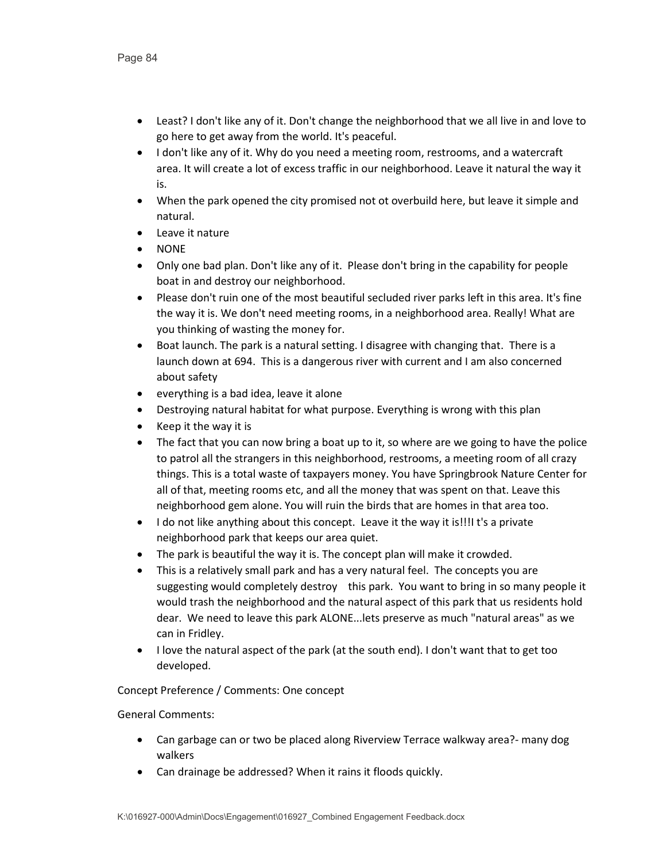- Least? I don't like any of it. Don't change the neighborhood that we all live in and love to go here to get away from the world. It's peaceful.
- I don't like any of it. Why do you need a meeting room, restrooms, and a watercraft area. It will create a lot of excess traffic in our neighborhood. Leave it natural the way it is.
- When the park opened the city promised not ot overbuild here, but leave it simple and natural.
- Leave it nature
- NONE
- Only one bad plan. Don't like any of it. Please don't bring in the capability for people boat in and destroy our neighborhood.
- Please don't ruin one of the most beautiful secluded river parks left in this area. It's fine the way it is. We don't need meeting rooms, in a neighborhood area. Really! What are you thinking of wasting the money for.
- Boat launch. The park is a natural setting. I disagree with changing that. There is a launch down at 694. This is a dangerous river with current and I am also concerned about safety
- everything is a bad idea, leave it alone
- Destroying natural habitat for what purpose. Everything is wrong with this plan
- Keep it the way it is
- The fact that you can now bring a boat up to it, so where are we going to have the police to patrol all the strangers in this neighborhood, restrooms, a meeting room of all crazy things. This is a total waste of taxpayers money. You have Springbrook Nature Center for all of that, meeting rooms etc, and all the money that was spent on that. Leave this neighborhood gem alone. You will ruin the birds that are homes in that area too.
- I do not like anything about this concept. Leave it the way it is!!!I t's a private neighborhood park that keeps our area quiet.
- The park is beautiful the way it is. The concept plan will make it crowded.
- This is a relatively small park and has a very natural feel. The concepts you are suggesting would completely destroy this park. You want to bring in so many people it would trash the neighborhood and the natural aspect of this park that us residents hold dear. We need to leave this park ALONE...lets preserve as much "natural areas" as we can in Fridley.
- I love the natural aspect of the park (at the south end). I don't want that to get too developed.

# Concept Preference / Comments: One concept

- Can garbage can or two be placed along Riverview Terrace walkway area?- many dog walkers
- Can drainage be addressed? When it rains it floods quickly.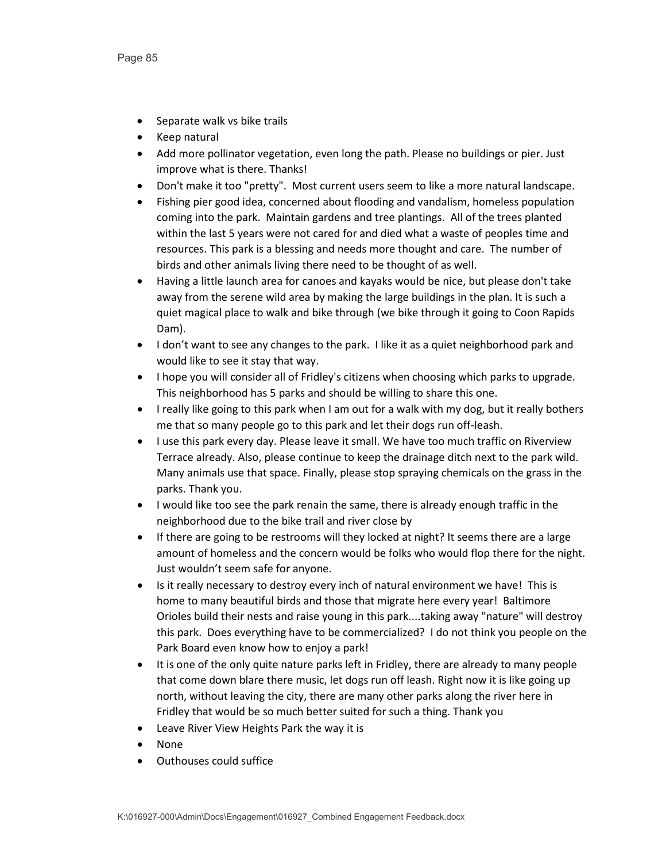- Separate walk vs bike trails
- Keep natural
- Add more pollinator vegetation, even long the path. Please no buildings or pier. Just improve what is there. Thanks!
- Don't make it too "pretty". Most current users seem to like a more natural landscape.
- Fishing pier good idea, concerned about flooding and vandalism, homeless population coming into the park. Maintain gardens and tree plantings. All of the trees planted within the last 5 years were not cared for and died what a waste of peoples time and resources. This park is a blessing and needs more thought and care. The number of birds and other animals living there need to be thought of as well.
- Having a little launch area for canoes and kayaks would be nice, but please don't take away from the serene wild area by making the large buildings in the plan. It is such a quiet magical place to walk and bike through (we bike through it going to Coon Rapids Dam).
- I don't want to see any changes to the park. I like it as a quiet neighborhood park and would like to see it stay that way.
- I hope you will consider all of Fridley's citizens when choosing which parks to upgrade. This neighborhood has 5 parks and should be willing to share this one.
- I really like going to this park when I am out for a walk with my dog, but it really bothers me that so many people go to this park and let their dogs run off-leash.
- I use this park every day. Please leave it small. We have too much traffic on Riverview Terrace already. Also, please continue to keep the drainage ditch next to the park wild. Many animals use that space. Finally, please stop spraying chemicals on the grass in the parks. Thank you.
- I would like too see the park renain the same, there is already enough traffic in the neighborhood due to the bike trail and river close by
- If there are going to be restrooms will they locked at night? It seems there are a large amount of homeless and the concern would be folks who would flop there for the night. Just wouldn't seem safe for anyone.
- Is it really necessary to destroy every inch of natural environment we have! This is home to many beautiful birds and those that migrate here every year! Baltimore Orioles build their nests and raise young in this park....taking away "nature" will destroy this park. Does everything have to be commercialized? I do not think you people on the Park Board even know how to enjoy a park!
- It is one of the only quite nature parks left in Fridley, there are already to many people that come down blare there music, let dogs run off leash. Right now it is like going up north, without leaving the city, there are many other parks along the river here in Fridley that would be so much better suited for such a thing. Thank you
- Leave River View Heights Park the way it is
- None
- Outhouses could suffice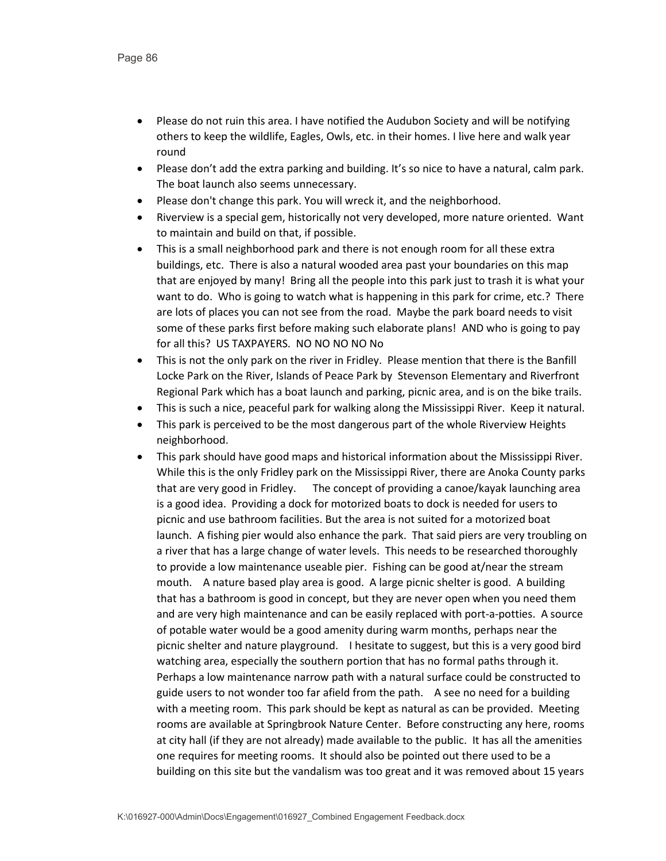- Please do not ruin this area. I have notified the Audubon Society and will be notifying others to keep the wildlife, Eagles, Owls, etc. in their homes. I live here and walk year round
- Please don't add the extra parking and building. It's so nice to have a natural, calm park. The boat launch also seems unnecessary.
- Please don't change this park. You will wreck it, and the neighborhood.
- Riverview is a special gem, historically not very developed, more nature oriented. Want to maintain and build on that, if possible.
- This is a small neighborhood park and there is not enough room for all these extra buildings, etc. There is also a natural wooded area past your boundaries on this map that are enjoyed by many! Bring all the people into this park just to trash it is what your want to do. Who is going to watch what is happening in this park for crime, etc.? There are lots of places you can not see from the road. Maybe the park board needs to visit some of these parks first before making such elaborate plans! AND who is going to pay for all this? US TAXPAYERS. NO NO NO NO No
- This is not the only park on the river in Fridley. Please mention that there is the Banfill Locke Park on the River, Islands of Peace Park by Stevenson Elementary and Riverfront Regional Park which has a boat launch and parking, picnic area, and is on the bike trails.
- This is such a nice, peaceful park for walking along the Mississippi River. Keep it natural.
- This park is perceived to be the most dangerous part of the whole Riverview Heights neighborhood.
- This park should have good maps and historical information about the Mississippi River. While this is the only Fridley park on the Mississippi River, there are Anoka County parks that are very good in Fridley. The concept of providing a canoe/kayak launching area is a good idea. Providing a dock for motorized boats to dock is needed for users to picnic and use bathroom facilities. But the area is not suited for a motorized boat launch. A fishing pier would also enhance the park. That said piers are very troubling on a river that has a large change of water levels. This needs to be researched thoroughly to provide a low maintenance useable pier. Fishing can be good at/near the stream mouth. A nature based play area is good. A large picnic shelter is good. A building that has a bathroom is good in concept, but they are never open when you need them and are very high maintenance and can be easily replaced with port-a-potties. A source of potable water would be a good amenity during warm months, perhaps near the picnic shelter and nature playground. I hesitate to suggest, but this is a very good bird watching area, especially the southern portion that has no formal paths through it. Perhaps a low maintenance narrow path with a natural surface could be constructed to guide users to not wonder too far afield from the path. A see no need for a building with a meeting room. This park should be kept as natural as can be provided. Meeting rooms are available at Springbrook Nature Center. Before constructing any here, rooms at city hall (if they are not already) made available to the public. It has all the amenities one requires for meeting rooms. It should also be pointed out there used to be a building on this site but the vandalism was too great and it was removed about 15 years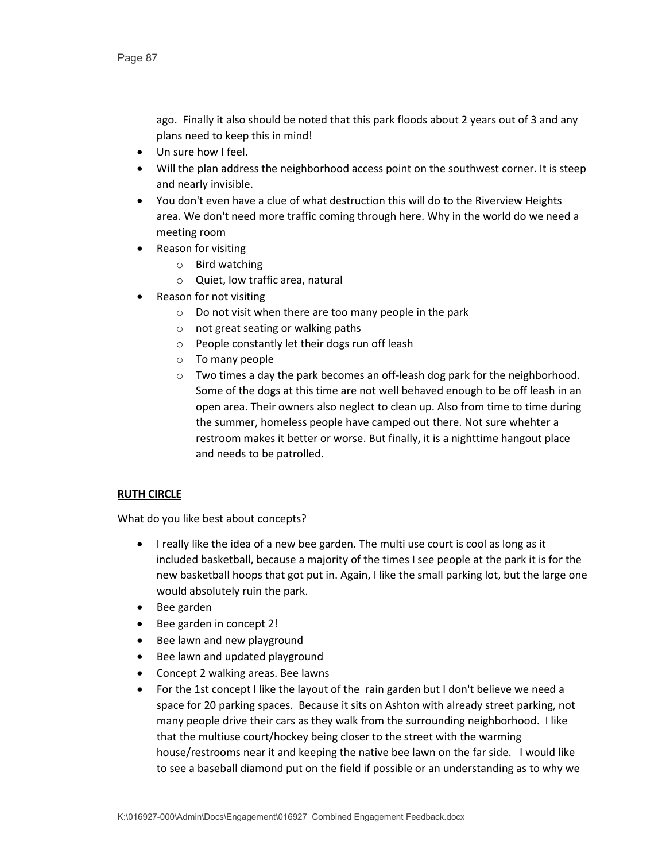ago. Finally it also should be noted that this park floods about 2 years out of 3 and any plans need to keep this in mind!

- Un sure how I feel.
- Will the plan address the neighborhood access point on the southwest corner. It is steep and nearly invisible.
- You don't even have a clue of what destruction this will do to the Riverview Heights area. We don't need more traffic coming through here. Why in the world do we need a meeting room
- Reason for visiting
	- o Bird watching
	- o Quiet, low traffic area, natural
- Reason for not visiting
	- $\circ$  Do not visit when there are too many people in the park
	- o not great seating or walking paths
	- o People constantly let their dogs run off leash
	- o To many people
	- $\circ$  Two times a day the park becomes an off-leash dog park for the neighborhood. Some of the dogs at this time are not well behaved enough to be off leash in an open area. Their owners also neglect to clean up. Also from time to time during the summer, homeless people have camped out there. Not sure whehter a restroom makes it better or worse. But finally, it is a nighttime hangout place and needs to be patrolled.

# **RUTH CIRCLE**

- I really like the idea of a new bee garden. The multi use court is cool as long as it included basketball, because a majority of the times I see people at the park it is for the new basketball hoops that got put in. Again, I like the small parking lot, but the large one would absolutely ruin the park.
- Bee garden
- Bee garden in concept 2!
- Bee lawn and new playground
- Bee lawn and updated playground
- Concept 2 walking areas. Bee lawns
- For the 1st concept I like the layout of the rain garden but I don't believe we need a space for 20 parking spaces. Because it sits on Ashton with already street parking, not many people drive their cars as they walk from the surrounding neighborhood. I like that the multiuse court/hockey being closer to the street with the warming house/restrooms near it and keeping the native bee lawn on the far side. I would like to see a baseball diamond put on the field if possible or an understanding as to why we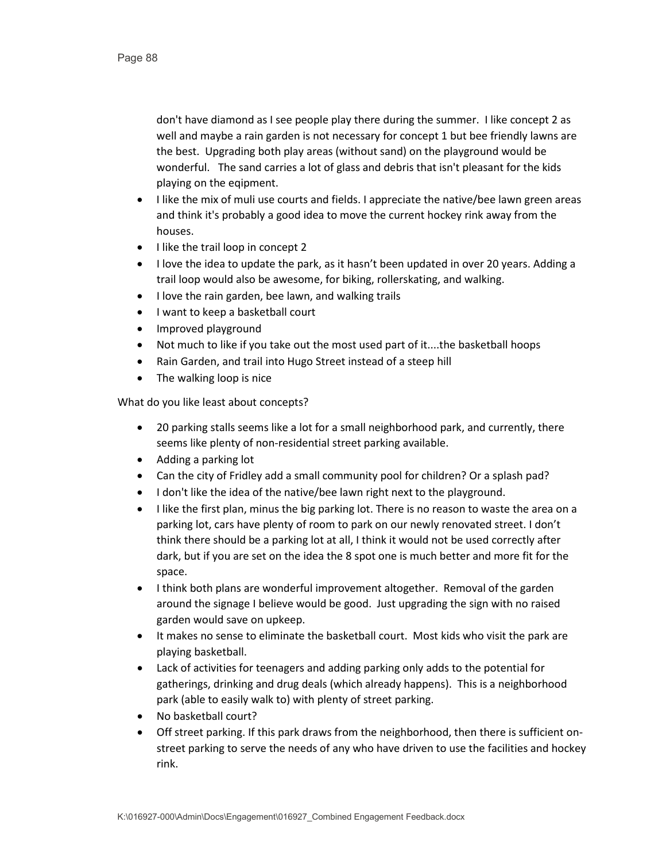don't have diamond as I see people play there during the summer. I like concept 2 as well and maybe a rain garden is not necessary for concept 1 but bee friendly lawns are the best. Upgrading both play areas (without sand) on the playground would be wonderful. The sand carries a lot of glass and debris that isn't pleasant for the kids playing on the eqipment.

- I like the mix of muli use courts and fields. I appreciate the native/bee lawn green areas and think it's probably a good idea to move the current hockey rink away from the houses.
- I like the trail loop in concept 2
- I love the idea to update the park, as it hasn't been updated in over 20 years. Adding a trail loop would also be awesome, for biking, rollerskating, and walking.
- I love the rain garden, bee lawn, and walking trails
- I want to keep a basketball court
- Improved playground
- Not much to like if you take out the most used part of it....the basketball hoops
- Rain Garden, and trail into Hugo Street instead of a steep hill
- The walking loop is nice

- 20 parking stalls seems like a lot for a small neighborhood park, and currently, there seems like plenty of non-residential street parking available.
- Adding a parking lot
- Can the city of Fridley add a small community pool for children? Or a splash pad?
- I don't like the idea of the native/bee lawn right next to the playground.
- I like the first plan, minus the big parking lot. There is no reason to waste the area on a parking lot, cars have plenty of room to park on our newly renovated street. I don't think there should be a parking lot at all, I think it would not be used correctly after dark, but if you are set on the idea the 8 spot one is much better and more fit for the space.
- I think both plans are wonderful improvement altogether. Removal of the garden around the signage I believe would be good. Just upgrading the sign with no raised garden would save on upkeep.
- It makes no sense to eliminate the basketball court. Most kids who visit the park are playing basketball.
- Lack of activities for teenagers and adding parking only adds to the potential for gatherings, drinking and drug deals (which already happens). This is a neighborhood park (able to easily walk to) with plenty of street parking.
- No basketball court?
- Off street parking. If this park draws from the neighborhood, then there is sufficient onstreet parking to serve the needs of any who have driven to use the facilities and hockey rink.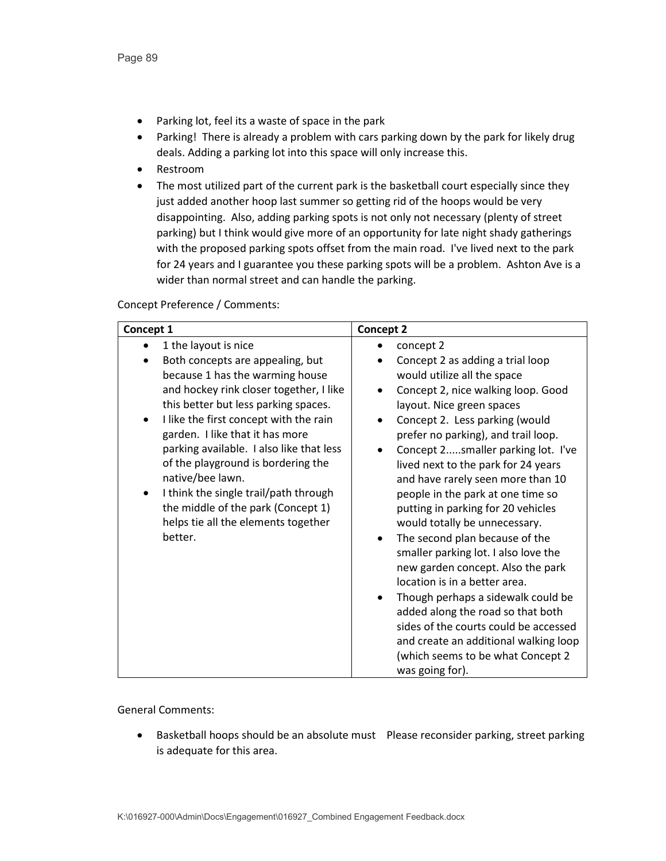- Parking lot, feel its a waste of space in the park
- Parking! There is already a problem with cars parking down by the park for likely drug deals. Adding a parking lot into this space will only increase this.
- Restroom
- The most utilized part of the current park is the basketball court especially since they just added another hoop last summer so getting rid of the hoops would be very disappointing. Also, adding parking spots is not only not necessary (plenty of street parking) but I think would give more of an opportunity for late night shady gatherings with the proposed parking spots offset from the main road. I've lived next to the park for 24 years and I guarantee you these parking spots will be a problem. Ashton Ave is a wider than normal street and can handle the parking.

#### Concept Preference / Comments:

| Concept 1 |                                                                                                                                                                                                                                                                                                                                                                                                                                                                 | Concept 2              |                                                                                                                                                                                                                                                                                                                                                                                                                                                                                                                                                                                                                                                                                                               |
|-----------|-----------------------------------------------------------------------------------------------------------------------------------------------------------------------------------------------------------------------------------------------------------------------------------------------------------------------------------------------------------------------------------------------------------------------------------------------------------------|------------------------|---------------------------------------------------------------------------------------------------------------------------------------------------------------------------------------------------------------------------------------------------------------------------------------------------------------------------------------------------------------------------------------------------------------------------------------------------------------------------------------------------------------------------------------------------------------------------------------------------------------------------------------------------------------------------------------------------------------|
|           | 1 the layout is nice                                                                                                                                                                                                                                                                                                                                                                                                                                            |                        | concept 2                                                                                                                                                                                                                                                                                                                                                                                                                                                                                                                                                                                                                                                                                                     |
| better.   | Both concepts are appealing, but<br>because 1 has the warming house<br>and hockey rink closer together, I like<br>this better but less parking spaces.<br>I like the first concept with the rain<br>garden. I like that it has more<br>parking available. I also like that less<br>of the playground is bordering the<br>native/bee lawn.<br>I think the single trail/path through<br>the middle of the park (Concept 1)<br>helps tie all the elements together | $\bullet$<br>$\bullet$ | Concept 2 as adding a trial loop<br>would utilize all the space<br>Concept 2, nice walking loop. Good<br>layout. Nice green spaces<br>Concept 2. Less parking (would<br>prefer no parking), and trail loop.<br>Concept 2smaller parking lot. I've<br>lived next to the park for 24 years<br>and have rarely seen more than 10<br>people in the park at one time so<br>putting in parking for 20 vehicles<br>would totally be unnecessary.<br>The second plan because of the<br>smaller parking lot. I also love the<br>new garden concept. Also the park<br>location is in a better area.<br>Though perhaps a sidewalk could be<br>added along the road so that both<br>sides of the courts could be accessed |
|           |                                                                                                                                                                                                                                                                                                                                                                                                                                                                 |                        | and create an additional walking loop<br>(which seems to be what Concept 2<br>was going for).                                                                                                                                                                                                                                                                                                                                                                                                                                                                                                                                                                                                                 |

# General Comments:

• Basketball hoops should be an absolute must Please reconsider parking, street parking is adequate for this area.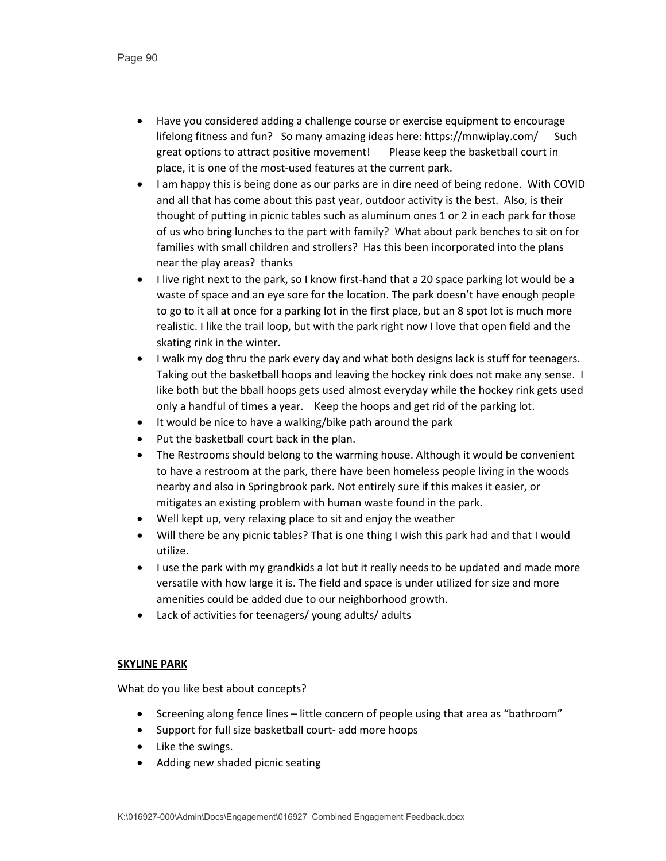- Have you considered adding a challenge course or exercise equipment to encourage lifelong fitness and fun? So many amazing ideas here: https://mnwiplay.com/ Such great options to attract positive movement! Please keep the basketball court in place, it is one of the most-used features at the current park.
- I am happy this is being done as our parks are in dire need of being redone. With COVID and all that has come about this past year, outdoor activity is the best. Also, is their thought of putting in picnic tables such as aluminum ones 1 or 2 in each park for those of us who bring lunches to the part with family? What about park benches to sit on for families with small children and strollers? Has this been incorporated into the plans near the play areas? thanks
- I live right next to the park, so I know first-hand that a 20 space parking lot would be a waste of space and an eye sore for the location. The park doesn't have enough people to go to it all at once for a parking lot in the first place, but an 8 spot lot is much more realistic. I like the trail loop, but with the park right now I love that open field and the skating rink in the winter.
- I walk my dog thru the park every day and what both designs lack is stuff for teenagers. Taking out the basketball hoops and leaving the hockey rink does not make any sense. I like both but the bball hoops gets used almost everyday while the hockey rink gets used only a handful of times a year. Keep the hoops and get rid of the parking lot.
- It would be nice to have a walking/bike path around the park
- Put the basketball court back in the plan.
- The Restrooms should belong to the warming house. Although it would be convenient to have a restroom at the park, there have been homeless people living in the woods nearby and also in Springbrook park. Not entirely sure if this makes it easier, or mitigates an existing problem with human waste found in the park.
- Well kept up, very relaxing place to sit and enjoy the weather
- Will there be any picnic tables? That is one thing I wish this park had and that I would utilize.
- I use the park with my grandkids a lot but it really needs to be updated and made more versatile with how large it is. The field and space is under utilized for size and more amenities could be added due to our neighborhood growth.
- Lack of activities for teenagers/ young adults/ adults

# **SKYLINE PARK**

- Screening along fence lines little concern of people using that area as "bathroom"
- Support for full size basketball court- add more hoops
- Like the swings.
- Adding new shaded picnic seating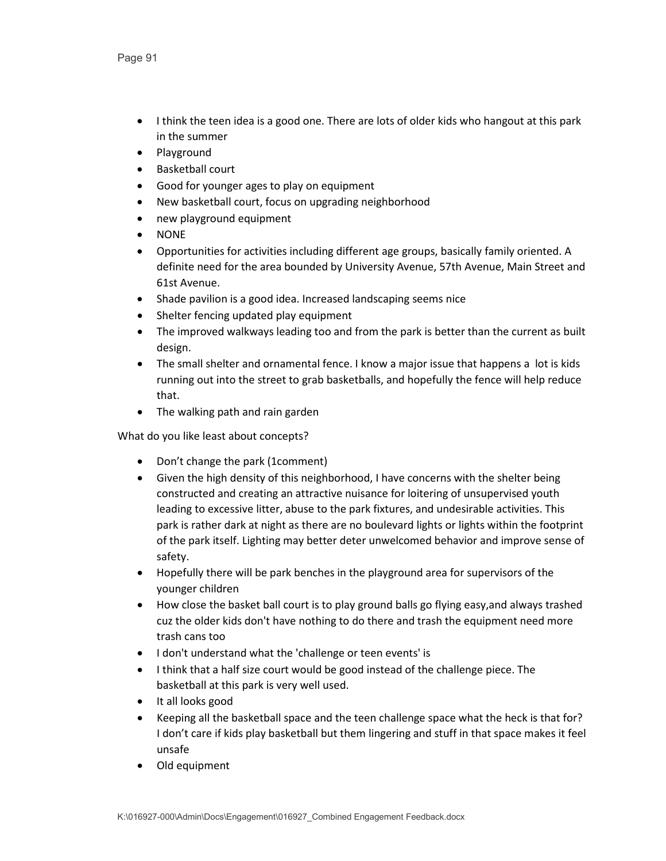- I think the teen idea is a good one. There are lots of older kids who hangout at this park in the summer
- Playground
- Basketball court
- Good for younger ages to play on equipment
- New basketball court, focus on upgrading neighborhood
- new playground equipment
- NONE
- Opportunities for activities including different age groups, basically family oriented. A definite need for the area bounded by University Avenue, 57th Avenue, Main Street and 61st Avenue.
- Shade pavilion is a good idea. Increased landscaping seems nice
- Shelter fencing updated play equipment
- The improved walkways leading too and from the park is better than the current as built design.
- The small shelter and ornamental fence. I know a major issue that happens a lot is kids running out into the street to grab basketballs, and hopefully the fence will help reduce that.
- The walking path and rain garden

- Don't change the park (1comment)
- Given the high density of this neighborhood, I have concerns with the shelter being constructed and creating an attractive nuisance for loitering of unsupervised youth leading to excessive litter, abuse to the park fixtures, and undesirable activities. This park is rather dark at night as there are no boulevard lights or lights within the footprint of the park itself. Lighting may better deter unwelcomed behavior and improve sense of safety.
- Hopefully there will be park benches in the playground area for supervisors of the younger children
- How close the basket ball court is to play ground balls go flying easy,and always trashed cuz the older kids don't have nothing to do there and trash the equipment need more trash cans too
- I don't understand what the 'challenge or teen events' is
- I think that a half size court would be good instead of the challenge piece. The basketball at this park is very well used.
- It all looks good
- Keeping all the basketball space and the teen challenge space what the heck is that for? I don't care if kids play basketball but them lingering and stuff in that space makes it feel unsafe
- Old equipment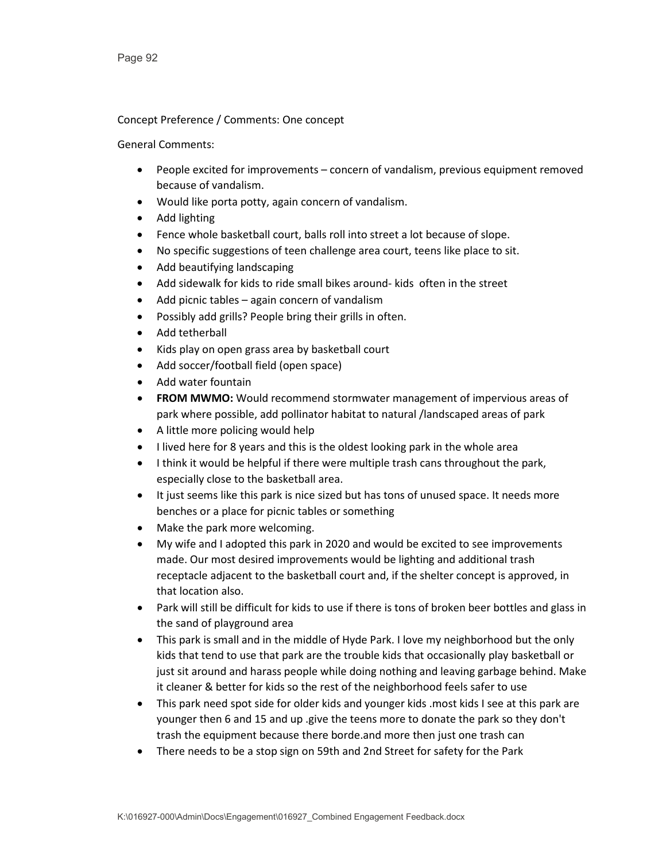# Concept Preference / Comments: One concept

- People excited for improvements concern of vandalism, previous equipment removed because of vandalism.
- Would like porta potty, again concern of vandalism.
- Add lighting
- Fence whole basketball court, balls roll into street a lot because of slope.
- No specific suggestions of teen challenge area court, teens like place to sit.
- Add beautifying landscaping
- Add sidewalk for kids to ride small bikes around- kids often in the street
- Add picnic tables again concern of vandalism
- Possibly add grills? People bring their grills in often.
- Add tetherball
- Kids play on open grass area by basketball court
- Add soccer/football field (open space)
- Add water fountain
- **FROM MWMO:** Would recommend stormwater management of impervious areas of park where possible, add pollinator habitat to natural /landscaped areas of park
- A little more policing would help
- I lived here for 8 years and this is the oldest looking park in the whole area
- I think it would be helpful if there were multiple trash cans throughout the park, especially close to the basketball area.
- It just seems like this park is nice sized but has tons of unused space. It needs more benches or a place for picnic tables or something
- Make the park more welcoming.
- My wife and I adopted this park in 2020 and would be excited to see improvements made. Our most desired improvements would be lighting and additional trash receptacle adjacent to the basketball court and, if the shelter concept is approved, in that location also.
- Park will still be difficult for kids to use if there is tons of broken beer bottles and glass in the sand of playground area
- This park is small and in the middle of Hyde Park. I love my neighborhood but the only kids that tend to use that park are the trouble kids that occasionally play basketball or just sit around and harass people while doing nothing and leaving garbage behind. Make it cleaner & better for kids so the rest of the neighborhood feels safer to use
- This park need spot side for older kids and younger kids .most kids I see at this park are younger then 6 and 15 and up .give the teens more to donate the park so they don't trash the equipment because there borde.and more then just one trash can
- There needs to be a stop sign on 59th and 2nd Street for safety for the Park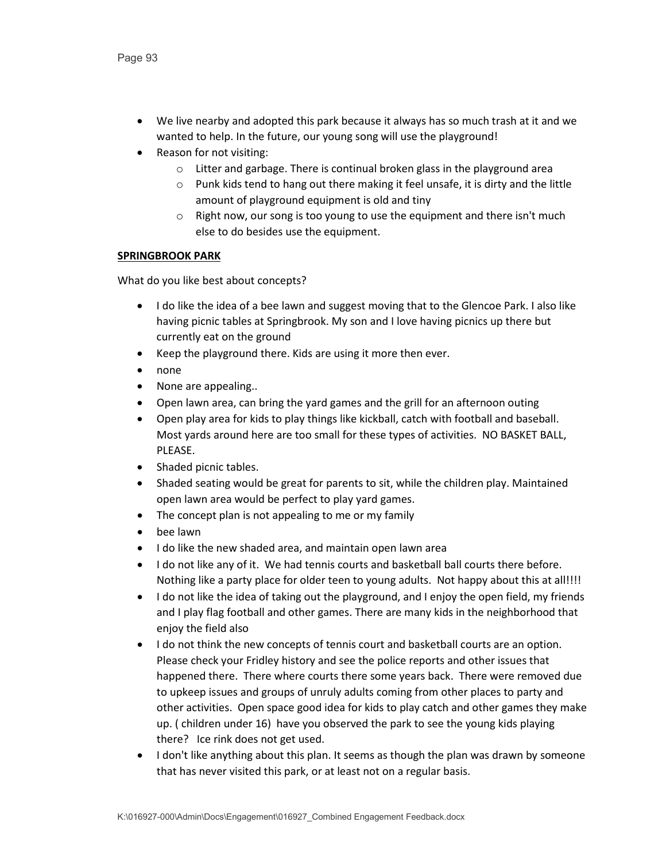- We live nearby and adopted this park because it always has so much trash at it and we wanted to help. In the future, our young song will use the playground!
- Reason for not visiting:
	- o Litter and garbage. There is continual broken glass in the playground area
	- o Punk kids tend to hang out there making it feel unsafe, it is dirty and the little amount of playground equipment is old and tiny
	- o Right now, our song is too young to use the equipment and there isn't much else to do besides use the equipment.

# **SPRINGBROOK PARK**

- I do like the idea of a bee lawn and suggest moving that to the Glencoe Park. I also like having picnic tables at Springbrook. My son and I love having picnics up there but currently eat on the ground
- Keep the playground there. Kids are using it more then ever.
- none
- None are appealing..
- Open lawn area, can bring the yard games and the grill for an afternoon outing
- Open play area for kids to play things like kickball, catch with football and baseball. Most yards around here are too small for these types of activities. NO BASKET BALL, PLEASE.
- Shaded picnic tables.
- Shaded seating would be great for parents to sit, while the children play. Maintained open lawn area would be perfect to play yard games.
- The concept plan is not appealing to me or my family
- bee lawn
- I do like the new shaded area, and maintain open lawn area
- I do not like any of it. We had tennis courts and basketball ball courts there before. Nothing like a party place for older teen to young adults. Not happy about this at all!!!!
- I do not like the idea of taking out the playground, and I enjoy the open field, my friends and I play flag football and other games. There are many kids in the neighborhood that enjoy the field also
- I do not think the new concepts of tennis court and basketball courts are an option. Please check your Fridley history and see the police reports and other issues that happened there. There where courts there some years back. There were removed due to upkeep issues and groups of unruly adults coming from other places to party and other activities. Open space good idea for kids to play catch and other games they make up. ( children under 16) have you observed the park to see the young kids playing there? Ice rink does not get used.
- I don't like anything about this plan. It seems as though the plan was drawn by someone that has never visited this park, or at least not on a regular basis.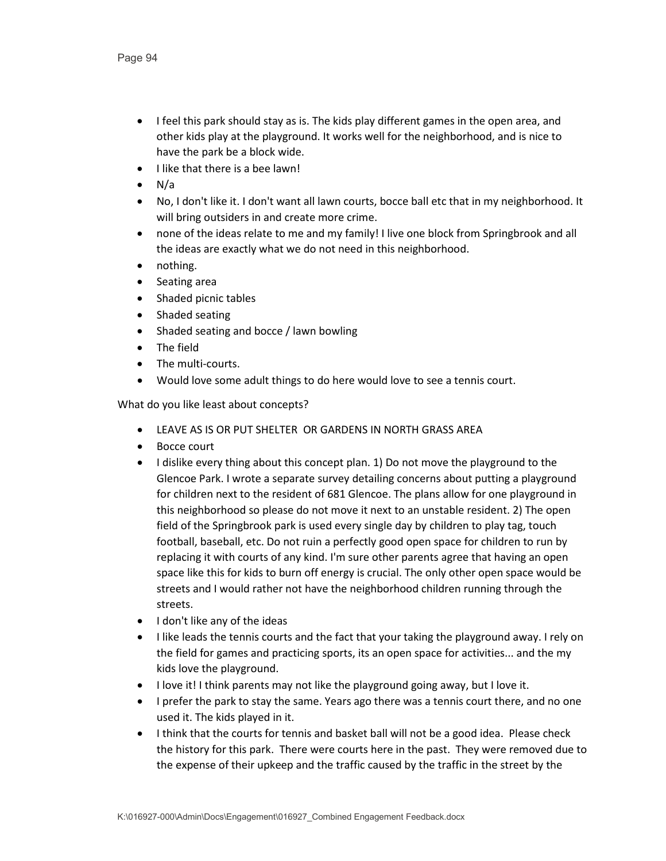- I feel this park should stay as is. The kids play different games in the open area, and other kids play at the playground. It works well for the neighborhood, and is nice to have the park be a block wide.
- I like that there is a bee lawn!
- $\bullet$  N/a
- No, I don't like it. I don't want all lawn courts, bocce ball etc that in my neighborhood. It will bring outsiders in and create more crime.
- none of the ideas relate to me and my family! I live one block from Springbrook and all the ideas are exactly what we do not need in this neighborhood.
- nothing.
- Seating area
- Shaded picnic tables
- Shaded seating
- Shaded seating and bocce / lawn bowling
- The field
- The multi-courts.
- Would love some adult things to do here would love to see a tennis court.

- LEAVE AS IS OR PUT SHELTER OR GARDENS IN NORTH GRASS AREA
- Bocce court
- I dislike every thing about this concept plan. 1) Do not move the playground to the Glencoe Park. I wrote a separate survey detailing concerns about putting a playground for children next to the resident of 681 Glencoe. The plans allow for one playground in this neighborhood so please do not move it next to an unstable resident. 2) The open field of the Springbrook park is used every single day by children to play tag, touch football, baseball, etc. Do not ruin a perfectly good open space for children to run by replacing it with courts of any kind. I'm sure other parents agree that having an open space like this for kids to burn off energy is crucial. The only other open space would be streets and I would rather not have the neighborhood children running through the streets.
- I don't like any of the ideas
- I like leads the tennis courts and the fact that your taking the playground away. I rely on the field for games and practicing sports, its an open space for activities... and the my kids love the playground.
- I love it! I think parents may not like the playground going away, but I love it.
- I prefer the park to stay the same. Years ago there was a tennis court there, and no one used it. The kids played in it.
- I think that the courts for tennis and basket ball will not be a good idea. Please check the history for this park. There were courts here in the past. They were removed due to the expense of their upkeep and the traffic caused by the traffic in the street by the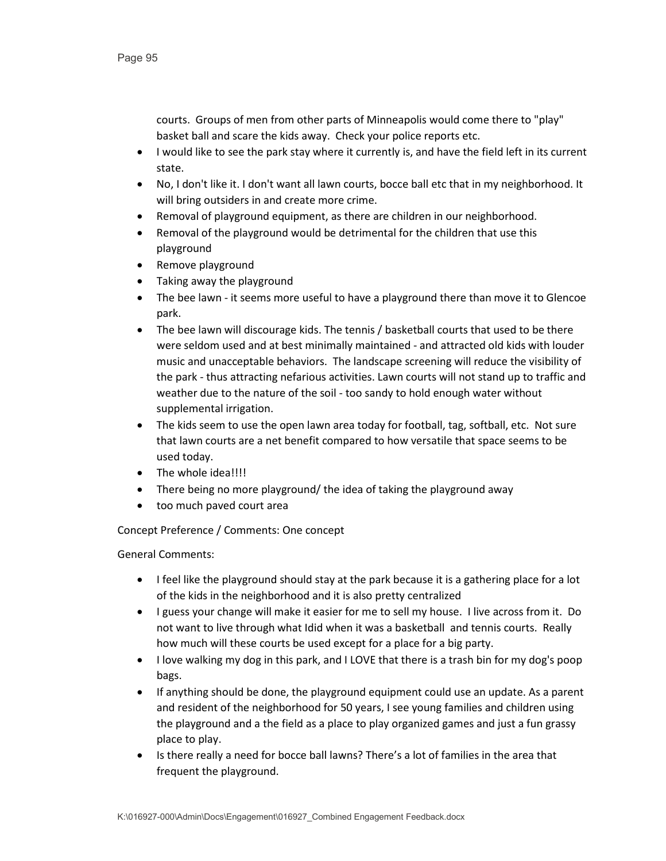courts. Groups of men from other parts of Minneapolis would come there to "play" basket ball and scare the kids away. Check your police reports etc.

- I would like to see the park stay where it currently is, and have the field left in its current state.
- No, I don't like it. I don't want all lawn courts, bocce ball etc that in my neighborhood. It will bring outsiders in and create more crime.
- Removal of playground equipment, as there are children in our neighborhood.
- Removal of the playground would be detrimental for the children that use this playground
- Remove playground
- Taking away the playground
- The bee lawn it seems more useful to have a playground there than move it to Glencoe park.
- The bee lawn will discourage kids. The tennis / basketball courts that used to be there were seldom used and at best minimally maintained - and attracted old kids with louder music and unacceptable behaviors. The landscape screening will reduce the visibility of the park - thus attracting nefarious activities. Lawn courts will not stand up to traffic and weather due to the nature of the soil - too sandy to hold enough water without supplemental irrigation.
- The kids seem to use the open lawn area today for football, tag, softball, etc. Not sure that lawn courts are a net benefit compared to how versatile that space seems to be used today.
- The whole idea!!!!
- There being no more playground/ the idea of taking the playground away
- too much paved court area

Concept Preference / Comments: One concept

- I feel like the playground should stay at the park because it is a gathering place for a lot of the kids in the neighborhood and it is also pretty centralized
- I guess your change will make it easier for me to sell my house. I live across from it. Do not want to live through what Idid when it was a basketball and tennis courts. Really how much will these courts be used except for a place for a big party.
- I love walking my dog in this park, and I LOVE that there is a trash bin for my dog's poop bags.
- If anything should be done, the playground equipment could use an update. As a parent and resident of the neighborhood for 50 years, I see young families and children using the playground and a the field as a place to play organized games and just a fun grassy place to play.
- Is there really a need for bocce ball lawns? There's a lot of families in the area that frequent the playground.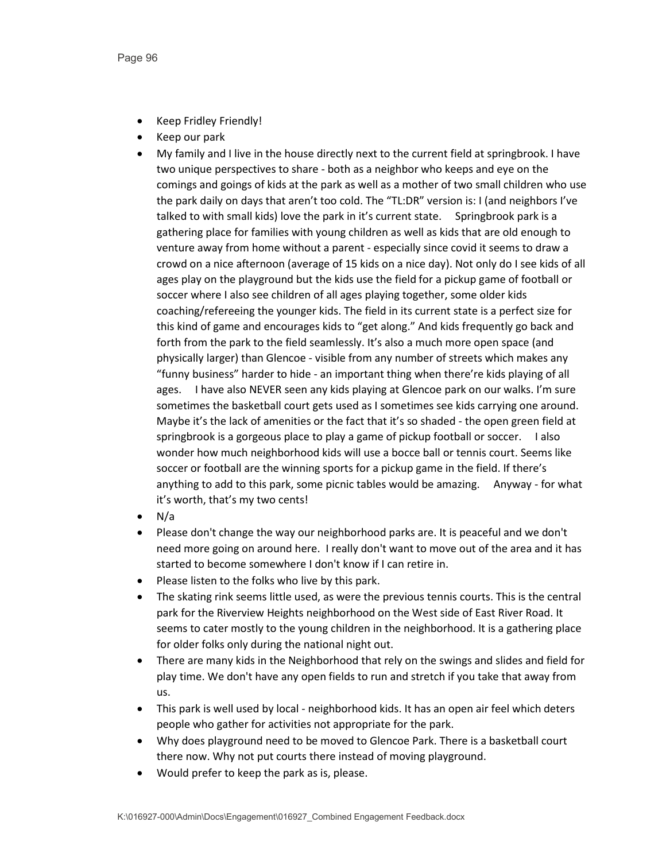- Keep Fridley Friendly!
- Keep our park
- My family and I live in the house directly next to the current field at springbrook. I have two unique perspectives to share - both as a neighbor who keeps and eye on the comings and goings of kids at the park as well as a mother of two small children who use the park daily on days that aren't too cold. The "TL:DR" version is: I (and neighbors I've talked to with small kids) love the park in it's current state. Springbrook park is a gathering place for families with young children as well as kids that are old enough to venture away from home without a parent - especially since covid it seems to draw a crowd on a nice afternoon (average of 15 kids on a nice day). Not only do I see kids of all ages play on the playground but the kids use the field for a pickup game of football or soccer where I also see children of all ages playing together, some older kids coaching/refereeing the younger kids. The field in its current state is a perfect size for this kind of game and encourages kids to "get along." And kids frequently go back and forth from the park to the field seamlessly. It's also a much more open space (and physically larger) than Glencoe - visible from any number of streets which makes any "funny business" harder to hide - an important thing when there're kids playing of all ages. I have also NEVER seen any kids playing at Glencoe park on our walks. I'm sure sometimes the basketball court gets used as I sometimes see kids carrying one around. Maybe it's the lack of amenities or the fact that it's so shaded - the open green field at springbrook is a gorgeous place to play a game of pickup football or soccer. I also wonder how much neighborhood kids will use a bocce ball or tennis court. Seems like soccer or football are the winning sports for a pickup game in the field. If there's anything to add to this park, some picnic tables would be amazing. Anyway - for what it's worth, that's my two cents!
- N/a
- Please don't change the way our neighborhood parks are. It is peaceful and we don't need more going on around here. I really don't want to move out of the area and it has started to become somewhere I don't know if I can retire in.
- Please listen to the folks who live by this park.
- The skating rink seems little used, as were the previous tennis courts. This is the central park for the Riverview Heights neighborhood on the West side of East River Road. It seems to cater mostly to the young children in the neighborhood. It is a gathering place for older folks only during the national night out.
- There are many kids in the Neighborhood that rely on the swings and slides and field for play time. We don't have any open fields to run and stretch if you take that away from us.
- This park is well used by local neighborhood kids. It has an open air feel which deters people who gather for activities not appropriate for the park.
- Why does playground need to be moved to Glencoe Park. There is a basketball court there now. Why not put courts there instead of moving playground.
- Would prefer to keep the park as is, please.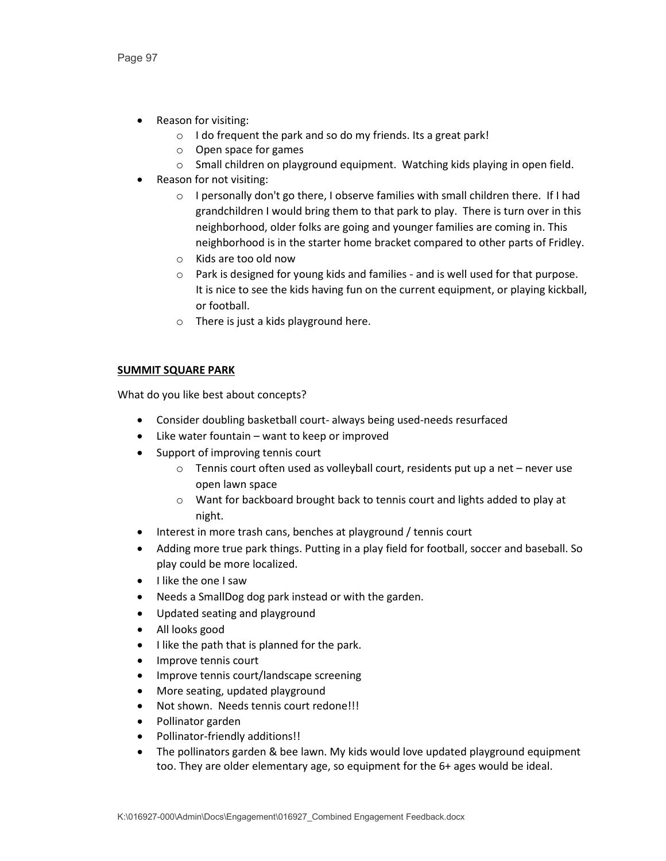- Reason for visiting:
	- $\circ$  I do frequent the park and so do my friends. Its a great park!
	- o Open space for games
	- o Small children on playground equipment. Watching kids playing in open field.
- Reason for not visiting:
	- o I personally don't go there, I observe families with small children there. If I had grandchildren I would bring them to that park to play. There is turn over in this neighborhood, older folks are going and younger families are coming in. This neighborhood is in the starter home bracket compared to other parts of Fridley.
	- o Kids are too old now
	- o Park is designed for young kids and families and is well used for that purpose. It is nice to see the kids having fun on the current equipment, or playing kickball, or football.
	- o There is just a kids playground here.

# **SUMMIT SQUARE PARK**

- Consider doubling basketball court- always being used-needs resurfaced
- Like water fountain want to keep or improved
- Support of improving tennis court
	- o Tennis court often used as volleyball court, residents put up a net never use open lawn space
	- o Want for backboard brought back to tennis court and lights added to play at night.
- Interest in more trash cans, benches at playground / tennis court
- Adding more true park things. Putting in a play field for football, soccer and baseball. So play could be more localized.
- I like the one I saw
- Needs a SmallDog dog park instead or with the garden.
- Updated seating and playground
- All looks good
- I like the path that is planned for the park.
- Improve tennis court
- Improve tennis court/landscape screening
- More seating, updated playground
- Not shown. Needs tennis court redone!!!
- Pollinator garden
- Pollinator-friendly additions!!
- The pollinators garden & bee lawn. My kids would love updated playground equipment too. They are older elementary age, so equipment for the 6+ ages would be ideal.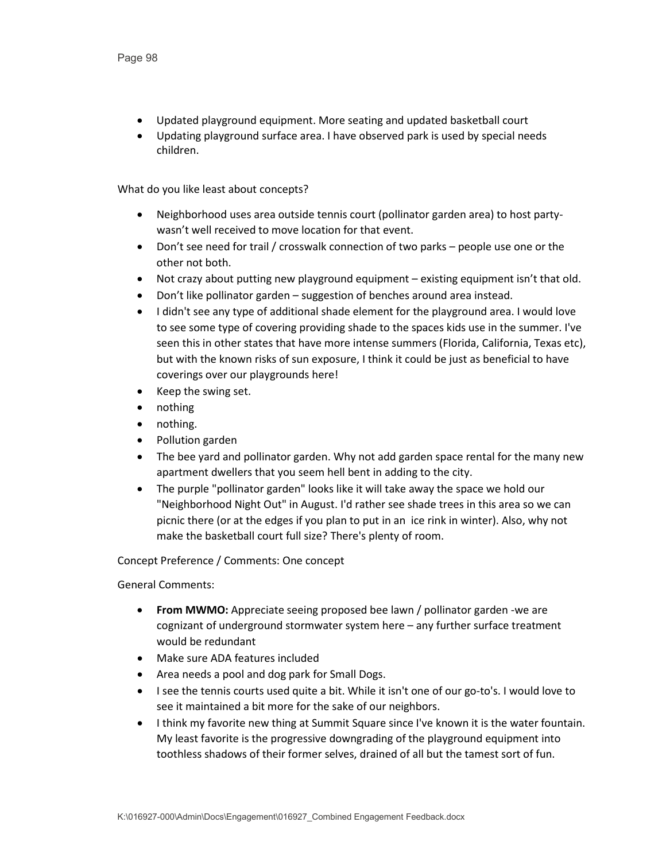- Updated playground equipment. More seating and updated basketball court
- Updating playground surface area. I have observed park is used by special needs children.

- Neighborhood uses area outside tennis court (pollinator garden area) to host partywasn't well received to move location for that event.
- Don't see need for trail / crosswalk connection of two parks people use one or the other not both.
- Not crazy about putting new playground equipment existing equipment isn't that old.
- Don't like pollinator garden suggestion of benches around area instead.
- I didn't see any type of additional shade element for the playground area. I would love to see some type of covering providing shade to the spaces kids use in the summer. I've seen this in other states that have more intense summers (Florida, California, Texas etc), but with the known risks of sun exposure, I think it could be just as beneficial to have coverings over our playgrounds here!
- Keep the swing set.
- nothing
- nothing.
- Pollution garden
- The bee yard and pollinator garden. Why not add garden space rental for the many new apartment dwellers that you seem hell bent in adding to the city.
- The purple "pollinator garden" looks like it will take away the space we hold our "Neighborhood Night Out" in August. I'd rather see shade trees in this area so we can picnic there (or at the edges if you plan to put in an ice rink in winter). Also, why not make the basketball court full size? There's plenty of room.

Concept Preference / Comments: One concept

- **From MWMO:** Appreciate seeing proposed bee lawn / pollinator garden -we are cognizant of underground stormwater system here – any further surface treatment would be redundant
- Make sure ADA features included
- Area needs a pool and dog park for Small Dogs.
- I see the tennis courts used quite a bit. While it isn't one of our go-to's. I would love to see it maintained a bit more for the sake of our neighbors.
- I think my favorite new thing at Summit Square since I've known it is the water fountain. My least favorite is the progressive downgrading of the playground equipment into toothless shadows of their former selves, drained of all but the tamest sort of fun.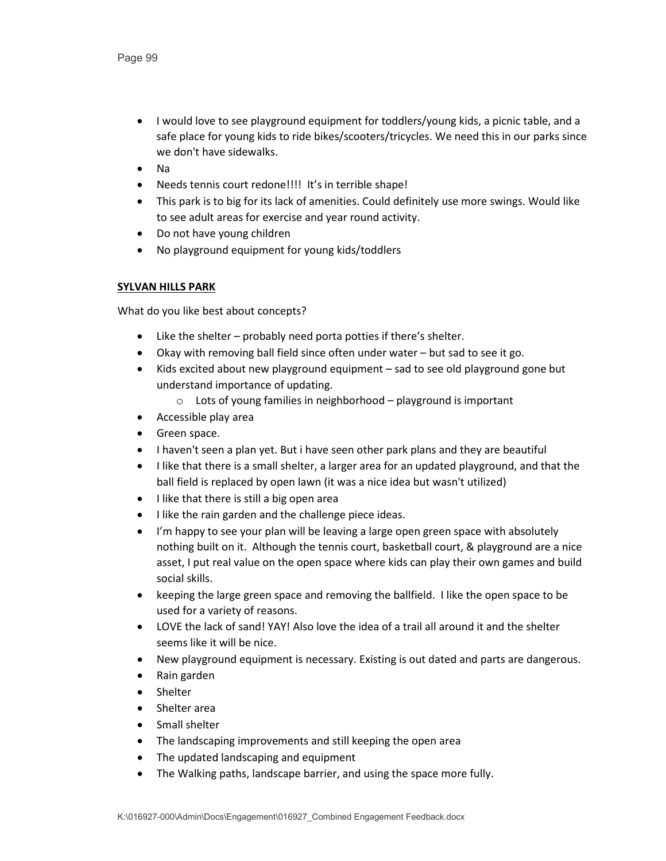- I would love to see playground equipment for toddlers/young kids, a picnic table, and a safe place for young kids to ride bikes/scooters/tricycles. We need this in our parks since we don't have sidewalks.
- Na
- Needs tennis court redone!!!! It's in terrible shape!
- This park is to big for its lack of amenities. Could definitely use more swings. Would like to see adult areas for exercise and year round activity.
- Do not have young children
- No playground equipment for young kids/toddlers

# **SYLVAN HILLS PARK**

- Like the shelter probably need porta potties if there's shelter.
- Okay with removing ball field since often under water but sad to see it go.
- Kids excited about new playground equipment sad to see old playground gone but understand importance of updating.
	- o Lots of young families in neighborhood playground is important
- Accessible play area
- Green space.
- I haven't seen a plan yet. But i have seen other park plans and they are beautiful
- I like that there is a small shelter, a larger area for an updated playground, and that the ball field is replaced by open lawn (it was a nice idea but wasn't utilized)
- I like that there is still a big open area
- I like the rain garden and the challenge piece ideas.
- I'm happy to see your plan will be leaving a large open green space with absolutely nothing built on it. Although the tennis court, basketball court, & playground are a nice asset, I put real value on the open space where kids can play their own games and build social skills.
- keeping the large green space and removing the ballfield. I like the open space to be used for a variety of reasons.
- LOVE the lack of sand! YAY! Also love the idea of a trail all around it and the shelter seems like it will be nice.
- New playground equipment is necessary. Existing is out dated and parts are dangerous.
- Rain garden
- Shelter
- Shelter area
- Small shelter
- The landscaping improvements and still keeping the open area
- The updated landscaping and equipment
- The Walking paths, landscape barrier, and using the space more fully.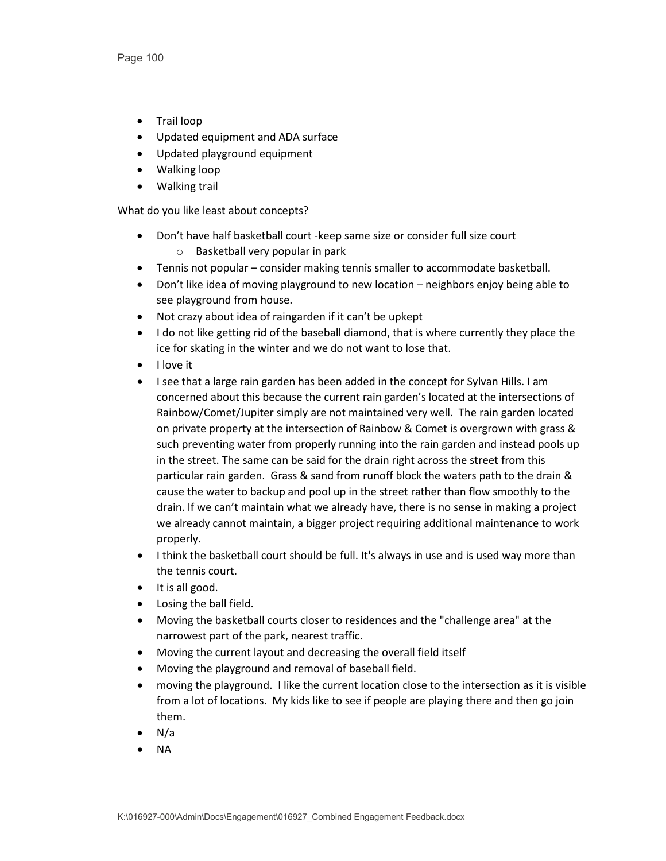- Trail loop
- Updated equipment and ADA surface
- Updated playground equipment
- Walking loop
- Walking trail

- Don't have half basketball court -keep same size or consider full size court o Basketball very popular in park
- Tennis not popular consider making tennis smaller to accommodate basketball.
- Don't like idea of moving playground to new location neighbors enjoy being able to see playground from house.
- Not crazy about idea of raingarden if it can't be upkept
- I do not like getting rid of the baseball diamond, that is where currently they place the ice for skating in the winter and we do not want to lose that.
- I love it
- I see that a large rain garden has been added in the concept for Sylvan Hills. I am concerned about this because the current rain garden's located at the intersections of Rainbow/Comet/Jupiter simply are not maintained very well. The rain garden located on private property at the intersection of Rainbow & Comet is overgrown with grass & such preventing water from properly running into the rain garden and instead pools up in the street. The same can be said for the drain right across the street from this particular rain garden. Grass & sand from runoff block the waters path to the drain & cause the water to backup and pool up in the street rather than flow smoothly to the drain. If we can't maintain what we already have, there is no sense in making a project we already cannot maintain, a bigger project requiring additional maintenance to work properly.
- I think the basketball court should be full. It's always in use and is used way more than the tennis court.
- It is all good.
- Losing the ball field.
- Moving the basketball courts closer to residences and the "challenge area" at the narrowest part of the park, nearest traffic.
- Moving the current layout and decreasing the overall field itself
- Moving the playground and removal of baseball field.
- moving the playground. I like the current location close to the intersection as it is visible from a lot of locations. My kids like to see if people are playing there and then go join them.
- N/a
- NA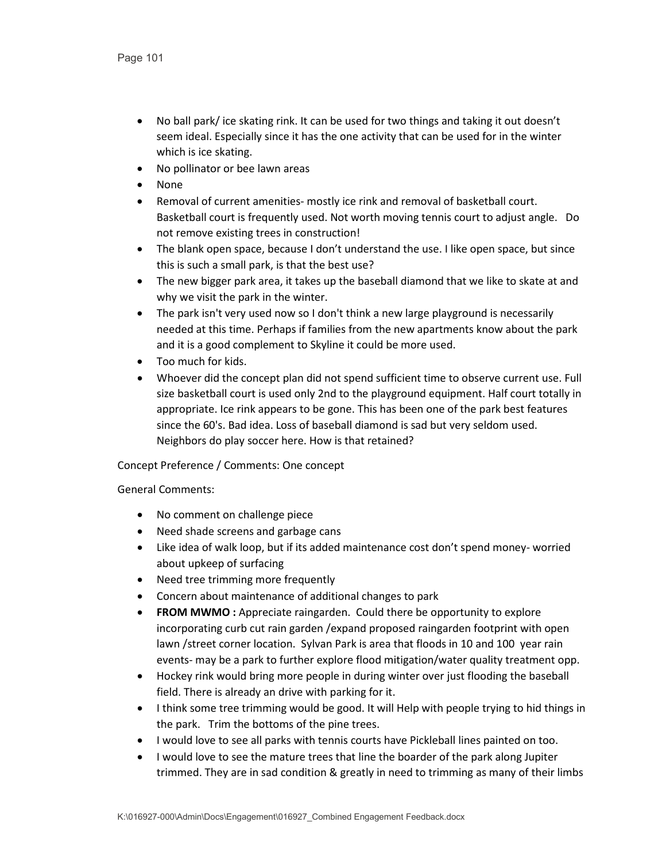- No ball park/ ice skating rink. It can be used for two things and taking it out doesn't seem ideal. Especially since it has the one activity that can be used for in the winter which is ice skating.
- No pollinator or bee lawn areas
- None
- Removal of current amenities- mostly ice rink and removal of basketball court. Basketball court is frequently used. Not worth moving tennis court to adjust angle. Do not remove existing trees in construction!
- The blank open space, because I don't understand the use. I like open space, but since this is such a small park, is that the best use?
- The new bigger park area, it takes up the baseball diamond that we like to skate at and why we visit the park in the winter.
- The park isn't very used now so I don't think a new large playground is necessarily needed at this time. Perhaps if families from the new apartments know about the park and it is a good complement to Skyline it could be more used.
- Too much for kids.
- Whoever did the concept plan did not spend sufficient time to observe current use. Full size basketball court is used only 2nd to the playground equipment. Half court totally in appropriate. Ice rink appears to be gone. This has been one of the park best features since the 60's. Bad idea. Loss of baseball diamond is sad but very seldom used. Neighbors do play soccer here. How is that retained?

# Concept Preference / Comments: One concept

- No comment on challenge piece
- Need shade screens and garbage cans
- Like idea of walk loop, but if its added maintenance cost don't spend money- worried about upkeep of surfacing
- Need tree trimming more frequently
- Concern about maintenance of additional changes to park
- **FROM MWMO** : Appreciate raingarden. Could there be opportunity to explore incorporating curb cut rain garden /expand proposed raingarden footprint with open lawn /street corner location. Sylvan Park is area that floods in 10 and 100 year rain events- may be a park to further explore flood mitigation/water quality treatment opp.
- Hockey rink would bring more people in during winter over just flooding the baseball field. There is already an drive with parking for it.
- I think some tree trimming would be good. It will Help with people trying to hid things in the park. Trim the bottoms of the pine trees.
- I would love to see all parks with tennis courts have Pickleball lines painted on too.
- I would love to see the mature trees that line the boarder of the park along Jupiter trimmed. They are in sad condition & greatly in need to trimming as many of their limbs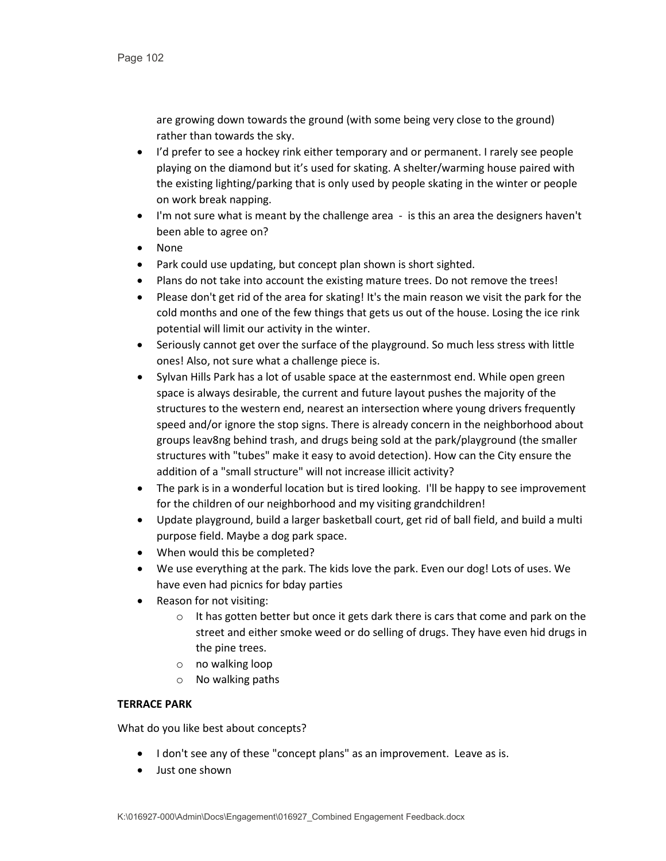are growing down towards the ground (with some being very close to the ground) rather than towards the sky.

- I'd prefer to see a hockey rink either temporary and or permanent. I rarely see people playing on the diamond but it's used for skating. A shelter/warming house paired with the existing lighting/parking that is only used by people skating in the winter or people on work break napping.
- I'm not sure what is meant by the challenge area is this an area the designers haven't been able to agree on?
- None
- Park could use updating, but concept plan shown is short sighted.
- Plans do not take into account the existing mature trees. Do not remove the trees!
- Please don't get rid of the area for skating! It's the main reason we visit the park for the cold months and one of the few things that gets us out of the house. Losing the ice rink potential will limit our activity in the winter.
- Seriously cannot get over the surface of the playground. So much less stress with little ones! Also, not sure what a challenge piece is.
- Sylvan Hills Park has a lot of usable space at the easternmost end. While open green space is always desirable, the current and future layout pushes the majority of the structures to the western end, nearest an intersection where young drivers frequently speed and/or ignore the stop signs. There is already concern in the neighborhood about groups leav8ng behind trash, and drugs being sold at the park/playground (the smaller structures with "tubes" make it easy to avoid detection). How can the City ensure the addition of a "small structure" will not increase illicit activity?
- The park is in a wonderful location but is tired looking. I'll be happy to see improvement for the children of our neighborhood and my visiting grandchildren!
- Update playground, build a larger basketball court, get rid of ball field, and build a multi purpose field. Maybe a dog park space.
- When would this be completed?
- We use everything at the park. The kids love the park. Even our dog! Lots of uses. We have even had picnics for bday parties
- Reason for not visiting:
	- $\circ$  It has gotten better but once it gets dark there is cars that come and park on the street and either smoke weed or do selling of drugs. They have even hid drugs in the pine trees.
	- o no walking loop
	- o No walking paths

#### **TERRACE PARK**

- I don't see any of these "concept plans" as an improvement. Leave as is.
- Just one shown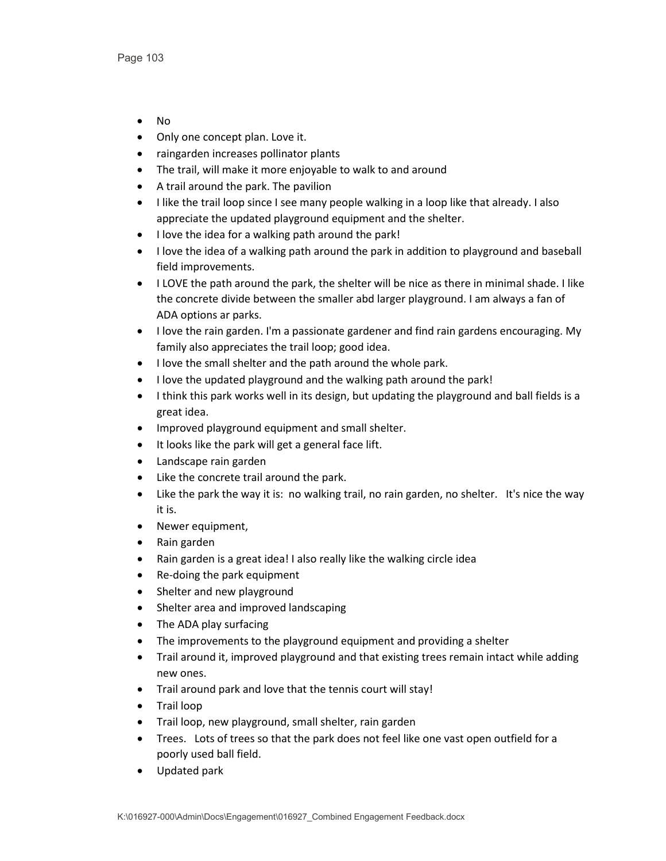- No
- Only one concept plan. Love it.
- raingarden increases pollinator plants
- The trail, will make it more enjoyable to walk to and around
- A trail around the park. The pavilion
- I like the trail loop since I see many people walking in a loop like that already. I also appreciate the updated playground equipment and the shelter.
- I love the idea for a walking path around the park!
- I love the idea of a walking path around the park in addition to playground and baseball field improvements.
- I LOVE the path around the park, the shelter will be nice as there in minimal shade. I like the concrete divide between the smaller abd larger playground. I am always a fan of ADA options ar parks.
- I love the rain garden. I'm a passionate gardener and find rain gardens encouraging. My family also appreciates the trail loop; good idea.
- I love the small shelter and the path around the whole park.
- I love the updated playground and the walking path around the park!
- I think this park works well in its design, but updating the playground and ball fields is a great idea.
- Improved playground equipment and small shelter.
- It looks like the park will get a general face lift.
- Landscape rain garden
- Like the concrete trail around the park.
- Like the park the way it is: no walking trail, no rain garden, no shelter. It's nice the way it is.
- Newer equipment,
- Rain garden
- Rain garden is a great idea! I also really like the walking circle idea
- Re-doing the park equipment
- Shelter and new playground
- Shelter area and improved landscaping
- The ADA play surfacing
- The improvements to the playground equipment and providing a shelter
- Trail around it, improved playground and that existing trees remain intact while adding new ones.
- Trail around park and love that the tennis court will stay!
- Trail loop
- Trail loop, new playground, small shelter, rain garden
- Trees. Lots of trees so that the park does not feel like one vast open outfield for a poorly used ball field.
- Updated park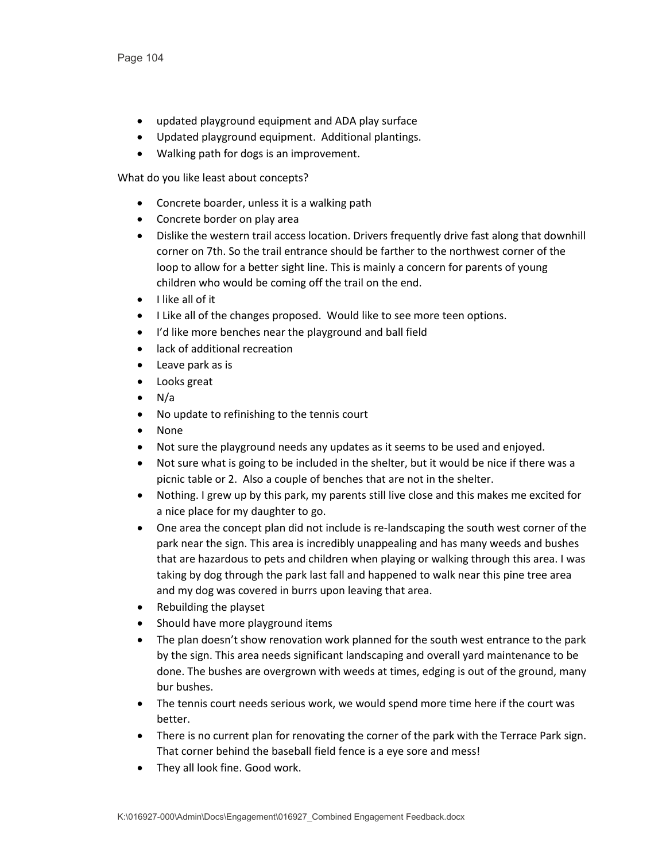- updated playground equipment and ADA play surface
- Updated playground equipment. Additional plantings.
- Walking path for dogs is an improvement.

- Concrete boarder, unless it is a walking path
- Concrete border on play area
- Dislike the western trail access location. Drivers frequently drive fast along that downhill corner on 7th. So the trail entrance should be farther to the northwest corner of the loop to allow for a better sight line. This is mainly a concern for parents of young children who would be coming off the trail on the end.
- I like all of it
- I Like all of the changes proposed. Would like to see more teen options.
- I'd like more benches near the playground and ball field
- lack of additional recreation
- Leave park as is
- Looks great
- N/a
- No update to refinishing to the tennis court
- None
- Not sure the playground needs any updates as it seems to be used and enjoyed.
- Not sure what is going to be included in the shelter, but it would be nice if there was a picnic table or 2. Also a couple of benches that are not in the shelter.
- Nothing. I grew up by this park, my parents still live close and this makes me excited for a nice place for my daughter to go.
- One area the concept plan did not include is re-landscaping the south west corner of the park near the sign. This area is incredibly unappealing and has many weeds and bushes that are hazardous to pets and children when playing or walking through this area. I was taking by dog through the park last fall and happened to walk near this pine tree area and my dog was covered in burrs upon leaving that area.
- Rebuilding the playset
- Should have more playground items
- The plan doesn't show renovation work planned for the south west entrance to the park by the sign. This area needs significant landscaping and overall yard maintenance to be done. The bushes are overgrown with weeds at times, edging is out of the ground, many bur bushes.
- The tennis court needs serious work, we would spend more time here if the court was better.
- There is no current plan for renovating the corner of the park with the Terrace Park sign. That corner behind the baseball field fence is a eye sore and mess!
- They all look fine. Good work.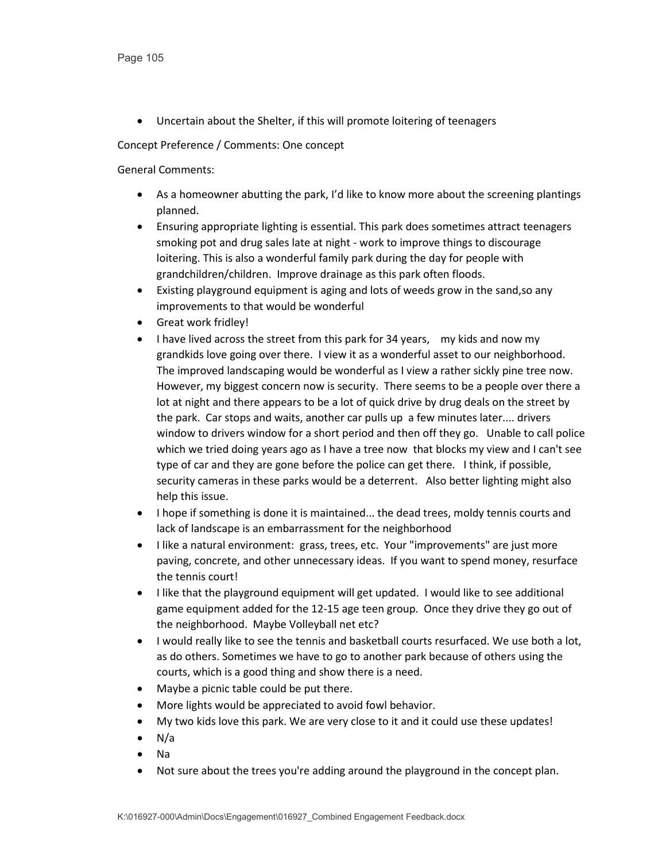• Uncertain about the Shelter, if this will promote loitering of teenagers

Concept Preference / Comments: One concept

- As a homeowner abutting the park, I'd like to know more about the screening plantings planned.
- Ensuring appropriate lighting is essential. This park does sometimes attract teenagers smoking pot and drug sales late at night - work to improve things to discourage loitering. This is also a wonderful family park during the day for people with grandchildren/children. Improve drainage as this park often floods.
- Existing playground equipment is aging and lots of weeds grow in the sand,so any improvements to that would be wonderful
- Great work fridley!
- I have lived across the street from this park for 34 years, my kids and now my grandkids love going over there. I view it as a wonderful asset to our neighborhood. The improved landscaping would be wonderful as I view a rather sickly pine tree now. However, my biggest concern now is security. There seems to be a people over there a lot at night and there appears to be a lot of quick drive by drug deals on the street by the park. Car stops and waits, another car pulls up a few minutes later.... drivers window to drivers window for a short period and then off they go. Unable to call police which we tried doing years ago as I have a tree now that blocks my view and I can't see type of car and they are gone before the police can get there. I think, if possible, security cameras in these parks would be a deterrent. Also better lighting might also help this issue.
- I hope if something is done it is maintained... the dead trees, moldy tennis courts and lack of landscape is an embarrassment for the neighborhood
- I like a natural environment: grass, trees, etc. Your "improvements" are just more paving, concrete, and other unnecessary ideas. If you want to spend money, resurface the tennis court!
- I like that the playground equipment will get updated. I would like to see additional game equipment added for the 12-15 age teen group. Once they drive they go out of the neighborhood. Maybe Volleyball net etc?
- I would really like to see the tennis and basketball courts resurfaced. We use both a lot, as do others. Sometimes we have to go to another park because of others using the courts, which is a good thing and show there is a need.
- Maybe a picnic table could be put there.
- More lights would be appreciated to avoid fowl behavior.
- My two kids love this park. We are very close to it and it could use these updates!
- $\bullet$  N/a
- Na
- Not sure about the trees you're adding around the playground in the concept plan.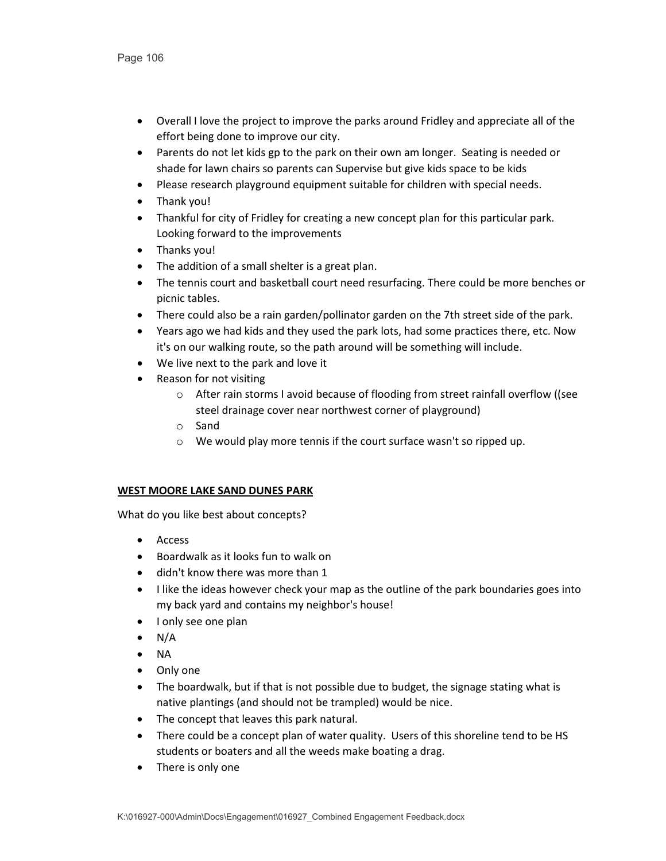- Overall I love the project to improve the parks around Fridley and appreciate all of the effort being done to improve our city.
- Parents do not let kids gp to the park on their own am longer. Seating is needed or shade for lawn chairs so parents can Supervise but give kids space to be kids
- Please research playground equipment suitable for children with special needs.
- Thank you!
- Thankful for city of Fridley for creating a new concept plan for this particular park. Looking forward to the improvements
- Thanks you!
- The addition of a small shelter is a great plan.
- The tennis court and basketball court need resurfacing. There could be more benches or picnic tables.
- There could also be a rain garden/pollinator garden on the 7th street side of the park.
- Years ago we had kids and they used the park lots, had some practices there, etc. Now it's on our walking route, so the path around will be something will include.
- We live next to the park and love it
- Reason for not visiting
	- o After rain storms I avoid because of flooding from street rainfall overflow ((see steel drainage cover near northwest corner of playground)
	- o Sand
	- o We would play more tennis if the court surface wasn't so ripped up.

# **WEST MOORE LAKE SAND DUNES PARK**

- Access
- Boardwalk as it looks fun to walk on
- didn't know there was more than 1
- I like the ideas however check your map as the outline of the park boundaries goes into my back yard and contains my neighbor's house!
- I only see one plan
- $\bullet$  N/A
- NA
- Only one
- The boardwalk, but if that is not possible due to budget, the signage stating what is native plantings (and should not be trampled) would be nice.
- The concept that leaves this park natural.
- There could be a concept plan of water quality. Users of this shoreline tend to be HS students or boaters and all the weeds make boating a drag.
- There is only one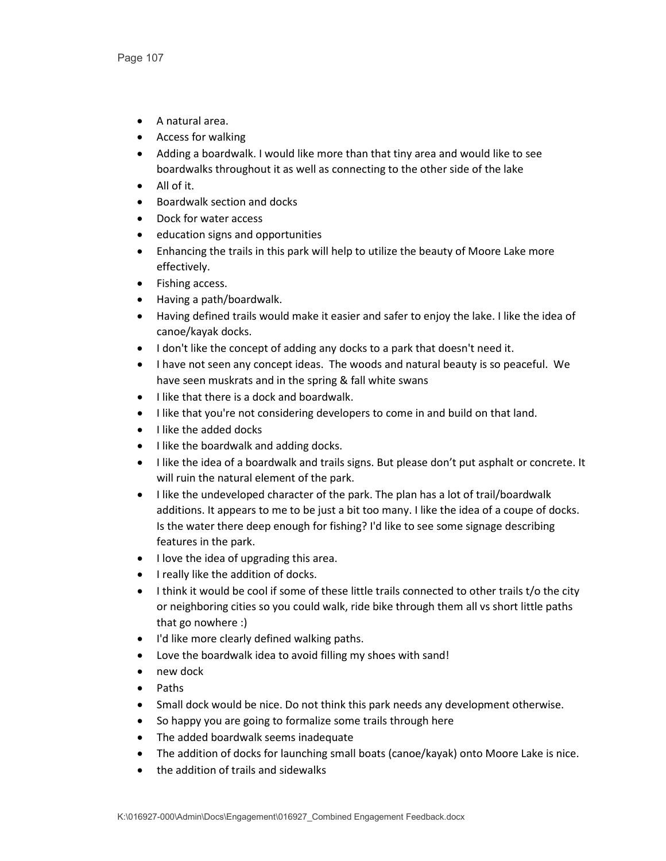- A natural area.
- Access for walking
- Adding a boardwalk. I would like more than that tiny area and would like to see boardwalks throughout it as well as connecting to the other side of the lake
- All of it.
- Boardwalk section and docks
- Dock for water access
- education signs and opportunities
- Enhancing the trails in this park will help to utilize the beauty of Moore Lake more effectively.
- Fishing access.
- Having a path/boardwalk.
- Having defined trails would make it easier and safer to enjoy the lake. I like the idea of canoe/kayak docks.
- I don't like the concept of adding any docks to a park that doesn't need it.
- I have not seen any concept ideas. The woods and natural beauty is so peaceful. We have seen muskrats and in the spring & fall white swans
- I like that there is a dock and boardwalk.
- I like that you're not considering developers to come in and build on that land.
- I like the added docks
- I like the boardwalk and adding docks.
- I like the idea of a boardwalk and trails signs. But please don't put asphalt or concrete. It will ruin the natural element of the park.
- I like the undeveloped character of the park. The plan has a lot of trail/boardwalk additions. It appears to me to be just a bit too many. I like the idea of a coupe of docks. Is the water there deep enough for fishing? I'd like to see some signage describing features in the park.
- I love the idea of upgrading this area.
- I really like the addition of docks.
- I think it would be cool if some of these little trails connected to other trails t/o the city or neighboring cities so you could walk, ride bike through them all vs short little paths that go nowhere :)
- I'd like more clearly defined walking paths.
- Love the boardwalk idea to avoid filling my shoes with sand!
- new dock
- Paths
- Small dock would be nice. Do not think this park needs any development otherwise.
- So happy you are going to formalize some trails through here
- The added boardwalk seems inadequate
- The addition of docks for launching small boats (canoe/kayak) onto Moore Lake is nice.
- the addition of trails and sidewalks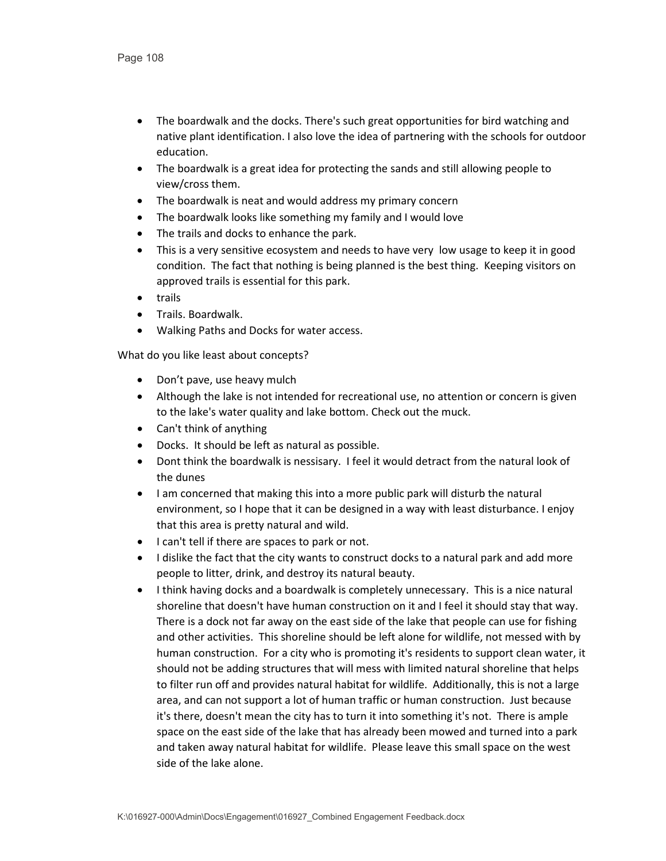- The boardwalk and the docks. There's such great opportunities for bird watching and native plant identification. I also love the idea of partnering with the schools for outdoor education.
- The boardwalk is a great idea for protecting the sands and still allowing people to view/cross them.
- The boardwalk is neat and would address my primary concern
- The boardwalk looks like something my family and I would love
- The trails and docks to enhance the park.
- This is a very sensitive ecosystem and needs to have very low usage to keep it in good condition. The fact that nothing is being planned is the best thing. Keeping visitors on approved trails is essential for this park.
- trails
- Trails. Boardwalk.
- Walking Paths and Docks for water access.

- Don't pave, use heavy mulch
- Although the lake is not intended for recreational use, no attention or concern is given to the lake's water quality and lake bottom. Check out the muck.
- Can't think of anything
- Docks. It should be left as natural as possible.
- Dont think the boardwalk is nessisary. I feel it would detract from the natural look of the dunes
- I am concerned that making this into a more public park will disturb the natural environment, so I hope that it can be designed in a way with least disturbance. I enjoy that this area is pretty natural and wild.
- I can't tell if there are spaces to park or not.
- I dislike the fact that the city wants to construct docks to a natural park and add more people to litter, drink, and destroy its natural beauty.
- I think having docks and a boardwalk is completely unnecessary. This is a nice natural shoreline that doesn't have human construction on it and I feel it should stay that way. There is a dock not far away on the east side of the lake that people can use for fishing and other activities. This shoreline should be left alone for wildlife, not messed with by human construction. For a city who is promoting it's residents to support clean water, it should not be adding structures that will mess with limited natural shoreline that helps to filter run off and provides natural habitat for wildlife. Additionally, this is not a large area, and can not support a lot of human traffic or human construction. Just because it's there, doesn't mean the city has to turn it into something it's not. There is ample space on the east side of the lake that has already been mowed and turned into a park and taken away natural habitat for wildlife. Please leave this small space on the west side of the lake alone.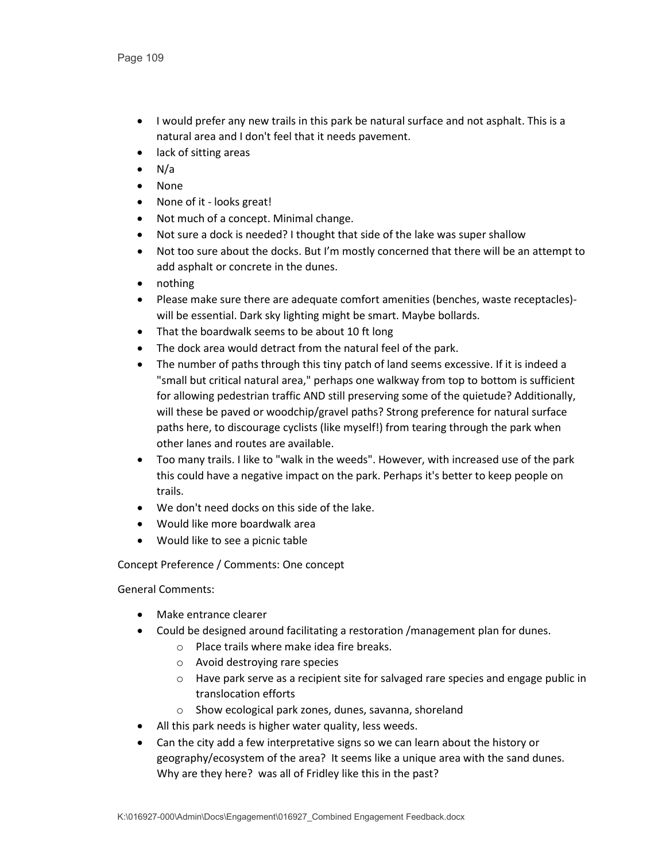- I would prefer any new trails in this park be natural surface and not asphalt. This is a natural area and I don't feel that it needs pavement.
- lack of sitting areas
- $\bullet$  N/a
- None
- None of it looks great!
- Not much of a concept. Minimal change.
- Not sure a dock is needed? I thought that side of the lake was super shallow
- Not too sure about the docks. But I'm mostly concerned that there will be an attempt to add asphalt or concrete in the dunes.
- nothing
- Please make sure there are adequate comfort amenities (benches, waste receptacles) will be essential. Dark sky lighting might be smart. Maybe bollards.
- That the boardwalk seems to be about 10 ft long
- The dock area would detract from the natural feel of the park.
- The number of paths through this tiny patch of land seems excessive. If it is indeed a "small but critical natural area," perhaps one walkway from top to bottom is sufficient for allowing pedestrian traffic AND still preserving some of the quietude? Additionally, will these be paved or woodchip/gravel paths? Strong preference for natural surface paths here, to discourage cyclists (like myself!) from tearing through the park when other lanes and routes are available.
- Too many trails. I like to "walk in the weeds". However, with increased use of the park this could have a negative impact on the park. Perhaps it's better to keep people on trails.
- We don't need docks on this side of the lake.
- Would like more boardwalk area
- Would like to see a picnic table

Concept Preference / Comments: One concept

General Comments:

- Make entrance clearer
- Could be designed around facilitating a restoration /management plan for dunes.
	- o Place trails where make idea fire breaks.
	- o Avoid destroying rare species
	- o Have park serve as a recipient site for salvaged rare species and engage public in translocation efforts
	- o Show ecological park zones, dunes, savanna, shoreland
- All this park needs is higher water quality, less weeds.
- Can the city add a few interpretative signs so we can learn about the history or geography/ecosystem of the area? It seems like a unique area with the sand dunes. Why are they here? was all of Fridley like this in the past?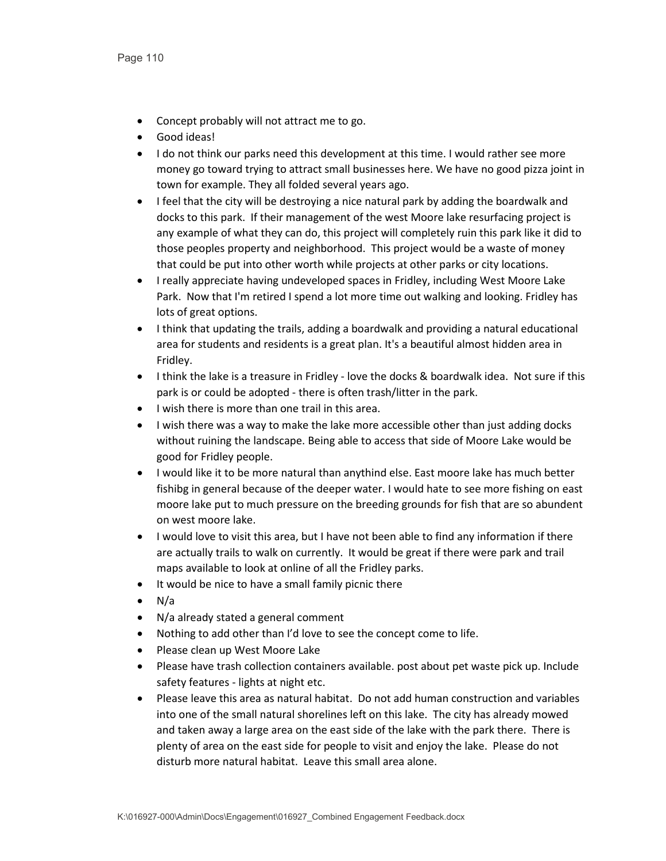- Concept probably will not attract me to go.
- Good ideas!
- I do not think our parks need this development at this time. I would rather see more money go toward trying to attract small businesses here. We have no good pizza joint in town for example. They all folded several years ago.
- I feel that the city will be destroying a nice natural park by adding the boardwalk and docks to this park. If their management of the west Moore lake resurfacing project is any example of what they can do, this project will completely ruin this park like it did to those peoples property and neighborhood. This project would be a waste of money that could be put into other worth while projects at other parks or city locations.
- I really appreciate having undeveloped spaces in Fridley, including West Moore Lake Park. Now that I'm retired I spend a lot more time out walking and looking. Fridley has lots of great options.
- I think that updating the trails, adding a boardwalk and providing a natural educational area for students and residents is a great plan. It's a beautiful almost hidden area in Fridley.
- I think the lake is a treasure in Fridley love the docks & boardwalk idea. Not sure if this park is or could be adopted - there is often trash/litter in the park.
- I wish there is more than one trail in this area.
- I wish there was a way to make the lake more accessible other than just adding docks without ruining the landscape. Being able to access that side of Moore Lake would be good for Fridley people.
- I would like it to be more natural than anythind else. East moore lake has much better fishibg in general because of the deeper water. I would hate to see more fishing on east moore lake put to much pressure on the breeding grounds for fish that are so abundent on west moore lake.
- I would love to visit this area, but I have not been able to find any information if there are actually trails to walk on currently. It would be great if there were park and trail maps available to look at online of all the Fridley parks.
- It would be nice to have a small family picnic there
- $\bullet$  N/a
- N/a already stated a general comment
- Nothing to add other than I'd love to see the concept come to life.
- Please clean up West Moore Lake
- Please have trash collection containers available. post about pet waste pick up. Include safety features - lights at night etc.
- Please leave this area as natural habitat. Do not add human construction and variables into one of the small natural shorelines left on this lake. The city has already mowed and taken away a large area on the east side of the lake with the park there. There is plenty of area on the east side for people to visit and enjoy the lake. Please do not disturb more natural habitat. Leave this small area alone.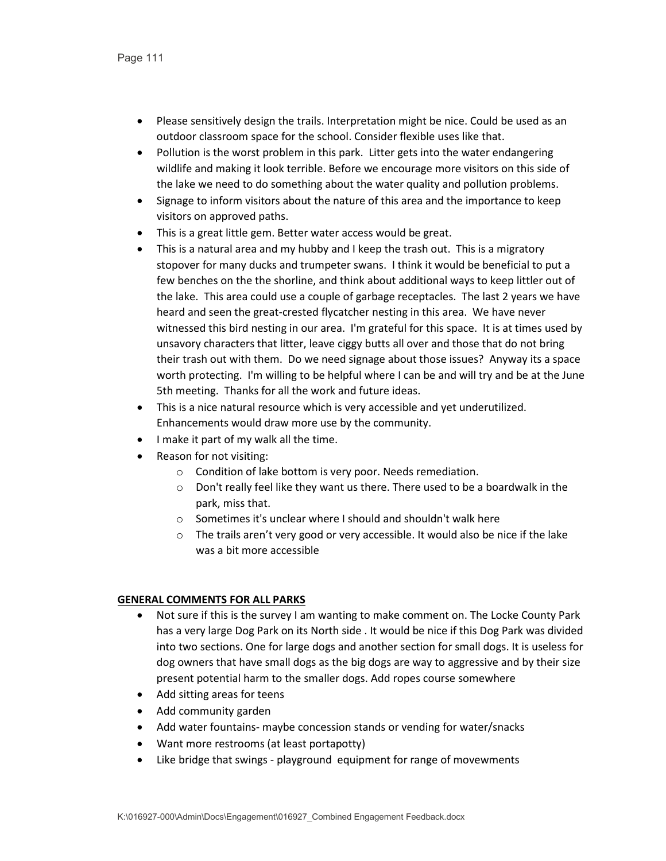- Please sensitively design the trails. Interpretation might be nice. Could be used as an outdoor classroom space for the school. Consider flexible uses like that.
- Pollution is the worst problem in this park. Litter gets into the water endangering wildlife and making it look terrible. Before we encourage more visitors on this side of the lake we need to do something about the water quality and pollution problems.
- Signage to inform visitors about the nature of this area and the importance to keep visitors on approved paths.
- This is a great little gem. Better water access would be great.
- This is a natural area and my hubby and I keep the trash out. This is a migratory stopover for many ducks and trumpeter swans. I think it would be beneficial to put a few benches on the the shorline, and think about additional ways to keep littler out of the lake. This area could use a couple of garbage receptacles. The last 2 years we have heard and seen the great-crested flycatcher nesting in this area. We have never witnessed this bird nesting in our area. I'm grateful for this space. It is at times used by unsavory characters that litter, leave ciggy butts all over and those that do not bring their trash out with them. Do we need signage about those issues? Anyway its a space worth protecting. I'm willing to be helpful where I can be and will try and be at the June 5th meeting. Thanks for all the work and future ideas.
- This is a nice natural resource which is very accessible and yet underutilized. Enhancements would draw more use by the community.
- I make it part of my walk all the time.
- Reason for not visiting:
	- o Condition of lake bottom is very poor. Needs remediation.
	- o Don't really feel like they want us there. There used to be a boardwalk in the park, miss that.
	- o Sometimes it's unclear where I should and shouldn't walk here
	- $\circ$  The trails aren't very good or very accessible. It would also be nice if the lake was a bit more accessible

## **GENERAL COMMENTS FOR ALL PARKS**

- Not sure if this is the survey I am wanting to make comment on. The Locke County Park has a very large Dog Park on its North side . It would be nice if this Dog Park was divided into two sections. One for large dogs and another section for small dogs. It is useless for dog owners that have small dogs as the big dogs are way to aggressive and by their size present potential harm to the smaller dogs. Add ropes course somewhere
- Add sitting areas for teens
- Add community garden
- Add water fountains- maybe concession stands or vending for water/snacks
- Want more restrooms (at least portapotty)
- Like bridge that swings playground equipment for range of movewments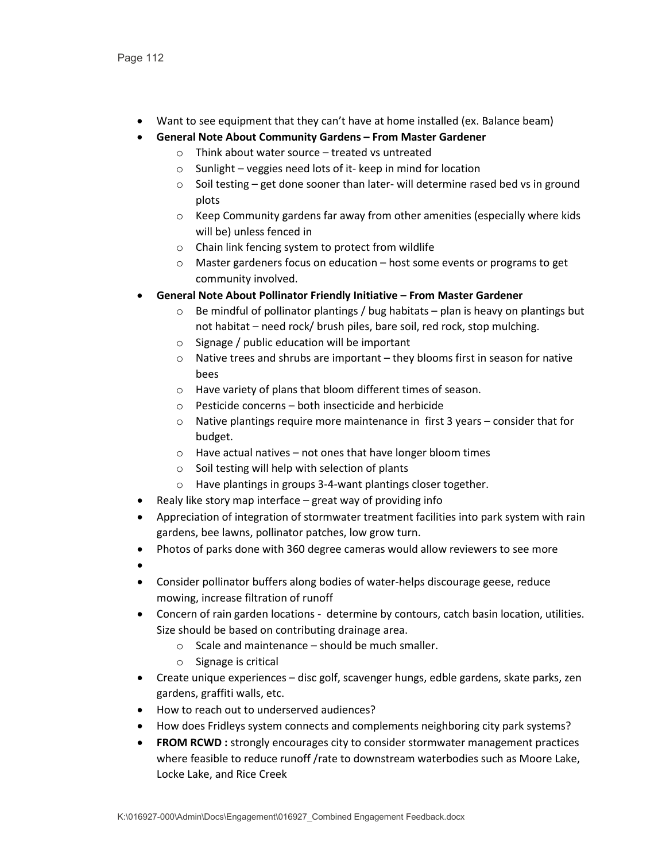- Want to see equipment that they can't have at home installed (ex. Balance beam)
- **General Note About Community Gardens – From Master Gardener**
	- o Think about water source treated vs untreated
	- o Sunlight veggies need lots of it- keep in mind for location
	- o Soil testing get done sooner than later- will determine rased bed vs in ground plots
	- o Keep Community gardens far away from other amenities (especially where kids will be) unless fenced in
	- o Chain link fencing system to protect from wildlife
	- o Master gardeners focus on education host some events or programs to get community involved.
- **General Note About Pollinator Friendly Initiative – From Master Gardener**
	- $\circ$  Be mindful of pollinator plantings / bug habitats plan is heavy on plantings but not habitat – need rock/ brush piles, bare soil, red rock, stop mulching.
	- o Signage / public education will be important
	- o Native trees and shrubs are important they blooms first in season for native bees
	- o Have variety of plans that bloom different times of season.
	- o Pesticide concerns both insecticide and herbicide
	- o Native plantings require more maintenance in first 3 years consider that for budget.
	- $\circ$  Have actual natives not ones that have longer bloom times
	- o Soil testing will help with selection of plants
	- o Have plantings in groups 3-4-want plantings closer together.
- Realy like story map interface great way of providing info
- Appreciation of integration of stormwater treatment facilities into park system with rain gardens, bee lawns, pollinator patches, low grow turn.
- Photos of parks done with 360 degree cameras would allow reviewers to see more
- •
- Consider pollinator buffers along bodies of water-helps discourage geese, reduce mowing, increase filtration of runoff
- Concern of rain garden locations determine by contours, catch basin location, utilities. Size should be based on contributing drainage area.
	- $\circ$  Scale and maintenance should be much smaller.
	- o Signage is critical
- Create unique experiences disc golf, scavenger hungs, edble gardens, skate parks, zen gardens, graffiti walls, etc.
- How to reach out to underserved audiences?
- How does Fridleys system connects and complements neighboring city park systems?
- **FROM RCWD :** strongly encourages city to consider stormwater management practices where feasible to reduce runoff /rate to downstream waterbodies such as Moore Lake, Locke Lake, and Rice Creek